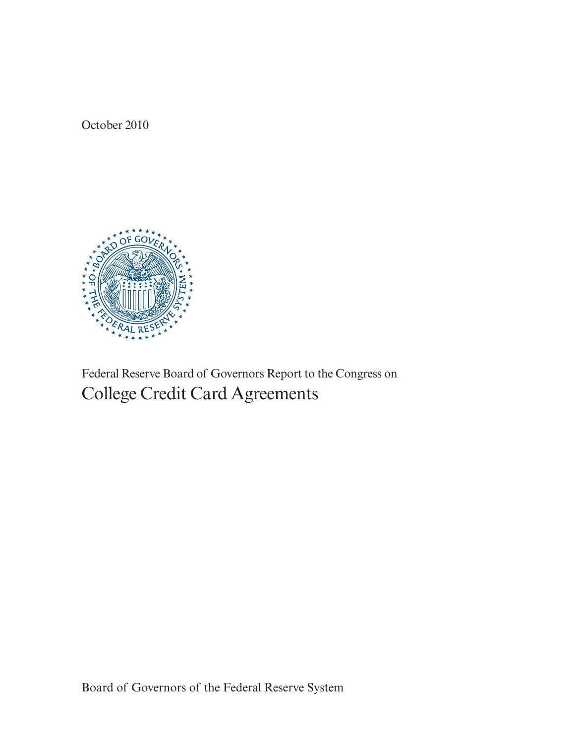October 2010



Federal Reserve Board of Governors Report to the Congress on College Credit Card Agreements

Board of Governors of the Federal Reserve System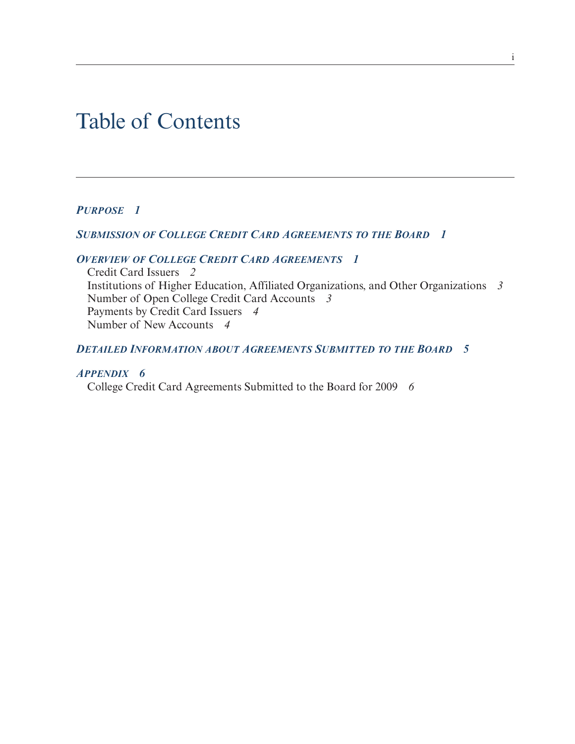# Table of Contents

# *PURPOSE 1*

## *SUBMISSION OF COLLEGE CREDIT CARD AGREEMENTS TO THE BOARD 1*

# *OVERVIEW OF COLLEGE CREDIT CARD AGREEMENTS 1*

Credit Card Issuers *2* Institutions of Higher Education, Affiliated Organizations, and Other Organizations *3* Number of Open College Credit Card Accounts *3* Payments by Credit Card Issuers *4* Number of New Accounts *4*

# *DETAILED INFORMATION ABOUT AGREEMENTS SUBMITTED TO THE BOARD 5*

## *APPENDIX 6*

College Credit Card Agreements Submitted to the Board for 2009 *6*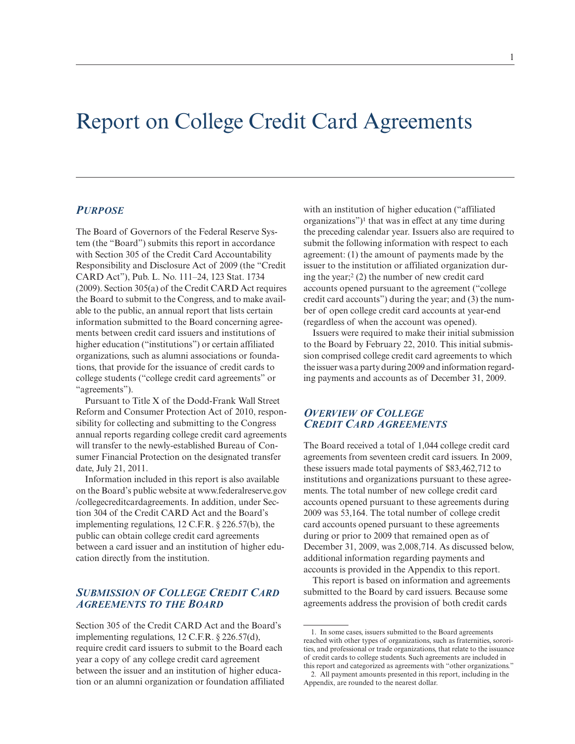# Report on College Credit Card Agreements

#### *PURPOSE*

The Board of Governors of the Federal Reserve System (the "Board") submits this report in accordance with Section 305 of the Credit Card Accountability Responsibility and Disclosure Act of 2009 (the "Credit CARD Act"), Pub. L. No. 111–24, 123 Stat. 1734 (2009). Section 305(a) of the Credit CARD Act requires the Board to submit to the Congress, and to make available to the public, an annual report that lists certain information submitted to the Board concerning agreements between credit card issuers and institutions of higher education ("institutions") or certain affiliated organizations, such as alumni associations or foundations, that provide for the issuance of credit cards to college students ("college credit card agreements" or "agreements").

Pursuant to Title X of the Dodd-Frank Wall Street Reform and Consumer Protection Act of 2010, responsibility for collecting and submitting to the Congress annual reports regarding college credit card agreements will transfer to the newly-established Bureau of Consumer Financial Protection on the designated transfer date, July 21, 2011.

Information included in this report is also available on the Board's public website at [www.federalreserve.gov](www.federalreserve.gov/collegecreditcardagreements) [/collegecreditcardagreements.](www.federalreserve.gov/collegecreditcardagreements) In addition, under Section 304 of the Credit CARD Act and the Board's implementing regulations, 12 C.F.R. § 226.57(b), the public can obtain college credit card agreements between a card issuer and an institution of higher education directly from the institution.

## *SUBMISSION OF COLLEGE CREDIT CARD AGREEMENTS TO THE BOARD*

Section 305 of the Credit CARD Act and the Board's implementing regulations, 12 C.F.R. § 226.57(d), require credit card issuers to submit to the Board each year a copy of any college credit card agreement between the issuer and an institution of higher education or an alumni organization or foundation affiliated

with an institution of higher education ("affiliated organizations")<sup>1</sup> that was in effect at any time during the preceding calendar year. Issuers also are required to submit the following information with respect to each agreement: (1) the amount of payments made by the issuer to the institution or affiliated organization during the year;<sup>2</sup> (2) the number of new credit card accounts opened pursuant to the agreement ("college credit card accounts") during the year; and (3) the number of open college credit card accounts at year-end (regardless of when the account was opened).

Issuers were required to make their initial submission to the Board by February 22, 2010. This initial submission comprised college credit card agreements to which the issuer was a party during 2009 and information regarding payments and accounts as of December 31, 2009.

## *OVERVIEW OF COLLEGE CREDIT CARD AGREEMENTS*

The Board received a total of 1,044 college credit card agreements from seventeen credit card issuers. In 2009, these issuers made total payments of \$83,462,712 to institutions and organizations pursuant to these agreements. The total number of new college credit card accounts opened pursuant to these agreements during 2009 was 53,164. The total number of college credit card accounts opened pursuant to these agreements during or prior to 2009 that remained open as of December 31, 2009, was 2,008,714. As discussed below, additional information regarding payments and accounts is provided in the Appendix to this report.

This report is based on information and agreements submitted to the Board by card issuers. Because some agreements address the provision of both credit cards

<sup>1.</sup> In some cases, issuers submitted to the Board agreements reached with other types of organizations, such as fraternities, sororities, and professional or trade organizations, that relate to the issuance of credit cards to college students. Such agreements are included in this report and categorized as agreements with "other organizations."

<sup>2.</sup> All payment amounts presented in this report, including in the Appendix, are rounded to the nearest dollar.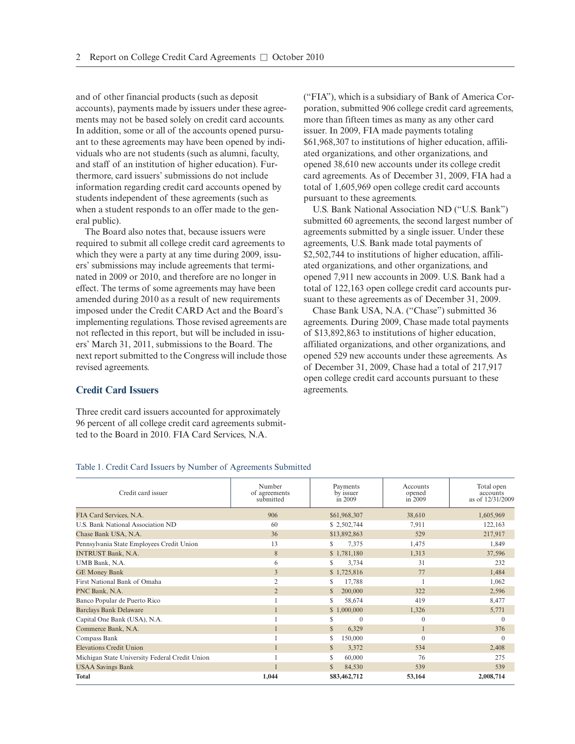and of other financial products (such as deposit accounts), payments made by issuers under these agreements may not be based solely on credit card accounts. In addition, some or all of the accounts opened pursuant to these agreements may have been opened by individuals who are not students (such as alumni, faculty, and staff of an institution of higher education). Furthermore, card issuers' submissions do not include information regarding credit card accounts opened by students independent of these agreements (such as when a student responds to an offer made to the general public).

The Board also notes that, because issuers were required to submit all college credit card agreements to which they were a party at any time during 2009, issuers' submissions may include agreements that terminated in 2009 or 2010, and therefore are no longer in effect. The terms of some agreements may have been amended during 2010 as a result of new requirements imposed under the Credit CARD Act and the Board's implementing regulations. Those revised agreements are not reflected in this report, but will be included in issuers' March 31, 2011, submissions to the Board. The next report submitted to the Congress will include those revised agreements.

### **Credit Card Issuers**

Three credit card issuers accounted for approximately 96 percent of all college credit card agreements submitted to the Board in 2010. FIA Card Services, N.A.

("FIA"), which is a subsidiary of Bank of America Corporation, submitted 906 college credit card agreements, more than fifteen times as many as any other card issuer. In 2009, FIA made payments totaling \$61,968,307 to institutions of higher education, affiliated organizations, and other organizations, and opened 38,610 new accounts under its college credit card agreements. As of December 31, 2009, FIA had a total of 1,605,969 open college credit card accounts pursuant to these agreements.

U.S. Bank National Association ND ("U.S. Bank") submitted 60 agreements, the second largest number of agreements submitted by a single issuer. Under these agreements, U.S. Bank made total payments of \$2,502,744 to institutions of higher education, affiliated organizations, and other organizations, and opened 7,911 new accounts in 2009. U.S. Bank had a total of 122,163 open college credit card accounts pursuant to these agreements as of December 31, 2009.

Chase Bank USA, N.A. ("Chase") submitted 36 agreements. During 2009, Chase made total payments of \$13,892,863 to institutions of higher education, affiliated organizations, and other organizations, and opened 529 new accounts under these agreements. As of December 31, 2009, Chase had a total of 217,917 open college credit card accounts pursuant to these agreements.

| Credit card issuer                             | Number<br>of agreements<br>submitted | Payments<br>by issuer<br>$\sin 2009$ | Accounts<br>opened<br>$\overline{\text{in}}$ 2009 | Total open<br>accounts<br>as of 12/31/2009 |
|------------------------------------------------|--------------------------------------|--------------------------------------|---------------------------------------------------|--------------------------------------------|
| FIA Card Services, N.A.                        | 906                                  | \$61,968,307                         | 38,610                                            | 1,605,969                                  |
| U.S. Bank National Association ND              | 60                                   | \$2,502,744                          | 7,911                                             | 122,163                                    |
| Chase Bank USA, N.A.                           | 36                                   | \$13,892,863                         | 529                                               | 217,917                                    |
| Pennsylvania State Employees Credit Union      | 13                                   | 7,375<br>S                           | 1,475                                             | 1,849                                      |
| <b>INTRUST Bank, N.A.</b>                      | $8\phantom{.}$                       | \$1,781,180                          | 1,313                                             | 37,596                                     |
| UMB Bank, N.A.                                 | 6                                    | 3,734<br>S                           | 31                                                | 232                                        |
| <b>GE Money Bank</b>                           | 3                                    | \$1,725,816                          | 77                                                | 1,484                                      |
| First National Bank of Omaha                   | $\overline{2}$                       | S<br>17,788                          |                                                   | 1,062                                      |
| PNC Bank, N.A.                                 | $\overline{2}$                       | S<br>200,000                         | 322                                               | 2,596                                      |
| Banco Popular de Puerto Rico                   |                                      | 58,674<br>S                          | 419                                               | 8,477                                      |
| <b>Barclays Bank Delaware</b>                  |                                      | \$1,000,000                          | 1,326                                             | 5,771                                      |
| Capital One Bank (USA), N.A.                   |                                      | $\mathbf{0}$<br>S                    | $\mathbf{0}$                                      | $\Omega$                                   |
| Commerce Bank, N.A.                            |                                      | $\mathbb{S}$<br>6,329                |                                                   | 376                                        |
| Compass Bank                                   |                                      | \$.<br>150,000                       | $\theta$                                          | $\theta$                                   |
| <b>Elevations Credit Union</b>                 |                                      | S<br>3,372                           | 534                                               | 2,408                                      |
| Michigan State University Federal Credit Union |                                      | 60,000<br>S                          | 76                                                | 275                                        |
| <b>USAA Savings Bank</b>                       |                                      | <sup>\$</sup><br>84,530              | 539                                               | 539                                        |
| <b>Total</b>                                   | 1,044                                | \$83,462,712                         | 53,164                                            | 2,008,714                                  |

#### Table 1. Credit Card Issuers by Number of Agreements Submitted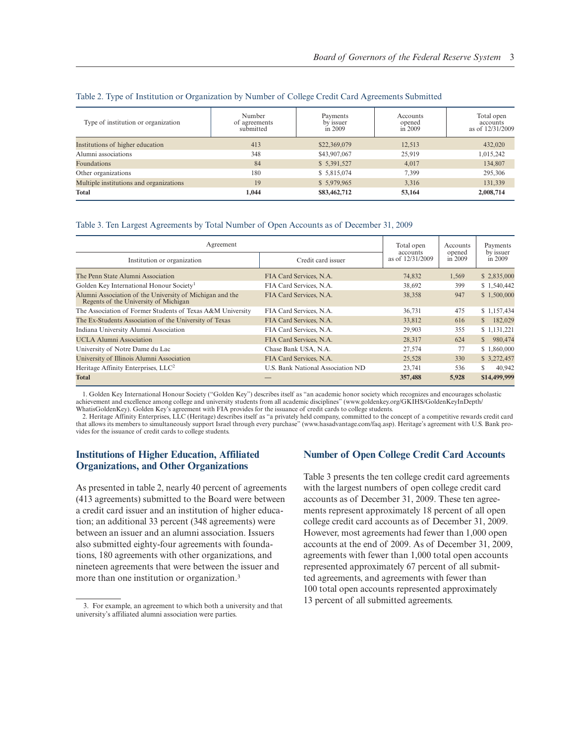| Type of institution or organization     | Number<br>of agreements<br>submitted | Payments<br>by issuer<br>in 2009 | Accounts<br>opened<br>in 2009 | Total open<br>accounts<br>as of 12/31/2009 |
|-----------------------------------------|--------------------------------------|----------------------------------|-------------------------------|--------------------------------------------|
| Institutions of higher education        | 413                                  | \$22,369,079                     | 12,513                        | 432,020                                    |
| Alumni associations                     | 348                                  | \$43,907,067                     | 25,919                        | 1,015,242                                  |
| Foundations                             | 84                                   | \$5,391,527                      | 4,017                         | 134,807                                    |
| Other organizations                     | 180                                  | \$5,815,074                      | 7.399                         | 295,306                                    |
| Multiple institutions and organizations | 19                                   | \$5,979,965                      | 3,316                         | 131,339                                    |
| <b>Total</b>                            | 1.044                                | \$83,462,712                     | 53,164                        | 2,008,714                                  |

#### Table 2. Type of Institution or Organization by Number of College Credit Card Agreements Submitted

#### Table 3. Ten Largest Agreements by Total Number of Open Accounts as of December 31, 2009

| Agreement                                                                                         |                                   | Total open<br>accounts | Accounts<br>opened | Payments<br>by issuer   |
|---------------------------------------------------------------------------------------------------|-----------------------------------|------------------------|--------------------|-------------------------|
| Institution or organization                                                                       | Credit card issuer                | as of 12/31/2009       | in 2009            | in 2009                 |
| The Penn State Alumni Association                                                                 | FIA Card Services, N.A.           | 74,832                 | 1,569              | \$2,835,000             |
| Golden Key International Honour Society <sup>1</sup>                                              | FIA Card Services, N.A.           | 38,692                 | 399                | \$1,540,442             |
| Alumni Association of the University of Michigan and the<br>Regents of the University of Michigan | FIA Card Services, N.A.           | 38,358                 | 947                | \$1,500,000             |
| The Association of Former Students of Texas A&M University                                        | FIA Card Services, N.A.           | 36,731                 | 475                | \$1,157,434             |
| The Ex-Students Association of the University of Texas                                            | FIA Card Services, N.A.           | 33,812                 | 616                | 182,029<br>S.           |
| Indiana University Alumni Association                                                             | FIA Card Services, N.A.           | 29,903                 | 355                | \$1,131,221             |
| <b>UCLA Alumni Association</b>                                                                    | FIA Card Services, N.A.           | 28,317                 | 624                | 980,474<br>$\mathbb{S}$ |
| University of Notre Dame du Lac                                                                   | Chase Bank USA, N.A.              | 27,574                 | 77                 | \$1,860,000             |
| University of Illinois Alumni Association                                                         | FIA Card Services, N.A.           | 25,528                 | 330                | \$3,272,457             |
| Heritage Affinity Enterprises, LLC <sup>2</sup>                                                   | U.S. Bank National Association ND | 23,741                 | 536                | S<br>40,942             |
| <b>Total</b>                                                                                      |                                   | 357,488                | 5,928              | \$14,499,999            |

1. Golden Key International Honour Society ("Golden Key") describes itself as "an academic honor society which recognizes and encourages scholastic achievement and excellence among college and university students from all academic disciplines" [\(www.goldenkey.org/GKIHS/GoldenKeyInDepth/](www.goldenkey.org/GKIHS/GoldenKeyInDepth/WhatisGoldenKey) [WhatisGoldenKey\)](www.goldenkey.org/GKIHS/GoldenKeyInDepth/WhatisGoldenKey). Golden Key's agreement with FIA provides for the issuance of credit cards to college students.

2. Heritage Affinity Enterprises, LLC (Heritage) describes itself as "a privately held company, committed to the concept of a competitive rewards credit card that allows its members to simultaneously support Israel through every purchase" [\(www.hasadvantage.com/faq.asp\)](www.hasadvantage.com/faq.asp). Heritage's agreement with U.S. Bank provides for the issuance of credit cards to college students.

## **Institutions of Higher Education, Affiliated Organizations, and Other Organizations**

As presented in table 2, nearly 40 percent of agreements (413 agreements) submitted to the Board were between a credit card issuer and an institution of higher education; an additional 33 percent (348 agreements) were between an issuer and an alumni association. Issuers also submitted eighty-four agreements with foundations, 180 agreements with other organizations, and nineteen agreements that were between the issuer and more than one institution or organization.<sup>3</sup>

## **Number of Open College Credit Card Accounts**

Table 3 presents the ten college credit card agreements with the largest numbers of open college credit card accounts as of December 31, 2009. These ten agreements represent approximately 18 percent of all open college credit card accounts as of December 31, 2009. However, most agreements had fewer than 1,000 open accounts at the end of 2009. As of December 31, 2009, agreements with fewer than 1,000 total open accounts represented approximately 67 percent of all submitted agreements, and agreements with fewer than 100 total open accounts represented approximately 13 percent of all submitted agreements. 3. For example, an agreement to which both a university and that

university's affiliated alumni association were parties.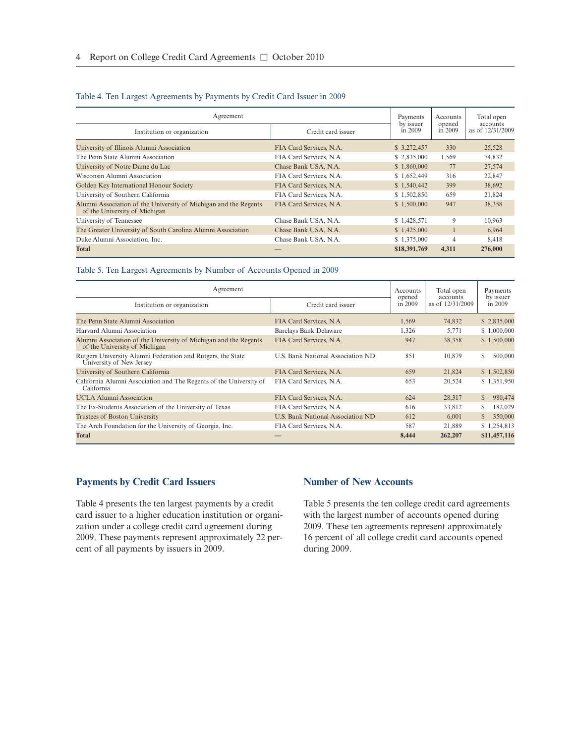#### Table 4. Ten Largest Agreements by Payments by Credit Card Issuer in 2009

| Agreement                                                                                         |                         | Payments<br>by issuer | Accounts          | Total open<br>accounts |  |
|---------------------------------------------------------------------------------------------------|-------------------------|-----------------------|-------------------|------------------------|--|
| Institution or organization                                                                       | Credit card issuer      | in $2009$             | opened<br>in 2009 | as of 12/31/2009       |  |
| University of Illinois Alumni Association                                                         | FIA Card Services, N.A. | \$ 3,272,457          | 330               | 25,528                 |  |
| The Penn State Alumni Association                                                                 | FIA Card Services, N.A. | \$2,835,000           | 1,569             | 74,832                 |  |
| University of Notre Dame du Lac                                                                   | Chase Bank USA, N.A.    | \$1,860,000           | 77                | 27,574                 |  |
| Wisconsin Alumni Association                                                                      | FIA Card Services, N.A. | \$1,652,449           | 316               | 22,847                 |  |
| Golden Key International Honour Society                                                           | FIA Card Services, N.A. | \$1,540,442           | 399               | 38,692                 |  |
| University of Southern California                                                                 | FIA Card Services, N.A. | \$1,502,850           | 659               | 21,824                 |  |
| Alumni Association of the University of Michigan and the Regents<br>of the University of Michigan | FIA Card Services, N.A. | \$1,500,000           | 947               | 38,358                 |  |
| University of Tennessee                                                                           | Chase Bank USA, N.A.    | \$1,428,571           | 9                 | 10,963                 |  |
| The Greater University of South Carolina Alumni Association                                       | Chase Bank USA, N.A.    | \$1,425,000           |                   | 6,964                  |  |
| Duke Alumni Association, Inc.                                                                     | Chase Bank USA, N.A.    | \$1,375,000           | $\overline{4}$    | 8,418                  |  |
| <b>Total</b>                                                                                      |                         | \$18,391,769          | 4,311             | 276,000                |  |

### Table 5. Ten Largest Agreements by Number of Accounts Opened in 2009

| Agreement                                                                                         |                                   | Accounts          | Total open<br>accounts | Payments                |
|---------------------------------------------------------------------------------------------------|-----------------------------------|-------------------|------------------------|-------------------------|
| Institution or organization                                                                       | Credit card issuer                | opened<br>in 2009 | as of 12/31/2009       | by issuer<br>in 2009    |
| The Penn State Alumni Association                                                                 | FIA Card Services, N.A.           | 1,569             | 74,832                 | \$2,835,000             |
| Harvard Alumni Association                                                                        | <b>Barclays Bank Delaware</b>     | 1,326             | 5,771                  | \$1,000,000             |
| Alumni Association of the University of Michigan and the Regents<br>of the University of Michigan | FIA Card Services, N.A.           | 947               | 38,358                 | \$1,500,000             |
| Rutgers University Alumni Federation and Rutgers, the State<br>University of New Jersey           | U.S. Bank National Association ND | 851               | 10,879                 | S<br>500,000            |
| University of Southern California                                                                 | FIA Card Services, N.A.           | 659               | 21,824                 | \$1,502,850             |
| California Alumni Association and The Regents of the University of<br>California                  | FIA Card Services, N.A.           | 653               | 20,524                 | \$1,351,950             |
| <b>UCLA Alumni Association</b>                                                                    | FIA Card Services, N.A.           | 624               | 28,317                 | 980,474<br>$\mathbb{S}$ |
| The Ex-Students Association of the University of Texas                                            | FIA Card Services, N.A.           | 616               | 33,812                 | 182,029<br>S            |
| Trustees of Boston University                                                                     | U.S. Bank National Association ND | 612               | 6.001                  | $\mathbb{S}$<br>350,000 |
| The Arch Foundation for the University of Georgia, Inc.                                           | FIA Card Services, N.A.           | 587               | 21,889                 | \$1,254,813             |
| <b>Total</b>                                                                                      |                                   | 8,444             | 262,207                | \$11,457,116            |

## **Payments by Credit Card Issuers**

Table 4 presents the ten largest payments by a credit card issuer to a higher education institution or organization under a college credit card agreement during 2009. These payments represent approximately 22 percent of all payments by issuers in 2009.

## **Number of New Accounts**

Table 5 presents the ten college credit card agreements with the largest number of accounts opened during 2009. These ten agreements represent approximately 16 percent of all college credit card accounts opened during 2009.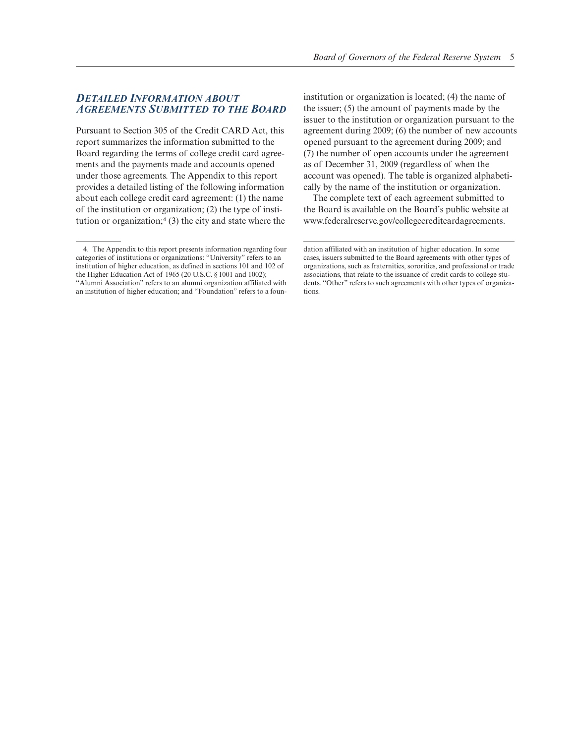## *DETAILED INFORMATION ABOUT AGREEMENTS SUBMITTED TO THE BOARD*

Pursuant to Section 305 of the Credit CARD Act, this report summarizes the information submitted to the Board regarding the terms of college credit card agreements and the payments made and accounts opened under those agreements. The Appendix to this report provides a detailed listing of the following information about each college credit card agreement: (1) the name of the institution or organization; (2) the type of institution or organization;<sup>4</sup> (3) the city and state where the

institution or organization is located; (4) the name of the issuer; (5) the amount of payments made by the issuer to the institution or organization pursuant to the agreement during 2009; (6) the number of new accounts opened pursuant to the agreement during 2009; and (7) the number of open accounts under the agreement as of December 31, 2009 (regardless of when the account was opened). The table is organized alphabetically by the name of the institution or organization.

The complete text of each agreement submitted to the Board is available on the Board's public website at [www.federalreserve.gov/collegecreditcardagreements.](www.federalreserve.gov/collegecreditcardagreements)

<sup>4.</sup> The Appendix to this report presents information regarding four categories of institutions or organizations: "University" refers to an institution of higher education, as defined in sections 101 and 102 of the Higher Education Act of 1965 (20 U.S.C. § 1001 and 1002); "Alumni Association" refers to an alumni organization affiliated with an institution of higher education; and "Foundation" refers to a foun-

dation affiliated with an institution of higher education. In some cases, issuers submitted to the Board agreements with other types of organizations, such as fraternities, sororities, and professional or trade associations, that relate to the issuance of credit cards to college students. "Other" refers to such agreements with other types of organizations.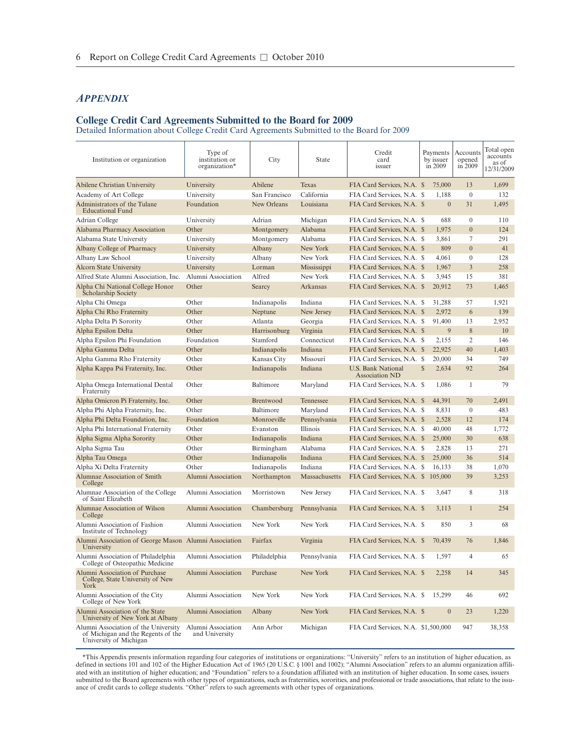## *APPENDIX*

#### **College Credit Card Agreements Submitted to the Board for 2009**

Detailed Information about College Credit Card Agreements Submitted to the Board for 2009

| Institution or organization                                                                          | Type of<br>institution or<br>organization* | City          | State         | Credit<br>card<br>issuer                           |              | Payments<br>by issuer<br>in 2009 | Accounts<br>opened<br>in 2009 | Total open<br>accounts<br>as of<br>12/31/2009 |
|------------------------------------------------------------------------------------------------------|--------------------------------------------|---------------|---------------|----------------------------------------------------|--------------|----------------------------------|-------------------------------|-----------------------------------------------|
| Abilene Christian University                                                                         | University                                 | Abilene       | Texas         | FIA Card Services, N.A. \$                         |              | 75,000                           | 13                            | 1,699                                         |
| Academy of Art College                                                                               | University                                 | San Francisco | California    | FIA Card Services, N.A. \$                         |              | 1,188                            | $\mathbf{0}$                  | 132                                           |
| Administrators of the Tulane<br><b>Educational Fund</b>                                              | Foundation                                 | New Orleans   | Louisiana     | FIA Card Services, N.A. \$                         |              | $\mathbf{0}$                     | 31                            | 1,495                                         |
| Adrian College                                                                                       | University                                 | Adrian        | Michigan      | FIA Card Services, N.A. \$                         |              | 688                              | $\mathbf{0}$                  | 110                                           |
| Alabama Pharmacy Association                                                                         | Other                                      | Montgomery    | Alabama       | FIA Card Services, N.A. \$                         |              | 1,975                            | $\overline{0}$                | 124                                           |
| Alabama State University                                                                             | University                                 | Montgomery    | Alabama       | FIA Card Services, N.A. \$                         |              | 3,861                            | 7                             | 291                                           |
| Albany College of Pharmacy                                                                           | University                                 | Albany        | New York      | FIA Card Services, N.A. \$                         |              | 809                              | $\overline{0}$                | 41                                            |
| Albany Law School                                                                                    | University                                 | Albany        | New York      | FIA Card Services, N.A. \$                         |              | 4,061                            | $\mathbf{0}$                  | 128                                           |
| <b>Alcorn State University</b>                                                                       | University                                 | Lorman        | Mississippi   | FIA Card Services, N.A. \$                         |              | 1,967                            | 3                             | 258                                           |
| Alfred State Alumni Association, Inc.                                                                | Alumni Association                         | Alfred        | New York      | FIA Card Services, N.A. \$                         |              | 3,945                            | 15                            | 381                                           |
| Alpha Chi National College Honor<br>Scholarship Society                                              | Other                                      | Searcy        | Arkansas      | FIA Card Services, N.A. \$                         |              | 20,912                           | 73                            | 1,465                                         |
| Alpha Chi Omega                                                                                      | Other                                      | Indianapolis  | Indiana       | FIA Card Services, N.A. \$                         |              | 31,288                           | 57                            | 1,921                                         |
| Alpha Chi Rho Fraternity                                                                             | Other                                      | Neptune       | New Jersey    | FIA Card Services, N.A. \$                         |              | 2,972                            | 6                             | 139                                           |
| Alpha Delta Pi Sorority                                                                              | Other                                      | Atlanta       | Georgia       | FIA Card Services, N.A. \$                         |              | 91,400                           | 13                            | 2,952                                         |
| Alpha Epsilon Delta                                                                                  | Other                                      | Harrisonburg  | Virginia      | FIA Card Services, N.A. \$                         |              | 9                                | $\,$ 8 $\,$                   | 10                                            |
| Alpha Epsilon Phi Foundation                                                                         | Foundation                                 | Stamford      | Connecticut   | FIA Card Services, N.A. \$                         |              | 2,155                            | 2                             | 146                                           |
| Alpha Gamma Delta                                                                                    | Other                                      | Indianapolis  | Indiana       | FIA Card Services, N.A. \$                         |              | 22,925                           | 40                            | 1,403                                         |
| Alpha Gamma Rho Fraternity                                                                           | Other                                      | Kansas City   | Missouri      | FIA Card Services, N.A. \$                         |              | 20,000                           | 34                            | 749                                           |
| Alpha Kappa Psi Fraternity, Inc.                                                                     | Other                                      | Indianapolis  | Indiana       | <b>U.S. Bank National</b><br><b>Association ND</b> | $\mathbb{S}$ | 2,634                            | 92                            | 264                                           |
| Alpha Omega International Dental<br>Fraternity                                                       | Other                                      | Baltimore     | Maryland      | FIA Card Services, N.A. \$                         |              | 1,086                            | 1                             | 79                                            |
| Alpha Omicron Pi Fraternity, Inc.                                                                    | Other                                      | Brentwood     | Tennessee     | FIA Card Services, N.A. \$                         |              | 44,391                           | 70                            | 2,491                                         |
| Alpha Phi Alpha Fraternity, Inc.                                                                     | Other                                      | Baltimore     | Maryland      | FIA Card Services, N.A. \$                         |              | 8,831                            | $\boldsymbol{0}$              | 483                                           |
| Alpha Phi Delta Foundation, Inc.                                                                     | Foundation                                 | Monroeville   | Pennsylvania  | FIA Card Services, N.A. \$                         |              | 2,528                            | 12                            | 174                                           |
| Alpha Phi International Fraternity                                                                   | Other                                      | Evanston      | Illinois      | FIA Card Services, N.A. \$                         |              | 40,000                           | 48                            | 1,772                                         |
| Alpha Sigma Alpha Sorority                                                                           | Other                                      | Indianapolis  | Indiana       | FIA Card Services, N.A. \$                         |              | 25,000                           | 30                            | 638                                           |
| Alpha Sigma Tau                                                                                      | Other                                      | Birmingham    | Alabama       | FIA Card Services, N.A. \$                         |              | 2,828                            | 13                            | 271                                           |
| Alpha Tau Omega                                                                                      | Other                                      | Indianapolis  | Indiana       | FIA Card Services, N.A. \$                         |              | 25,000                           | 36                            | 514                                           |
| Alpha Xi Delta Fraternity                                                                            | Other                                      | Indianapolis  | Indiana       | FIA Card Services, N.A. \$                         |              | 16,133                           | 38                            | 1,070                                         |
| Alumnae Association of Smith<br>College                                                              | Alumni Association                         | Northampton   | Massachusetts | FIA Card Services, N.A. \$                         |              | 105,000                          | 39                            | 3,253                                         |
| Alumnae Association of the College<br>of Saint Elizabeth                                             | Alumni Association                         | Morristown    | New Jersey    | FIA Card Services, N.A. \$                         |              | 3,647                            | 8                             | 318                                           |
| Alumnae Association of Wilson<br>College                                                             | Alumni Association                         | Chambersburg  | Pennsylvania  | FIA Card Services, N.A. \$                         |              | 3,113                            | $\mathbf{1}$                  | 254                                           |
| Alumni Association of Fashion<br>Institute of Technology                                             | Alumni Association                         | New York      | New York      | FIA Card Services, N.A. \$                         |              | 850                              | 3                             | 68                                            |
| Alumni Association of George Mason Alumni Association<br>University                                  |                                            | Fairfax       | Virginia      | FIA Card Services, N.A. \$                         |              | 70,439                           | 76                            | 1,846                                         |
| Alumni Association of Philadelphia<br>College of Osteopathic Medicine                                | Alumni Association                         | Philadelphia  | Pennsylvania  | FIA Card Services, N.A. \$                         |              | 1,597                            | 4                             | 65                                            |
| Alumni Association of Purchase<br>College, State University of New<br>York                           | Alumni Association                         | Purchase      | New York      | FIA Card Services, N.A. \$                         |              | 2,258                            | 14                            | 345                                           |
| Alumni Association of the City<br>College of New York                                                | Alumni Association                         | New York      | New York      | FIA Card Services, N.A. \$                         |              | 15,299                           | 46                            | 692                                           |
| Alumni Association of the State<br>University of New York at Albany                                  | Alumni Association                         | Albany        | New York      | FIA Card Services, N.A. \$                         |              | $\mathbf{0}$                     | 23                            | 1,220                                         |
| Alumni Association of the University<br>of Michigan and the Regents of the<br>University of Michigan | Alumni Association<br>and University       | Ann Arbor     | Michigan      | FIA Card Services, N.A. \$1,500,000                |              |                                  | 947                           | 38,358                                        |

\*This Appendix presents information regarding four categories of institutions or organizations: "University" refers to an institution of higher education, as defined in sections 101 and 102 of the Higher Education Act of 1965 (20 U.S.C. § 1001 and 1002); "Alumni Association" refers to an alumni organization affiliated with an institution of higher education; and "Foundation" refers to a foundation affiliated with an institution of higher education. In some cases, issuers submitted to the Board agreements with other types of organizations, such as fraternities, sororities, and professional or trade associations, that relate to the issuance of credit cards to college students. "Other" refers to such agreements with other types of organizations.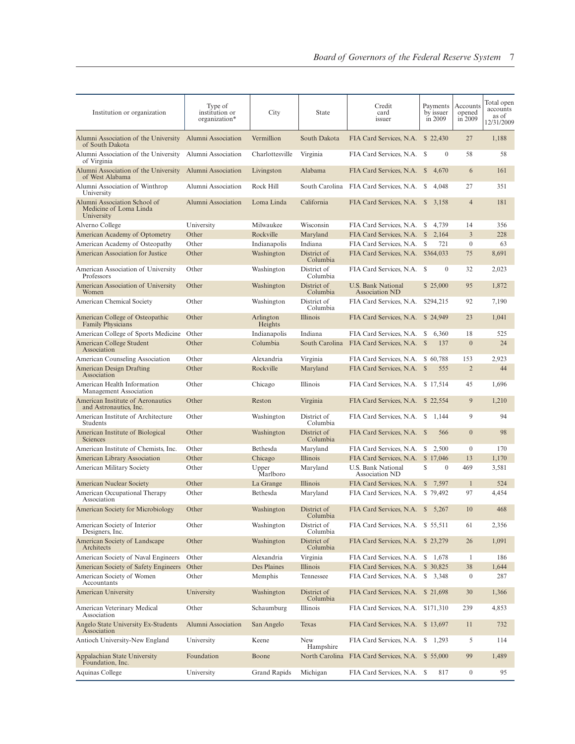| Institution or organization                                          | Type of<br>institution or<br>organization* | City                 | <b>State</b>            | Credit<br>card<br>issuer                    | Payments<br>by issuer<br>in 2009 | Accounts<br>opened<br>in 2009 | Total open<br>accounts<br>as of<br>12/31/2009 |
|----------------------------------------------------------------------|--------------------------------------------|----------------------|-------------------------|---------------------------------------------|----------------------------------|-------------------------------|-----------------------------------------------|
| Alumni Association of the University<br>of South Dakota              | Alumni Association                         | Vermillion           | South Dakota            | FIA Card Services, N.A. \$22,430            |                                  | 27                            | 1,188                                         |
| Alumni Association of the University<br>of Virginia                  | Alumni Association                         | Charlottesville      | Virginia                | FIA Card Services, N.A. \$                  | $\mathbf{0}$                     | 58                            | 58                                            |
| Alumni Association of the University<br>of West Alabama              | Alumni Association                         | Livingston           | Alabama                 | FIA Card Services, N.A. \$                  | 4,670                            | 6                             | 161                                           |
| Alumni Association of Winthrop<br>University                         | Alumni Association                         | Rock Hill            | South Carolina          | FIA Card Services, N.A.                     | 4,048<br>S                       | 27                            | 351                                           |
| Alumni Association School of<br>Medicine of Loma Linda<br>University | Alumni Association                         | Loma Linda           | California              | FIA Card Services, N.A.                     | <sup>S</sup><br>3,158            | $\overline{4}$                | 181                                           |
| Alverno College                                                      | University                                 | Milwaukee            | Wisconsin               | FIA Card Services, N.A.                     | S<br>4,739                       | 14                            | 356                                           |
| American Academy of Optometry                                        | Other                                      | Rockville            | Maryland                | FIA Card Services, N.A.                     | 2,164<br>$\mathbb{S}$            | $\mathfrak{Z}$                | 228                                           |
| American Academy of Osteopathy                                       | Other                                      | Indianapolis         | Indiana                 | FIA Card Services, N.A.                     | 721<br>- \$                      | $\mathbf{0}$                  | 63                                            |
| <b>American Association for Justice</b>                              | Other                                      | Washington           | District of<br>Columbia | FIA Card Services, N.A. \$364,033           |                                  | 75                            | 8,691                                         |
| American Association of University<br>Professors                     | Other                                      | Washington           | District of<br>Columbia | FIA Card Services, N.A. \$                  | $\mathbf{0}$                     | 32                            | 2,023                                         |
| American Association of University<br>Women                          | Other                                      | Washington           | District of<br>Columbia | U.S. Bank National<br>Association ND        | \$ 25,000                        | 95                            | 1,872                                         |
| <b>American Chemical Society</b>                                     | Other                                      | Washington           | District of<br>Columbia | FIA Card Services, N.A.                     | \$294,215                        | 92                            | 7,190                                         |
| American College of Osteopathic<br><b>Family Physicians</b>          | Other                                      | Arlington<br>Heights | <b>Illinois</b>         | FIA Card Services, N.A.                     | \$24,949                         | 23                            | 1,041                                         |
| American College of Sports Medicine                                  | Other                                      | Indianapolis         | Indiana                 | FIA Card Services, N.A.                     | 6,360<br>S                       | 18                            | 525                                           |
| American College Student<br>Association                              | Other                                      | Columbia             | South Carolina          | FIA Card Services, N.A.                     | <sup>\$</sup><br>137             | $\overline{0}$                | 24                                            |
| <b>American Counseling Association</b>                               | Other                                      | Alexandria           | Virginia                | FIA Card Services, N.A. \$ 60,788           |                                  | 153                           | 2,923                                         |
| <b>American Design Drafting</b><br>Association                       | Other                                      | Rockville            | Maryland                | FIA Card Services, N.A. \$                  | 555                              | $\overline{2}$                | 44                                            |
| American Health Information<br>Management Association                | Other                                      | Chicago              | <b>Illinois</b>         | FIA Card Services, N.A. \$17,514            |                                  | 45                            | 1,696                                         |
| American Institute of Aeronautics<br>and Astronautics, Inc.          | Other                                      | Reston               | Virginia                | FIA Card Services, N.A. \$22,554            |                                  | 9                             | 1,210                                         |
| American Institute of Architecture<br>Students                       | Other                                      | Washington           | District of<br>Columbia | FIA Card Services, N.A.                     | \$1,144                          | 9                             | 94                                            |
| American Institute of Biological<br>Sciences                         | Other                                      | Washington           | District of<br>Columbia | FIA Card Services, N.A. \$                  | 566                              | $\mathbf{0}$                  | 98                                            |
| American Institute of Chemists, Inc.                                 | Other                                      | Bethesda             | Maryland                | FIA Card Services, N.A.                     | 2,500<br>S                       | $\boldsymbol{0}$              | 170                                           |
| <b>American Library Association</b>                                  | Other                                      | Chicago              | Illinois                | FIA Card Services, N.A.                     | \$17,046                         | 13                            | 1,170                                         |
| American Military Society                                            | Other                                      | Upper<br>Marlboro    | Maryland                | U.S. Bank National<br><b>Association ND</b> | S<br>$\mathbf{0}$                | 469                           | 3,581                                         |
| American Nuclear Society                                             | Other                                      | La Grange            | Illinois                | FIA Card Services, N.A.                     | \$7,597                          | $\mathbf{1}$                  | 524                                           |
| American Occupational Therapy<br>Association                         | Other                                      | Bethesda             | Maryland                | FIA Card Services, N.A. \$79,492            |                                  | 97                            | 4,454                                         |
| American Society for Microbiology                                    | Other                                      | Washington           | District of<br>Columbia | FIA Card Services, N.A. \$ 5,267            |                                  | 10                            | 468                                           |
| American Society of Interior<br>Designers, Inc.                      | Other                                      | Washington           | District of<br>Columbia | FIA Card Services, N.A. \$55,511            |                                  | 61                            | 2,356                                         |
| American Society of Landscape<br>Architects                          | Other                                      | Washington           | District of<br>Columbia | FIA Card Services, N.A. \$23,279            |                                  | 26                            | 1,091                                         |
| American Society of Naval Engineers                                  | Other                                      | Alexandria           | Virginia                | FIA Card Services, N.A.                     | \$1,678                          | 1                             | 186                                           |
| American Society of Safety Engineers                                 | Other                                      | Des Plaines          | Illinois                | FIA Card Services, N.A.                     | \$ 30,825                        | 38                            | 1,644                                         |
| American Society of Women<br>Accountants                             | Other                                      | Memphis              | Tennessee               | FIA Card Services, N.A. \$ 3,348            |                                  | $\boldsymbol{0}$              | 287                                           |
| American University                                                  | University                                 | Washington           | District of<br>Columbia | FIA Card Services, N.A. \$21,698            |                                  | 30                            | 1,366                                         |
| American Veterinary Medical<br>Association                           | Other                                      | Schaumburg           | Illinois                | FIA Card Services, N.A. \$171,310           |                                  | 239                           | 4,853                                         |
| Angelo State University Ex-Students<br>Association                   | Alumni Association                         | San Angelo           | Texas                   | FIA Card Services, N.A. \$13,697            |                                  | 11                            | 732                                           |
| Antioch University-New England                                       | University                                 | Keene                | <b>New</b><br>Hampshire | FIA Card Services, N.A. \$ 1,293            |                                  | 5                             | 114                                           |
| Appalachian State University<br>Foundation, Inc.                     | Foundation                                 | Boone                | North Carolina          | FIA Card Services, N.A. \$55,000            |                                  | 99                            | 1,489                                         |
| Aquinas College                                                      | University                                 | Grand Rapids         | Michigan                | FIA Card Services, N.A. \$                  | 817                              | $\boldsymbol{0}$              | 95                                            |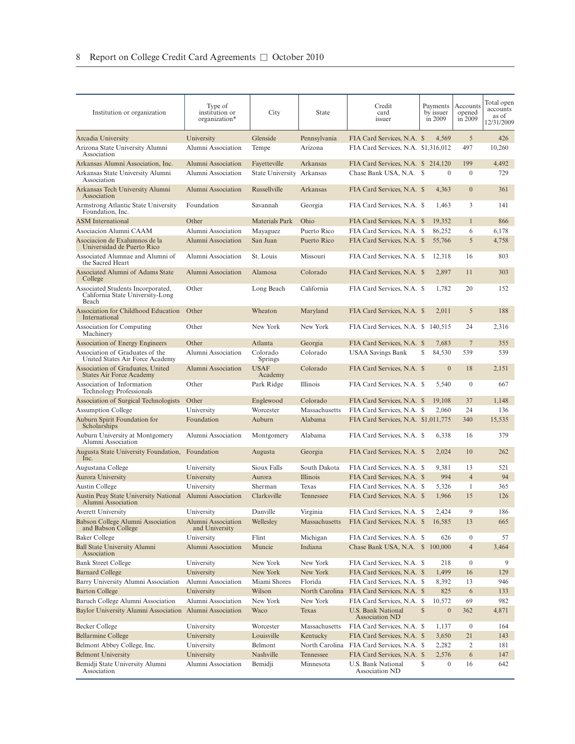| Institution or organization                                                           | Type of<br>institution or<br>organization* | City                      | State                  | Credit<br>card<br>issuer                           | Payments<br>by issuer<br>in 2009 | Accounts<br>opened<br>in 2009 | Total open<br>accounts<br>as of<br>12/31/2009 |
|---------------------------------------------------------------------------------------|--------------------------------------------|---------------------------|------------------------|----------------------------------------------------|----------------------------------|-------------------------------|-----------------------------------------------|
| Arcadia University                                                                    | University                                 | Glenside                  | Pennsylvania           | FIA Card Services, N.A. \$                         | 4,569                            | 5                             | 426                                           |
| Arizona State University Alumni                                                       | Alumni Association                         | Tempe                     | Arizona                | FIA Card Services, N.A. \$1,316,012                |                                  | 497                           | 10,260                                        |
| Association                                                                           |                                            |                           |                        |                                                    |                                  |                               |                                               |
| Arkansas Alumni Association, Inc.                                                     | Alumni Association                         | Fayetteville              | Arkansas               | FIA Card Services, N.A. \$ 214,120                 |                                  | 199                           | 4,492                                         |
| Arkansas State University Alumni<br>Association                                       | Alumni Association                         | State University Arkansas |                        | Chase Bank USA, N.A. \$                            | $\mathbf{0}$                     | $\boldsymbol{0}$              | 729                                           |
| Arkansas Tech University Alumni<br>Association                                        | Alumni Association                         | Russellville              | Arkansas               | FIA Card Services, N.A. \$                         | 4,363                            | $\boldsymbol{0}$              | 361                                           |
| Armstrong Atlantic State University<br>Foundation, Inc.                               | Foundation                                 | Savannah                  | Georgia                | FIA Card Services, N.A. \$                         | 1,463                            | 3                             | 141                                           |
| <b>ASM</b> International                                                              | Other                                      | <b>Materials Park</b>     | Ohio                   | FIA Card Services, N.A. \$                         | 19,352                           | $\mathbf{1}$                  | 866                                           |
| Asociacion Alumni CAAM                                                                | Alumni Association                         | Mayaguez                  | Puerto Rico            | FIA Card Services, N.A. \$                         | 86,252                           | 6                             | 6,178                                         |
| Asociacion de Exalumnos de la<br>Universidad de Puerto Rico                           | Alumni Association                         | San Juan                  | Puerto Rico            | FIA Card Services, N.A. \$                         | 55,766                           | 5                             | 4,758                                         |
| Associated Alumnae and Alumni of<br>the Sacred Heart                                  | Alumni Association                         | St. Louis                 | Missouri               | FIA Card Services, N.A. \$                         | 12,318                           | 16                            | 803                                           |
| Associated Alumni of Adams State<br>College                                           | Alumni Association                         | Alamosa                   | Colorado               | FIA Card Services, N.A. \$                         | 2,897                            | 11                            | 303                                           |
| Associated Students Incorporated,<br>California State University-Long<br><b>Beach</b> | Other                                      | Long Beach                | California             | FIA Card Services, N.A. \$                         | 1,782                            | 20                            | 152                                           |
| Association for Childhood Education<br>International                                  | Other                                      | Wheaton                   | Maryland               | FIA Card Services, N.A. \$                         | 2,011                            | 5                             | 188                                           |
| Association for Computing<br>Machinery                                                | Other                                      | New York                  | New York               | FIA Card Services, N.A. \$ 140,515                 |                                  | 24                            | 2,316                                         |
| Association of Energy Engineers                                                       | Other                                      | Atlanta                   | Georgia                | FIA Card Services, N.A. \$                         | 7,683                            | $\overline{7}$                | 355                                           |
| Association of Graduates of the<br>United States Air Force Academy                    | Alumni Association                         | Colorado<br>Springs       | Colorado               | <b>USAA Savings Bank</b>                           | S<br>84,530                      | 539                           | 539                                           |
| Association of Graduates, United<br>States Air Force Academy                          | Alumni Association                         | <b>USAF</b><br>Academy    | Colorado               | FIA Card Services, N.A. \$                         | $\mathbf{0}$                     | 18                            | 2,151                                         |
| Association of Information<br><b>Technology Professionals</b>                         | Other                                      | Park Ridge                | Illinois               | FIA Card Services, N.A. \$                         | 5,540                            | $\mathbf{0}$                  | 667                                           |
| Association of Surgical Technologists                                                 | Other                                      | Englewood                 | Colorado               | FIA Card Services, N.A. \$                         | 19,108                           | 37                            | 1,148                                         |
| <b>Assumption College</b>                                                             | University                                 | Worcester                 | Massachusetts          | FIA Card Services, N.A. \$                         | 2,060                            | 24                            | 136                                           |
| Auburn Spirit Foundation for<br>Scholarships                                          | Foundation                                 | Auburn                    | Alabama                | FIA Card Services, N.A. \$1,011,775                |                                  | 340                           | 15,535                                        |
| Auburn University at Montgomery<br>Alumni Association                                 | Alumni Association                         | Montgomery                | Alabama                | FIA Card Services, N.A. \$                         | 6,338                            | 16                            | 379                                           |
| Augusta State University Foundation,<br>Inc.                                          | Foundation                                 | Augusta                   | Georgia                | FIA Card Services, N.A. \$                         | 2,024                            | 10                            | 262                                           |
| Augustana College                                                                     | University                                 | Sioux Falls               | South Dakota           | FIA Card Services, N.A. \$                         | 9,381                            | 13                            | 521                                           |
| Aurora University                                                                     | University                                 | Aurora                    | Illinois               | FIA Card Services, N.A. \$                         | 994                              | $\overline{4}$                | 94                                            |
| <b>Austin College</b>                                                                 | University                                 | Sherman                   | Texas                  | FIA Card Services, N.A. \$                         | 5,326                            | $\mathbf{1}$                  | 365                                           |
| <b>Austin Peay State University National</b><br>Alumni Association                    | Alumni Association                         | Clarksville               | Tennessee              | FIA Card Services, N.A. \$                         | 1,966                            | 15                            | 126                                           |
| Averett University                                                                    | University                                 | Danville                  | Virginia               | FIA Card Services, N.A. \$                         | 2,424                            | 9                             | 186                                           |
| Babson College Alumni Association<br>and Babson College                               | Alumni Association<br>and University       | Wellesley                 | Massachusetts          | FIA Card Services, N.A. \$                         | 16,585                           | 13                            | 665                                           |
| <b>Baker College</b>                                                                  | University                                 | Flint                     | Michigan               | FIA Card Services, N.A. \$                         | 626                              | 0                             | 57                                            |
| <b>Ball State University Alumni</b><br>Association                                    | Alumni Association                         | Muncie                    | Indiana                | Chase Bank USA, N.A. \$ 100,000                    |                                  | $\overline{4}$                | 3,464                                         |
| <b>Bank Street College</b>                                                            | University                                 | New York                  | New York               | FIA Card Services, N.A. \$                         | 218                              | $\boldsymbol{0}$              | 9                                             |
| <b>Barnard College</b>                                                                | University                                 | New York                  | New York               | FIA Card Services, N.A. \$                         | 1,499                            | 16                            | 129                                           |
| Barry University Alumni Association                                                   | Alumni Association                         | Miami Shores              | Florida                | FIA Card Services, N.A. \$                         | 8,392                            | 13                            | 946                                           |
| <b>Barton College</b>                                                                 | University                                 | Wilson                    | North Carolina         | FIA Card Services, N.A. \$                         | 825                              | 6                             | 133                                           |
| Baruch College Alumni Association                                                     | Alumni Association                         | New York                  | New York               | FIA Card Services, N.A. \$                         | 10,572                           | 69                            | 982                                           |
| Baylor University Alumni Association Alumni Association                               |                                            | Waco                      | Texas                  | <b>U.S. Bank National</b><br><b>Association ND</b> | $\mathbb{S}$<br>$\mathbf{0}$     | 362                           | 4,871                                         |
| Becker College                                                                        | University                                 | Worcester                 | Massachusetts          | FIA Card Services, N.A. \$                         | 1,137                            | $\boldsymbol{0}$              | 164                                           |
| Bellarmine College                                                                    | University                                 | Louisville                | Kentucky               | FIA Card Services, N.A. \$                         | 3,650                            | 21                            | 143                                           |
| Belmont Abbey College, Inc.                                                           | University                                 | Belmont                   | North Carolina         | FIA Card Services, N.A. \$                         | 2,282                            | 2                             | 181                                           |
| <b>Belmont University</b><br>Bemidji State University Alumni                          | University<br>Alumni Association           | Nashville<br>Bemidji      | Tennessee<br>Minnesota | FIA Card Services, N.A. \$<br>U.S. Bank National   | 2,576<br>S<br>$\boldsymbol{0}$   | 6<br>16                       | 147<br>642                                    |
| Association                                                                           |                                            |                           |                        | Association ND                                     |                                  |                               |                                               |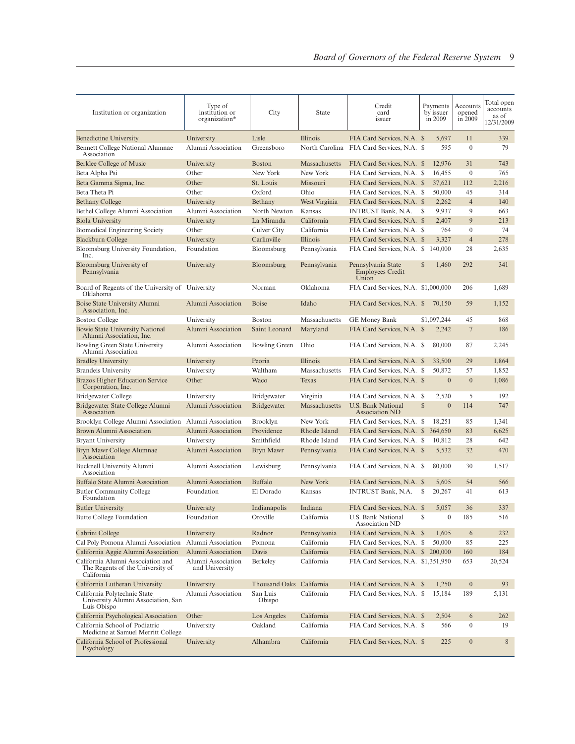| Institution or organization                                                         | Type of<br>institution or<br>organization* | City                     | <b>State</b>          | Credit<br>card<br>issuer                                                |              | Payments<br>by issuer<br>in 2009 | Accounts<br>opened<br>in 2009 | Total open<br>accounts<br>as of<br>12/31/2009 |
|-------------------------------------------------------------------------------------|--------------------------------------------|--------------------------|-----------------------|-------------------------------------------------------------------------|--------------|----------------------------------|-------------------------------|-----------------------------------------------|
|                                                                                     |                                            |                          |                       |                                                                         |              |                                  |                               |                                               |
| <b>Benedictine University</b><br>Bennett College National Alumnae<br>Association    | University<br>Alumni Association           | Lisle<br>Greensboro      | <b>Illinois</b>       | FIA Card Services, N.A. \$<br>North Carolina FIA Card Services, N.A. \$ |              | 5,697<br>595                     | 11<br>$\mathbf{0}$            | 339<br>79                                     |
| Berklee College of Music                                                            | University                                 | <b>Boston</b>            | Massachusetts         | FIA Card Services, N.A. \$                                              |              | 12,976                           | 31                            | 743                                           |
| Beta Alpha Psi                                                                      | Other                                      | New York                 | New York              | FIA Card Services, N.A. \$                                              |              | 16,455                           | $\overline{0}$                | 765                                           |
| Beta Gamma Sigma, Inc.                                                              | Other                                      | St. Louis                | Missouri              | FIA Card Services, N.A. \$                                              |              | 37,621                           | 112                           | 2,216                                         |
| Beta Theta Pi                                                                       | Other                                      | Oxford                   | Ohio                  | FIA Card Services, N.A. \$                                              |              | 50,000                           | 45                            | 314                                           |
| <b>Bethany College</b>                                                              | University                                 | Bethany                  | West Virginia         | FIA Card Services, N.A. \$                                              |              | 2,262                            | $\overline{4}$                | 140                                           |
| Bethel College Alumni Association                                                   | Alumni Association                         | North Newton             | Kansas                | <b>INTRUST Bank, N.A.</b>                                               | S            | 9,937                            | 9                             | 663                                           |
| <b>Biola University</b>                                                             | University                                 | La Miranda               | California            | FIA Card Services, N.A. \$                                              |              | 2,407                            | 9                             | 213                                           |
| <b>Biomedical Engineering Society</b>                                               | Other                                      | Culver City              | California            | FIA Card Services, N.A. \$                                              |              | 764                              | $\overline{0}$                | 74                                            |
| <b>Blackburn College</b>                                                            | University                                 | Carlinville              | Illinois              | FIA Card Services, N.A. \$                                              |              | 3,327                            | $\overline{4}$                | 278                                           |
| Bloomsburg University Foundation,<br>Inc.                                           | Foundation                                 | Bloomsburg               | Pennsylvania          | FIA Card Services, N.A. \$                                              |              | 140,000                          | 28                            | 2,635                                         |
| Bloomsburg University of<br>Pennsylvania                                            | University                                 | Bloomsburg               | Pennsylvania          | Pennsylvania State<br>Employees Credit<br>Union                         | S            | 1,460                            | 292                           | 341                                           |
| Board of Regents of the University of University<br>Oklahoma                        |                                            | Norman                   | Oklahoma              | FIA Card Services, N.A. \$1,000,000                                     |              |                                  | 206                           | 1,689                                         |
| Boise State University Alumni<br>Association, Inc.                                  | Alumni Association                         | <b>Boise</b>             | Idaho                 | FIA Card Services, N.A. \$                                              |              | 70,150                           | 59                            | 1,152                                         |
| <b>Boston College</b>                                                               | University                                 | <b>Boston</b>            | Massachusetts         | <b>GE Money Bank</b>                                                    |              | \$1,097,244                      | 45                            | 868                                           |
| <b>Bowie State University National</b><br>Alumni Association, Inc.                  | Alumni Association                         | Saint Leonard            | Maryland              | FIA Card Services, N.A. \$                                              |              | 2,242                            | 7                             | 186                                           |
| <b>Bowling Green State University</b><br>Alumni Association                         | Alumni Association                         | <b>Bowling Green</b>     | Ohio                  | FIA Card Services, N.A. \$                                              |              | 80,000                           | 87                            | 2,245                                         |
| <b>Bradley University</b>                                                           | University                                 | Peoria                   | Illinois              | FIA Card Services, N.A. \$                                              |              | 33,500                           | 29                            | 1,864                                         |
| <b>Brandeis University</b>                                                          | University                                 | Waltham                  | Massachusetts         | FIA Card Services, N.A. \$                                              |              | 50,872                           | 57                            | 1,852                                         |
| <b>Brazos Higher Education Service</b><br>Corporation, Inc.                         | Other                                      | Waco                     | Texas                 | FIA Card Services, N.A. \$                                              |              | $\boldsymbol{0}$                 | $\overline{0}$                | 1,086                                         |
| Bridgewater College                                                                 | University                                 | <b>Bridgewater</b>       | Virginia              | FIA Card Services, N.A. \$                                              |              | 2,520                            | 5                             | 192                                           |
| Bridgewater State College Alumni<br>Association                                     | Alumni Association                         | <b>Bridgewater</b>       | Massachusetts         | U.S. Bank National<br><b>Association ND</b>                             | $\mathbb{S}$ | $\mathbf{0}$                     | 114                           | 747                                           |
| Brooklyn College Alumni Association                                                 | Alumni Association                         | <b>Brooklyn</b>          | New York              | FIA Card Services, N.A. \$                                              |              | 18,251                           | 85                            | 1,341                                         |
| Brown Alumni Association                                                            | Alumni Association                         | Providence               | Rhode Island          | FIA Card Services, N.A. \$                                              |              | 364,650                          | 83                            | 6,625                                         |
| <b>Bryant University</b>                                                            | University                                 | Smithfield               | Rhode Island          | FIA Card Services, N.A. \$                                              |              | 10,812                           | 28                            | 642                                           |
| Bryn Mawr College Alumnae<br>Association                                            | Alumni Association                         | Bryn Mawr                | Pennsylvania          | FIA Card Services, N.A. \$                                              |              | 5,532                            | 32                            | 470                                           |
| Bucknell University Alumni<br>Association                                           | Alumni Association                         | Lewisburg                | Pennsylvania          | FIA Card Services, N.A. \$                                              |              | 80,000                           | 30                            | 1,517                                         |
| Buffalo State Alumni Association                                                    | Alumni Association                         | <b>Buffalo</b>           | New York              | FIA Card Services, N.A. \$                                              |              | 5,605                            | 54                            | 566                                           |
| <b>Butler Community College</b><br>Foundation                                       | Foundation                                 | El Dorado                | Kansas                | <b>INTRUST Bank, N.A.</b>                                               | S            | 20,267                           | 41                            | 613                                           |
| <b>Butler University</b><br><b>Butte College Foundation</b>                         | University<br>Foundation                   | Indianapolis<br>Oroville | Indiana<br>California | FIA Card Services, N.A. \$<br>U.S. Bank National                        | S            | 5.057<br>$\boldsymbol{0}$        | 36<br>185                     | 337<br>516                                    |
| Cabrini College                                                                     | University                                 | Radnor                   | Pennsylvania          | <b>Association ND</b><br>FIA Card Services, N.A. \$                     |              | 1,605                            | 6                             | 232                                           |
| Cal Poly Pomona Alumni Association                                                  | Alumni Association                         | Pomona                   | California            | FIA Card Services, N.A. \$                                              |              | 50,000                           | 85                            | 225                                           |
| California Aggie Alumni Association                                                 | Alumni Association                         | Davis                    | California            | FIA Card Services, N.A. \$ 200,000                                      |              |                                  | 160                           | 184                                           |
| California Alumni Association and<br>The Regents of the University of<br>California | Alumni Association<br>and University       | Berkeley                 | California            | FIA Card Services, N.A. \$1,351,950                                     |              |                                  | 653                           | 20,524                                        |
| California Lutheran University                                                      | University                                 | Thousand Oaks California |                       | FIA Card Services, N.A. \$                                              |              | 1,250                            | $\boldsymbol{0}$              | 93                                            |
| California Polytechnic State<br>University Alumni Association, San<br>Luis Obispo   | Alumni Association                         | San Luis<br>Obispo       | California            | FIA Card Services, N.A. \$                                              |              | 15,184                           | 189                           | 5,131                                         |
| California Psychological Association                                                | Other                                      | Los Angeles              | California            | FIA Card Services, N.A. \$                                              |              | 2,504                            | 6                             | 262                                           |
| California School of Podiatric<br>Medicine at Samuel Merritt College                | University                                 | Oakland                  | California            | FIA Card Services, N.A. \$                                              |              | 566                              | $\boldsymbol{0}$              | 19                                            |
| California School of Professional<br>Psychology                                     | University                                 | Alhambra                 | California            | FIA Card Services, N.A. \$                                              |              | 225                              | $\boldsymbol{0}$              | 8                                             |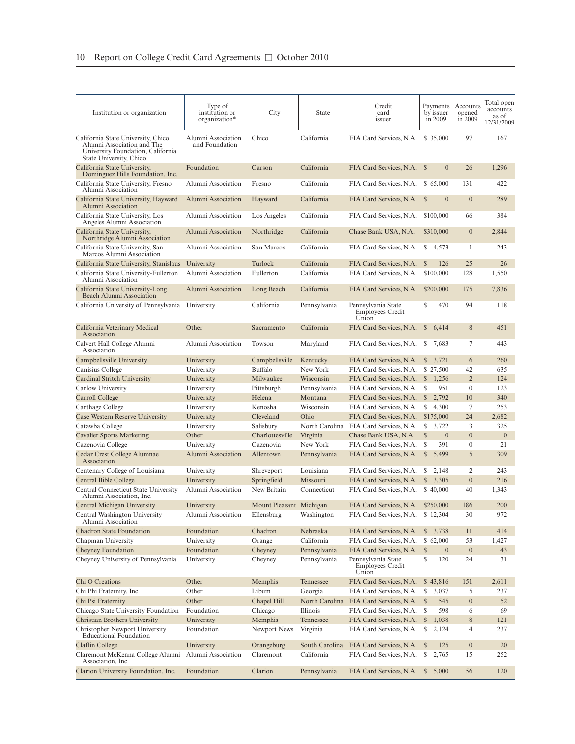| Institution or organization                                                                                                      | Type of<br>institution or<br>organization* | City                    | <b>State</b>   | Credit<br>card<br>issuer                               | Payments<br>by issuer<br>in 2009 | Accounts<br>opened<br>in 2009 | Total open<br>accounts<br>as of<br>12/31/2009 |
|----------------------------------------------------------------------------------------------------------------------------------|--------------------------------------------|-------------------------|----------------|--------------------------------------------------------|----------------------------------|-------------------------------|-----------------------------------------------|
| California State University, Chico<br>Alumni Association and The<br>University Foundation, California<br>State University, Chico | Alumni Association<br>and Foundation       | Chico                   | California     | FIA Card Services, N.A. \$ 35,000                      |                                  | 97                            | 167                                           |
| California State University,<br>Dominguez Hills Foundation, Inc.                                                                 | Foundation                                 | Carson                  | California     | FIA Card Services, N.A. \$                             | $\mathbf{0}$                     | 26                            | 1,296                                         |
| California State University, Fresno<br>Alumni Association                                                                        | Alumni Association                         | Fresno                  | California     | FIA Card Services, N.A. \$ 65,000                      |                                  | 131                           | 422                                           |
| California State University, Hayward<br>Alumni Association                                                                       | Alumni Association                         | Hayward                 | California     | FIA Card Services, N.A. \$                             | $\mathbf{0}$                     | $\overline{0}$                | 289                                           |
| California State University, Los<br>Angeles Alumni Association                                                                   | Alumni Association                         | Los Angeles             | California     | FIA Card Services, N.A.                                | \$100,000                        | 66                            | 384                                           |
| California State University,<br>Northridge Alumni Association                                                                    | Alumni Association                         | Northridge              | California     | Chase Bank USA, N.A.                                   | \$310,000                        | $\mathbf{0}$                  | 2,844                                         |
| California State University, San<br>Marcos Alumni Association                                                                    | Alumni Association                         | San Marcos              | California     | FIA Card Services, N.A.                                | <sup>S</sup><br>4,573            | 1                             | 243                                           |
| California State University, Stanislaus                                                                                          | University                                 | Turlock                 | California     | FIA Card Services, N.A.                                | $\mathbb{S}$<br>126              | 25                            | 26                                            |
| California State University-Fullerton<br>Alumni Association                                                                      | Alumni Association                         | Fullerton               | California     | FIA Card Services, N.A.                                | \$100,000                        | 128                           | 1,550                                         |
| California State University-Long<br><b>Beach Alumni Association</b>                                                              | Alumni Association                         | Long Beach              | California     | FIA Card Services, N.A.                                | \$200,000                        | 175                           | 7,836                                         |
| California University of Pennsylvania University                                                                                 |                                            | California              | Pennsylvania   | Pennsylvania State<br><b>Employees Credit</b><br>Union | \$<br>470                        | 94                            | 118                                           |
| California Veterinary Medical<br>Association                                                                                     | Other                                      | Sacramento              | California     | FIA Card Services, N.A. \$                             | 6,414                            | 8                             | 451                                           |
| Calvert Hall College Alumni<br>Association                                                                                       | Alumni Association                         | Towson                  | Maryland       | FIA Card Services, N.A.                                | S<br>7,683                       | 7                             | 443                                           |
| Campbellsville University                                                                                                        | University                                 | Campbellsville          | Kentucky       | FIA Card Services, N.A.                                | <sup>\$</sup><br>3,721           | 6                             | 260                                           |
| Canisius College                                                                                                                 | University                                 | <b>Buffalo</b>          | New York       | FIA Card Services, N.A.                                | \$ 27,500                        | 42                            | 635                                           |
| Cardinal Stritch University                                                                                                      | University                                 | Milwaukee               | Wisconsin      | FIA Card Services, N.A.                                | <sup>\$</sup><br>1,256           | $\overline{2}$                | 124                                           |
| Carlow University                                                                                                                | University                                 | Pittsburgh              | Pennsylvania   | FIA Card Services, N.A.                                | \$<br>951                        | $\mathbf{0}$                  | 123                                           |
| Carroll College                                                                                                                  | University                                 | Helena                  | Montana        | FIA Card Services, N.A.                                | $\mathbb{S}$<br>2,792            | 10                            | 340                                           |
| Carthage College                                                                                                                 | University                                 | Kenosha                 | Wisconsin      | FIA Card Services, N.A.                                | S<br>4,300                       | 7                             | 253                                           |
| Case Western Reserve University                                                                                                  | University                                 | Cleveland               | Ohio           | FIA Card Services, N.A.                                | \$175,000                        | 24                            | 2,682                                         |
| Catawba College                                                                                                                  | University                                 | Salisbury               | North Carolina | FIA Card Services, N.A.                                | S<br>3,722                       | 3                             | 325                                           |
| <b>Cavalier Sports Marketing</b>                                                                                                 | Other                                      | Charlottesville         | Virginia       | Chase Bank USA, N.A.                                   | $\mathbb{S}$<br>$\overline{0}$   | $\overline{0}$                | $\mathbf{0}$                                  |
| Cazenovia College                                                                                                                | University                                 | Cazenovia               | New York       | FIA Card Services, N.A.                                | 391<br>\$                        | $\boldsymbol{0}$              | 21                                            |
| Cedar Crest College Alumnae<br>Association                                                                                       | Alumni Association                         | Allentown               | Pennsylvania   | FIA Card Services, N.A.                                | <sup>\$</sup><br>5,499           | 5                             | 309                                           |
| Centenary College of Louisiana                                                                                                   | University                                 | Shreveport              | Louisiana      | FIA Card Services, N.A.                                | 2,148<br>S                       | 2                             | 243                                           |
| Central Bible College                                                                                                            | University                                 | Springfield             | Missouri       | FIA Card Services, N.A.                                | <sup>\$</sup><br>3,305           | $\overline{0}$                | 216                                           |
| Central Connecticut State University<br>Alumni Association, Inc.                                                                 | Alumni Association                         | New Britain             | Connecticut    | FIA Card Services, N.A.                                | \$40,000                         | 40                            | 1,343                                         |
| Central Michigan University                                                                                                      | University                                 | Mount Pleasant Michigan |                | FIA Card Services, N.A. \$250,000                      |                                  | 186                           | 200                                           |
| Central Washington University<br>Alumni Association                                                                              | Alumni Association                         | Ellensburg              | Washington     | FIA Card Services, N.A. \$12,304                       |                                  | 30                            | 972                                           |
| <b>Chadron State Foundation</b>                                                                                                  | Foundation                                 | Chadron                 | Nebraska       | FIA Card Services, N.A.                                | \$3,738                          | 11                            | 414                                           |
| Chapman University                                                                                                               | University                                 | Orange                  | California     | FIA Card Services, N.A.                                | \$62,000                         | 53                            | 1,427                                         |
| Cheyney Foundation                                                                                                               | Foundation                                 | Cheyney                 | Pennsylvania   | FIA Card Services, N.A.                                | $\mathbb{S}$<br>$\boldsymbol{0}$ | $\boldsymbol{0}$              | 43                                            |
| Cheyney University of Pennsylvania                                                                                               | University                                 | Cheyney                 | Pennsylvania   | Pennsylvania State<br><b>Employees Credit</b><br>Union | $\mathbb{S}$<br>120              | 24                            | 31                                            |
| Chi O Creations                                                                                                                  | Other                                      | Memphis                 | Tennessee      | FIA Card Services, N.A.                                | \$43,816                         | 151                           | 2,611                                         |
| Chi Phi Fraternity, Inc.                                                                                                         | Other                                      | Libum                   | Georgia        | FIA Card Services, N.A.                                | S<br>3,037                       | 5                             | 237                                           |
| Chi Psi Fraternity                                                                                                               | Other                                      | Chapel Hill             | North Carolina | FIA Card Services, N.A. \$                             | 545                              | $\boldsymbol{0}$              | 52                                            |
| Chicago State University Foundation                                                                                              | Foundation                                 | Chicago                 | Illinois       | FIA Card Services, N.A. \$                             | 598                              | 6                             | 69                                            |
| Christian Brothers University                                                                                                    | University                                 | Memphis                 | Tennessee      | FIA Card Services, N.A.                                | $\mathbb{S}$<br>1,038            | $\,$ 8 $\,$                   | 121                                           |
| Christopher Newport University<br><b>Educational Foundation</b>                                                                  | Foundation                                 | Newport News            | Virginia       | FIA Card Services, N.A. \$                             | 2,124                            | $\overline{4}$                | 237                                           |
| Claflin College                                                                                                                  | University                                 | Orangeburg              | South Carolina | FIA Card Services, N.A. \$                             | 125                              | $\boldsymbol{0}$              | 20                                            |
| Claremont McKenna College Alumni<br>Association, Inc.                                                                            | Alumni Association                         | Claremont               | California     | FIA Card Services, N.A. \$                             | 2,765                            | 15                            | 252                                           |
| Clarion University Foundation, Inc.                                                                                              | Foundation                                 | Clarion                 | Pennsylvania   | FIA Card Services, N.A. \$                             | 5,000                            | 56                            | 120                                           |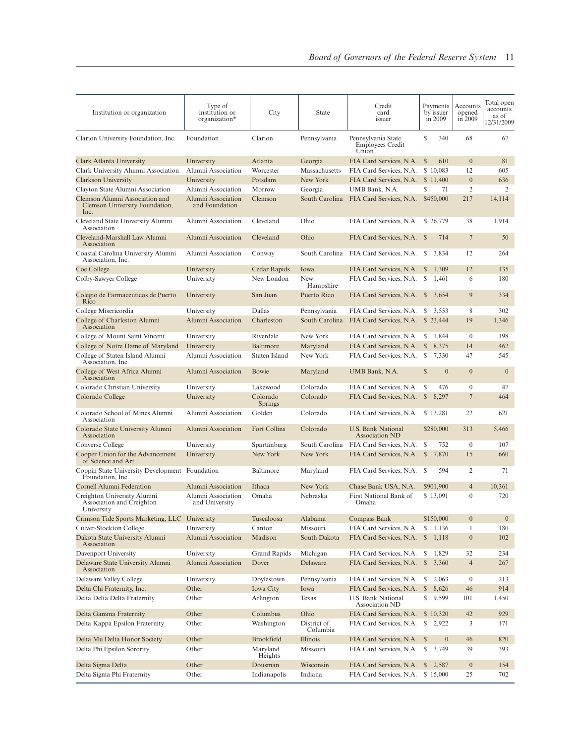| Institution or organization                                              | Type of<br>institution or<br>organization* | City                | <b>State</b>            | Credit<br>card<br>issuer                               | Payments<br>by issuer<br>in 2009 | Accounts<br>opened<br>$\overline{in}$ 2009 | Total open<br>accounts<br>as of<br>12/31/2009 |
|--------------------------------------------------------------------------|--------------------------------------------|---------------------|-------------------------|--------------------------------------------------------|----------------------------------|--------------------------------------------|-----------------------------------------------|
| Clarion University Foundation, Inc.                                      | Foundation                                 | Clarion             | Pennsylvania            | Pennsylvania State<br><b>Employees Credit</b><br>Union | S<br>340                         | 68                                         | 67                                            |
| Clark Atlanta University                                                 | University                                 | Atlanta             | Georgia                 | FIA Card Services, N.A.                                | $\mathbb{S}$<br>610              | $\boldsymbol{0}$                           | 81                                            |
| Clark University Alumni Association                                      | Alumni Association                         | Worcester           | Massachusetts           | FIA Card Services, N.A.                                | \$10,083                         | 12                                         | 605                                           |
| Clarkson University                                                      | University                                 | Potsdam             | New York                | FIA Card Services, N.A.                                | \$11,400                         | $\boldsymbol{0}$                           | 636                                           |
| Clayton State Alumni Association                                         | Alumni Association                         | Morrow              | Georgia                 | UMB Bank, N.A.                                         | \$<br>71                         | $\overline{2}$                             | $\overline{2}$                                |
| Clemson Alumni Association and<br>Clemson University Foundation,<br>Inc. | Alumni Association<br>and Foundation       | Clemson             |                         | South Carolina FIA Card Services, N.A.                 | \$450,000                        | 217                                        | 14,114                                        |
| Cleveland State University Alumni<br>Association                         | Alumni Association                         | Cleveland           | Ohio                    | FIA Card Services, N.A. \$26,779                       |                                  | 38                                         | 1,914                                         |
| Cleveland-Marshall Law Alumni<br>Association                             | Alumni Association                         | Cleveland           | Ohio                    | FIA Card Services, N.A. \$                             | 714                              | $\overline{7}$                             | 50                                            |
| Coastal Carolina University Alumni<br>Association, Inc.                  | Alumni Association                         | Conway              | South Carolina          | FIA Card Services, N.A.                                | 3,834<br>-S                      | 12                                         | 264                                           |
| Coe College                                                              | University                                 | Cedar Rapids        | Iowa                    | FIA Card Services, N.A.                                | $\mathbb{S}$<br>1,309            | 12                                         | 135                                           |
| Colby-Sawyer College                                                     | University                                 | New London          | <b>New</b><br>Hampshire | FIA Card Services, N.A.                                | 1,461<br>\$                      | 6                                          | 180                                           |
| Colegio de Farmaceuticos de Puerto<br>Rico                               | University                                 | San Juan            | Puerto Rico             | FIA Card Services, N.A. \$                             | 3,654                            | 9                                          | 334                                           |
| College Misericordia                                                     | University                                 | Dallas              | Pennsylvania            | FIA Card Services, N.A.                                | \$3.553                          | 8                                          | 302                                           |
| College of Charleston Alumni<br>Association                              | Alumni Association                         | Charleston          | South Carolina          | FIA Card Services, N.A.                                | \$23,444                         | 19                                         | 1,346                                         |
| College of Mount Saint Vincent                                           | University                                 | Riverdale           | New York                | FIA Card Services, N.A.                                | 1,844<br>S                       | $\mathbf{0}$                               | 198                                           |
| College of Notre Dame of Maryland                                        | University                                 | Baltimore           | Maryland                | FIA Card Services, N.A.                                | <sup>\$</sup><br>8,375           | 14                                         | 462                                           |
| College of Staten Island Alumni<br>Association, Inc.                     | Alumni Association                         | Staten Island       | New York                | FIA Card Services, N.A.                                | \$7,330                          | 47                                         | 545                                           |
| College of West Africa Alumni<br>Association                             | Alumni Association                         | Bowie               | Maryland                | UMB Bank, N.A.                                         | $\mathbb{S}$<br>$\overline{0}$   | $\overline{0}$                             | $\boldsymbol{0}$                              |
| Colorado Christian University                                            | University                                 | Lakewood            | Colorado                | FIA Card Services, N.A.                                | 476<br>S                         | $\mathbf{0}$                               | 47                                            |
| Colorado College                                                         | University                                 | Colorado<br>Springs | Colorado                | FIA Card Services, N.A.                                | $\mathbb{S}$<br>8,297            | 7                                          | 464                                           |
| Colorado School of Mines Alumni<br>Association                           | Alumni Association                         | Golden              | Colorado                | FIA Card Services, N.A. \$13,281                       |                                  | 22                                         | 621                                           |
| Colorado State University Alumni<br>Association                          | Alumni Association                         | Fort Collins        | Colorado                | U.S. Bank National<br><b>Association ND</b>            | \$280,000                        | 313                                        | 5,466                                         |
| Converse College                                                         | University                                 | Spartanburg         | South Carolina          | FIA Card Services, N.A.                                | S<br>752                         | $\mathbf{0}$                               | 107                                           |
| Cooper Union for the Advancement<br>of Science and Art                   | University                                 | New York            | New York                | FIA Card Services, N.A.                                | 7,870<br>$\mathbb{S}$            | 15                                         | 660                                           |
| Coppin State University Development<br>Foundation, Inc.                  | Foundation                                 | Baltimore           | Maryland                | FIA Card Services, N.A.                                | -S<br>594                        | 2                                          | 71                                            |
| Cornell Alumni Federation                                                | Alumni Association                         | Ithaca              | New York                | Chase Bank USA, N.A.                                   | \$901,900                        | $\overline{4}$                             | 10,361                                        |
| Creighton University Alumni<br>Association and Creighton<br>University   | Alumni Association<br>and University       | Omaha               | Nebraska                | First National Bank of<br>Omaha                        | \$13,091                         | $\overline{0}$                             | 720                                           |
| Crimson Tide Sports Marketing, LLC University                            |                                            | Tuscaloosa          | Alabama                 | Compass Bank                                           | \$150,000                        | $\boldsymbol{0}$                           | $\overline{0}$                                |
| Culver-Stockton College                                                  | University                                 | Canton              | Missouri                | FIA Card Services, N.A.                                | S<br>1,136                       | $\mathbf{1}$                               | 180                                           |
| Dakota State University Alumni<br>Association                            | Alumni Association                         | Madison             | South Dakota            | FIA Card Services, N.A.                                | $\mathbb{S}$<br>1,118            | $\boldsymbol{0}$                           | 102                                           |
| Davenport University                                                     | University                                 | <b>Grand Rapids</b> | Michigan                | FIA Card Services, N.A.                                | 1,829<br>S                       | 32                                         | 234                                           |
| Delaware State University Alumni<br>Association                          | Alumni Association                         | Dover               | Delaware                | FIA Card Services, N.A.                                | $\mathbb{S}$<br>3,360            | $\overline{4}$                             | 267                                           |
| Delaware Valley College                                                  | University                                 | Doylestown          | Pennsylvania            | FIA Card Services, N.A.                                | \$<br>2,063                      | $\boldsymbol{0}$                           | 213                                           |
| Delta Chi Fraternity, Inc.                                               | Other                                      | Iowa City           | Iowa                    | FIA Card Services, N.A.                                | $\mathbb{S}$<br>8,626            | 46                                         | 914                                           |
| Delta Delta Delta Fraternity                                             | Other                                      | Arlington           | Texas                   | U.S. Bank National<br>Association ND                   | \$<br>9,599                      | 101                                        | 1,450                                         |
| Delta Gamma Fraternity                                                   | Other                                      | Columbus            | Ohio                    | FIA Card Services, N.A.                                | \$10,320                         | 42                                         | 929                                           |
| Delta Kappa Epsilon Fraternity                                           | Other                                      | Washington          | District of<br>Columbia | FIA Card Services, N.A.                                | $\frac{1}{2}$ , 2,922            | 3                                          | 171                                           |
| Delta Mu Delta Honor Society                                             | Other                                      | Brookfield          | Illinois                | FIA Card Services, N.A. \$                             | $\boldsymbol{0}$                 | 46                                         | 820                                           |
| Delta Phi Epsilon Sorority                                               | Other                                      | Maryland<br>Heights | Missouri                | FIA Card Services, N.A.                                | S<br>3,749                       | 39                                         | 393                                           |
| Delta Sigma Delta                                                        | Other                                      | Dousman             | Wisconsin               | FIA Card Services, N.A.                                | \$2,587                          | $\boldsymbol{0}$                           | 154                                           |
| Delta Sigma Phi Fraternity                                               | Other                                      | Indianapolis        | Indiana                 | FIA Card Services, N.A.                                | \$15,000                         | 25                                         | 702                                           |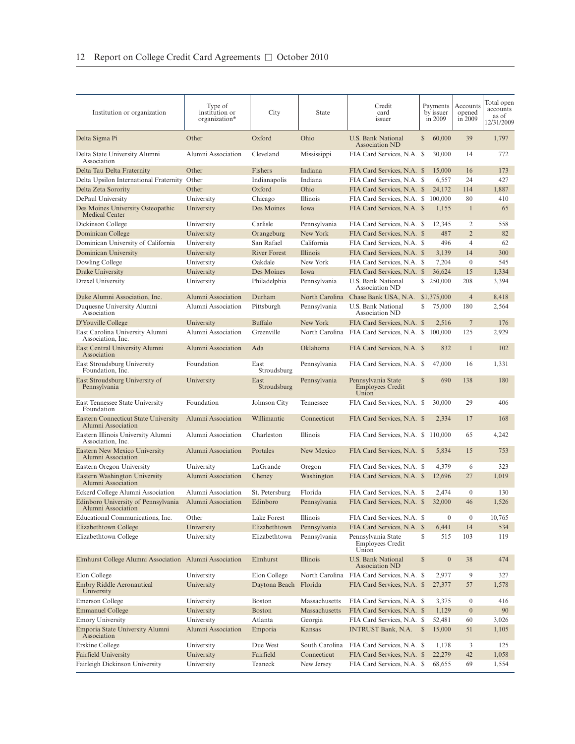| Institution or organization                                | Type of<br>institution or<br>organization* | City                | State          | Credit<br>card<br>issuer                               |              | Payments<br>by issuer<br>in 2009 | Accounts<br>opened<br>in 2009 | Total open<br>accounts<br>as of<br>12/31/2009 |
|------------------------------------------------------------|--------------------------------------------|---------------------|----------------|--------------------------------------------------------|--------------|----------------------------------|-------------------------------|-----------------------------------------------|
| Delta Sigma Pi                                             | Other                                      | Oxford              | Ohio           | U.S. Bank National<br><b>Association ND</b>            | \$           | 60,000                           | 39                            | 1,797                                         |
| Delta State University Alumni<br>Association               | Alumni Association                         | Cleveland           | Mississippi    | FIA Card Services, N.A. \$                             |              | 30,000                           | 14                            | 772                                           |
| Delta Tau Delta Fraternity                                 | Other                                      | Fishers             | Indiana        | FIA Card Services, N.A. \$                             |              | 15,000                           | 16                            | 173                                           |
| Delta Upsilon International Fraternity Other               |                                            | Indianapolis        | Indiana        | FIA Card Services, N.A. \$                             |              | 6,557                            | 24                            | 427                                           |
| Delta Zeta Sorority                                        | Other                                      | Oxford              | Ohio           | FIA Card Services, N.A. \$                             |              | 24,172                           | 114                           | 1,887                                         |
| DePaul University                                          | University                                 | Chicago             | Illinois       | FIA Card Services, N.A. \$                             |              | 100,000                          | 80                            | 410                                           |
| Des Moines University Osteopathic<br><b>Medical Center</b> | University                                 | Des Moines          | Iowa           | FIA Card Services, N.A. \$                             |              | 1,155                            | $\mathbf{1}$                  | 65                                            |
| Dickinson College                                          | University                                 | Carlisle            | Pennsylvania   | FIA Card Services, N.A. \$                             |              | 12,345                           | 2                             | 558                                           |
| Dominican College                                          | University                                 | Orangeburg          | New York       | FIA Card Services, N.A. \$                             |              | 487                              | $\overline{2}$                | 82                                            |
| Dominican University of California                         | University                                 | San Rafael          | California     | FIA Card Services, N.A. \$                             |              | 496                              | $\overline{4}$                | 62                                            |
| Dominican University                                       | University                                 | <b>River Forest</b> | Illinois       | FIA Card Services, N.A. \$                             |              | 3,139                            | 14                            | 300                                           |
| Dowling College                                            | University                                 | Oakdale             | New York       | FIA Card Services, N.A. \$                             |              | 7,204                            | $\boldsymbol{0}$              | 545                                           |
| Drake University                                           | University                                 | Des Moines          | Iowa           | FIA Card Services, N.A. \$                             |              | 36,624                           | 15                            | 1,334                                         |
| Drexel University                                          | University                                 | Philadelphia        | Pennsylvania   | <b>U.S. Bank National</b><br>Association ND            |              | \$ 250,000                       | 208                           | 3,394                                         |
| Duke Alumni Association, Inc.                              | <b>Alumni Association</b>                  | Durham              | North Carolina | Chase Bank USA, N.A.                                   |              | \$1,375,000                      | $\overline{4}$                | 8,418                                         |
| Duquesne University Alumni<br>Association                  | Alumni Association                         | Pittsburgh          | Pennsylvania   | U.S. Bank National<br><b>Association ND</b>            | S            | 75,000                           | 180                           | 2,564                                         |
| D'Youville College                                         | University                                 | <b>Buffalo</b>      | New York       | FIA Card Services, N.A. \$                             |              | 2,516                            | $\overline{7}$                | 176                                           |
| East Carolina University Alumni<br>Association, Inc.       | Alumni Association                         | Greenville          | North Carolina | FIA Card Services, N.A. \$                             |              | 100,000                          | 125                           | 2,929                                         |
| East Central University Alumni<br>Association              | Alumni Association                         | Ada                 | Oklahoma       | FIA Card Services, N.A. \$                             |              | 832                              | $\mathbf{1}$                  | 102                                           |
| <b>East Stroudsburg University</b><br>Foundation, Inc.     | Foundation                                 | East<br>Stroudsburg | Pennsylvania   | FIA Card Services, N.A. \$                             |              | 47,000                           | 16                            | 1,331                                         |
| East Stroudsburg University of<br>Pennsylvania             | University                                 | East<br>Stroudsburg | Pennsylvania   | Pennsylvania State<br><b>Employees Credit</b><br>Union | S            | 690                              | 138                           | 180                                           |
| East Tennessee State University<br>Foundation              | Foundation                                 | Johnson City        | Tennessee      | FIA Card Services, N.A. \$                             |              | 30,000                           | 29                            | 406                                           |
| Eastern Connecticut State University<br>Alumni Association | Alumni Association                         | Willimantic         | Connecticut    | FIA Card Services, N.A. \$                             |              | 2,334                            | 17                            | 168                                           |
| Eastern Illinois University Alumni<br>Association, Inc.    | Alumni Association                         | Charleston          | Illinois       | FIA Card Services, N.A. \$                             |              | 110,000                          | 65                            | 4,242                                         |
| Eastern New Mexico University<br>Alumni Association        | Alumni Association                         | Portales            | New Mexico     | FIA Card Services, N.A. \$                             |              | 5,834                            | 15                            | 753                                           |
| Eastern Oregon University                                  | University                                 | LaGrande            | Oregon         | FIA Card Services, N.A. \$                             |              | 4,379                            | 6                             | 323                                           |
| Eastern Washington University<br>Alumni Association        | Alumni Association                         | Cheney              | Washington     | FIA Card Services, N.A. \$                             |              | 12,696                           | 27                            | 1,019                                         |
| Eckerd College Alumni Association                          | Alumni Association                         | St. Petersburg      | Florida        | FIA Card Services, N.A. \$                             |              | 2,474                            | $\mathbf{0}$                  | 130                                           |
| Edinboro University of Pennsylvania<br>Alumni Association  | Alumni Association                         | Edinboro            | Pennsylvania   | FIA Card Services, N.A. \$                             |              | 32,000                           | 46                            | 1,526                                         |
| Educational Communications, Inc.                           | Other                                      | Lake Forest         | Illinois       | FIA Card Services, N.A. \$                             |              | $\boldsymbol{0}$                 | $\boldsymbol{0}$              | 10,765                                        |
| Elizabethtown College                                      | University                                 | Elizabethtown       | Pennsylvania   | FIA Card Services, N.A. \$                             |              | 6,441                            | 14                            | 534                                           |
| Elizabethtown College                                      | University                                 | Elizabethtown       | Pennsylvania   | Pennsylvania State<br><b>Employees Credit</b><br>Union | S            | 515                              | 103                           | 119                                           |
| Elmhurst College Alumni Association Alumni Association     |                                            | Elmhurst            | Illinois       | U.S. Bank National<br><b>Association ND</b>            | $\mathbb{S}$ | $\mathbf{0}$                     | 38                            | 474                                           |
| Elon College                                               | University                                 | Elon College        | North Carolina | FIA Card Services, N.A. \$                             |              | 2,977                            | 9                             | 327                                           |
| <b>Embry Riddle Aeronautical</b><br>University             | University                                 | Daytona Beach       | Florida        | FIA Card Services, N.A. \$                             |              | 27,377                           | 57                            | 1,578                                         |
| <b>Emerson College</b>                                     | University                                 | <b>Boston</b>       | Massachusetts  | FIA Card Services, N.A. \$                             |              | 3,375                            | $\boldsymbol{0}$              | 416                                           |
| <b>Emmanuel College</b>                                    | University                                 | <b>Boston</b>       | Massachusetts  | FIA Card Services, N.A. \$                             |              | 1,129                            | $\boldsymbol{0}$              | 90                                            |
| <b>Emory University</b>                                    | University                                 | Atlanta             | Georgia        | FIA Card Services, N.A. \$                             |              | 52,481                           | 60                            | 3,026                                         |
| Emporia State University Alumni<br>Association             | Alumni Association                         | Emporia             | Kansas         | <b>INTRUST Bank, N.A.</b>                              | $\mathbb{S}$ | 15,000                           | 51                            | 1,105                                         |
| Erskine College                                            | University                                 | Due West            | South Carolina | FIA Card Services, N.A. \$                             |              | 1,178                            | 3                             | 125                                           |
| Fairfield University                                       | University                                 | Fairfield           | Connecticut    | FIA Card Services, N.A. \$                             |              | 22,279                           | 42                            | 1,058                                         |
| Fairleigh Dickinson University                             | University                                 | Teaneck             | New Jersey     | FIA Card Services, N.A. \$                             |              | 68,655                           | 69                            | 1,554                                         |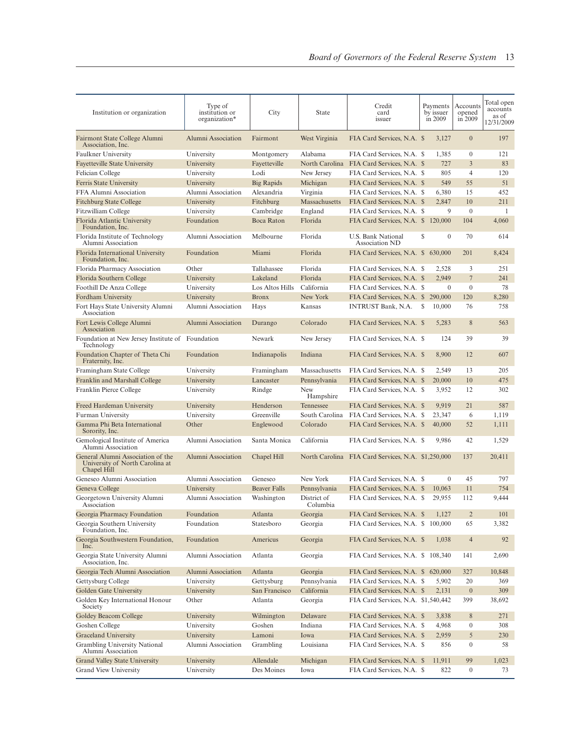| Institution or organization                                                         | Type of<br>institution or<br>organization* | City                | State                   | Credit<br>card<br>issuer                           | Payments<br>by issuer<br>in 2009 | Accounts<br>opened<br>in 2009 | Total open<br>accounts<br>as of<br>12/31/2009 |
|-------------------------------------------------------------------------------------|--------------------------------------------|---------------------|-------------------------|----------------------------------------------------|----------------------------------|-------------------------------|-----------------------------------------------|
| Fairmont State College Alumni<br>Association, Inc.                                  | Alumni Association                         | Fairmont            | West Virginia           | FIA Card Services, N.A. \$                         | 3,127                            | $\boldsymbol{0}$              | 197                                           |
| Faulkner University                                                                 | University                                 | Montgomery          | Alabama                 | FIA Card Services, N.A. \$                         | 1,385                            | $\boldsymbol{0}$              | 121                                           |
| <b>Fayetteville State University</b>                                                | University                                 | Fayetteville        | North Carolina          | FIA Card Services, N.A. \$                         | 727                              | $\mathfrak{Z}$                | 83                                            |
| Felician College                                                                    | University                                 | Lodi                | New Jersey              | FIA Card Services, N.A. \$                         | 805                              | $\overline{4}$                | 120                                           |
| Ferris State University                                                             | University                                 | Big Rapids          | Michigan                | FIA Card Services, N.A. \$                         | 549                              | 55                            | 51                                            |
| FFA Alumni Association                                                              | Alumni Association                         | Alexandria          | Virginia                | FIA Card Services, N.A. \$                         | 6,380                            | 15                            | 452                                           |
| <b>Fitchburg State College</b>                                                      | University                                 | Fitchburg           | Massachusetts           | FIA Card Services, N.A. \$                         | 2,847                            | 10                            | 211                                           |
| Fitzwilliam College                                                                 | University                                 | Cambridge           | England                 | FIA Card Services, N.A. \$                         | 9                                | $\mathbf{0}$                  | -1                                            |
| Florida Atlantic University<br>Foundation, Inc.                                     | Foundation                                 | Boca Raton          | Florida                 | FIA Card Services, N.A. \$                         | 120,000                          | 104                           | 4,060                                         |
| Florida Institute of Technology<br>Alumni Association                               | Alumni Association                         | Melbourne           | Florida                 | U.S. Bank National<br>Association ND               | S<br>$\mathbf{0}$                | 70                            | 614                                           |
| Florida International University<br>Foundation, Inc.                                | Foundation                                 | Miami               | Florida                 | FIA Card Services, N.A. \$ 630,000                 |                                  | 201                           | 8,424                                         |
| Florida Pharmacy Association                                                        | Other                                      | Tallahassee         | Florida                 | FIA Card Services, N.A. \$                         | 2,528                            | 3                             | 251                                           |
| Florida Southern College                                                            | University                                 | Lakeland            | Florida                 | FIA Card Services, N.A. \$                         | 2,949                            | $\overline{7}$                | 241                                           |
| Foothill De Anza College                                                            | University                                 | Los Altos Hills     | California              | FIA Card Services, N.A. \$                         | $\mathbf{0}$                     | $\boldsymbol{0}$              | 78                                            |
| Fordham University                                                                  | University                                 | <b>Bronx</b>        | New York                | FIA Card Services, N.A. \$                         | 290,000                          | 120                           | 8,280                                         |
| Fort Hays State University Alumni<br>Association                                    | Alumni Association                         | Hays                | Kansas                  | <b>INTRUST Bank, N.A.</b>                          | S<br>10,000                      | 76                            | 758                                           |
| Fort Lewis College Alumni<br>Association                                            | Alumni Association                         | Durango             | Colorado                | FIA Card Services, N.A. \$                         | 5,283                            | 8                             | 563                                           |
| Foundation at New Jersey Institute of<br>Technology                                 | Foundation                                 | Newark              | New Jersey              | FIA Card Services, N.A. \$                         | 124                              | 39                            | 39                                            |
| Foundation Chapter of Theta Chi<br>Fraternity, Inc.                                 | Foundation                                 | Indianapolis        | Indiana                 | FIA Card Services, N.A. \$                         | 8,900                            | 12                            | 607                                           |
| Framingham State College                                                            | University                                 | Framingham          | Massachusetts           | FIA Card Services, N.A. \$                         | 2,549                            | 13                            | 205                                           |
| Franklin and Marshall College                                                       | University                                 | Lancaster           | Pennsylvania            | FIA Card Services, N.A. \$                         | 20,000                           | 10                            | 475                                           |
| Franklin Pierce College                                                             | University                                 | Rindge              | New<br>Hampshire        | FIA Card Services, N.A. \$                         | 3,952                            | 12                            | 302                                           |
| Freed Hardeman University                                                           | University                                 | Henderson           | Tennessee               | FIA Card Services, N.A. \$                         | 9,919                            | 21                            | 587                                           |
| Furman University                                                                   | University                                 | Greenville          | South Carolina          | FIA Card Services, N.A. \$                         | 23,347                           | 6                             | 1,119                                         |
| Gamma Phi Beta International<br>Sorority, Inc.                                      | Other                                      | Englewood           | Colorado                | FIA Card Services, N.A. \$                         | 40,000                           | 52                            | 1,111                                         |
| Gemological Institute of America<br>Alumni Association                              | Alumni Association                         | Santa Monica        | California              | FIA Card Services, N.A. \$                         | 9,986                            | 42                            | 1,529                                         |
| General Alumni Association of the<br>University of North Carolina at<br>Chapel Hill | Alumni Association                         | Chapel Hill         |                         | North Carolina FIA Card Services, N.A. \$1,250,000 |                                  | 137                           | 20,411                                        |
| Geneseo Alumni Association                                                          | Alumni Association                         | Geneseo             | New York                | FIA Card Services, N.A. \$                         | $\mathbf{0}$                     | 45                            | 797                                           |
| Geneva College                                                                      | University                                 | <b>Beaver Falls</b> | Pennsylvania            | FIA Card Services, N.A. \$                         | 10,063                           | 11                            | 754                                           |
| Georgetown University Alumni<br>Association                                         | Alumni Association                         | Washington          | District of<br>Columbia | FIA Card Services, N.A. \$                         | 29,955                           | 112                           | 9,444                                         |
| Georgia Pharmacy Foundation                                                         | Foundation                                 | Atlanta             | Georgia                 | FIA Card Services, N.A. \$ 1,127                   |                                  | $\overline{2}$                | 101                                           |
| Georgia Southern University<br>Foundation, Inc.                                     | Foundation                                 | Statesboro          | Georgia                 | FIA Card Services, N.A. \$ 100,000                 |                                  | 65                            | 3,382                                         |
| Georgia Southwestern Foundation,<br>Inc.                                            | Foundation                                 | Americus            | Georgia                 | FIA Card Services, N.A. \$                         | 1,038                            | $\overline{4}$                | 92                                            |
| Georgia State University Alumni<br>Association, Inc.                                | Alumni Association                         | Atlanta             | Georgia                 | FIA Card Services, N.A. \$ 108,340                 |                                  | 141                           | 2,690                                         |
| Georgia Tech Alumni Association                                                     | Alumni Association                         | Atlanta             | Georgia                 | FIA Card Services, N.A. \$ 620,000                 |                                  | 327                           | 10,848                                        |
| Gettysburg College                                                                  | University                                 | Gettysburg          | Pennsylvania            | FIA Card Services, N.A. \$                         | 5,902                            | 20                            | 369                                           |
| Golden Gate University                                                              | University                                 | San Francisco       | California              | FIA Card Services, N.A. \$                         | 2,131                            | $\boldsymbol{0}$              | 309                                           |
| Golden Key International Honour<br>Society                                          | Other                                      | Atlanta             | Georgia                 | FIA Card Services, N.A. \$1,540,442                |                                  | 399                           | 38,692                                        |
| Goldey Beacom College                                                               | University                                 | Wilmington          | Delaware                | FIA Card Services, N.A. \$                         | 3,838                            | 8                             | 271                                           |
| Goshen College                                                                      | University                                 | Goshen              | Indiana                 | FIA Card Services, N.A. \$                         | 4,968                            | $\boldsymbol{0}$              | 308                                           |
| <b>Graceland University</b>                                                         | University                                 | Lamoni              | Iowa                    | FIA Card Services, N.A. \$                         | 2,959                            | 5                             | 230                                           |
| Grambling University National<br>Alumni Association                                 | Alumni Association                         | Grambling           | Louisiana               | FIA Card Services, N.A. \$                         | 856                              | $\boldsymbol{0}$              | 58                                            |
| Grand Valley State University                                                       | University                                 | Allendale           | Michigan                | FIA Card Services, N.A. \$                         | 11,911                           | 99                            | 1,023                                         |
| Grand View University                                                               | University                                 | Des Moines          | Iowa                    | FIA Card Services, N.A. \$                         | 822                              | $\boldsymbol{0}$              | 73                                            |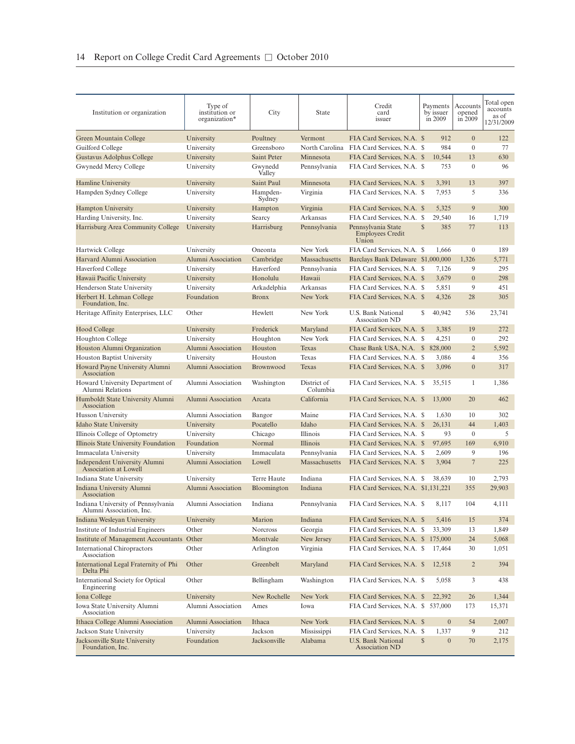| Institution or organization                                    | Type of<br>institution or<br>organization* | City                 | State                   | Credit<br>card<br>issuer                               | Payments<br>by issuer<br>in 2009 | Accounts<br>opened<br>in 2009 | Total open<br>accounts<br>as of<br>12/31/2009 |
|----------------------------------------------------------------|--------------------------------------------|----------------------|-------------------------|--------------------------------------------------------|----------------------------------|-------------------------------|-----------------------------------------------|
| Green Mountain College                                         | University                                 | Poultney             | Vermont                 | FIA Card Services, N.A. \$                             | 912                              | $\mathbf{0}$                  | 122                                           |
| Guilford College                                               | University                                 | Greensboro           | North Carolina          | FIA Card Services, N.A. \$                             | 984                              | $\mathbf{0}$                  | 77                                            |
| Gustavus Adolphus College                                      | University                                 | Saint Peter          | Minnesota               | FIA Card Services, N.A. \$                             | 10,544                           | 13                            | 630                                           |
| Gwynedd Mercy College                                          | University                                 | Gwynedd              | Pennsylvania            | FIA Card Services, N.A. \$                             | 753                              | $\mathbf{0}$                  | 96                                            |
| <b>Hamline University</b>                                      | University                                 | Valley<br>Saint Paul | Minnesota               | FIA Card Services, N.A. \$                             | 3,391                            | 13                            | 397                                           |
|                                                                |                                            |                      |                         |                                                        |                                  | 5                             |                                               |
| Hampden Sydney College                                         | University                                 | Hampden-<br>Sydney   | Virginia                | FIA Card Services, N.A. \$                             | 7,953                            |                               | 336                                           |
| <b>Hampton University</b>                                      | University                                 | Hampton              | Virginia                | FIA Card Services, N.A. \$                             | 5,325                            | 9                             | 300                                           |
| Harding University, Inc.                                       | University                                 | Searcy               | Arkansas                | FIA Card Services, N.A. \$                             | 29,540                           | 16                            | 1,719                                         |
| Harrisburg Area Community College                              | University                                 | Harrisburg           | Pennsylvania            | Pennsylvania State<br><b>Employees Credit</b><br>Union | $\mathbb{S}$<br>385              | 77                            | 113                                           |
| Hartwick College                                               | University                                 | Oneonta              | New York                | FIA Card Services, N.A. \$                             | 1.666                            | $\mathbf{0}$                  | 189                                           |
| Harvard Alumni Association                                     | Alumni Association                         | Cambridge            | Massachusetts           | Barclays Bank Delaware \$1,000,000                     |                                  | 1,326                         | 5,771                                         |
| Haverford College                                              | University                                 | Haverford            | Pennsylvania            | FIA Card Services, N.A. \$                             | 7,126                            | 9                             | 295                                           |
| Hawaii Pacific University                                      | University                                 | Honolulu             | Hawaii                  | FIA Card Services, N.A. \$                             | 3,679                            | $\overline{0}$                | 298                                           |
| Henderson State University                                     | University                                 | Arkadelphia          | Arkansas                | FIA Card Services, N.A. \$                             | 5,851                            | 9                             | 451                                           |
| Herbert H. Lehman College<br>Foundation. Inc.                  | Foundation                                 | <b>Bronx</b>         | New York                | FIA Card Services, N.A. \$                             | 4,326                            | 28                            | 305                                           |
| Heritage Affinity Enterprises, LLC                             | Other                                      | Hewlett              | New York                | U.S. Bank National<br>Association ND                   | 40,942<br>S                      | 536                           | 23,741                                        |
| <b>Hood College</b>                                            | University                                 | Frederick            | Maryland                | FIA Card Services, N.A. \$                             | 3,385                            | 19                            | 272                                           |
| <b>Houghton College</b>                                        | University                                 | Houghton             | New York                | FIA Card Services, N.A. \$                             | 4,251                            | $\mathbf{0}$                  | 292                                           |
| Houston Alumni Organization                                    | Alumni Association                         | Houston              | Texas                   | Chase Bank USA, N.A. \$                                | 828,000                          | $\overline{2}$                | 5,592                                         |
| Houston Baptist University                                     | University                                 | Houston              | Texas                   | FIA Card Services, N.A. \$                             | 3,086                            | $\overline{4}$                | 356                                           |
| Howard Payne University Alumni<br>Association                  | Alumni Association                         | Brownwood            | Texas                   | FIA Card Services, N.A. \$                             | 3,096                            | $\overline{0}$                | 317                                           |
| Howard University Department of<br>Alumni Relations            | Alumni Association                         | Washington           | District of<br>Columbia | FIA Card Services, N.A. \$                             | 35,515                           | 1                             | 1,386                                         |
| Humboldt State University Alumni<br>Association                | Alumni Association                         | Arcata               | California              | FIA Card Services, N.A. \$                             | 13,000                           | 20                            | 462                                           |
| Husson University                                              | Alumni Association                         | Bangor               | Maine                   | FIA Card Services, N.A. \$                             | 1,630                            | 10                            | 302                                           |
| Idaho State University                                         | University                                 | Pocatello            | Idaho                   | FIA Card Services, N.A. \$                             | 26,131                           | 44                            | 1,403                                         |
| Illinois College of Optometry                                  | University                                 | Chicago              | Illinois                | FIA Card Services, N.A. \$                             | 93                               | $\mathbf{0}$                  | 5                                             |
| Illinois State University Foundation                           | Foundation                                 | Normal               | Illinois                | FIA Card Services, N.A. \$                             | 97,695                           | 169                           | 6,910                                         |
| Immaculata University                                          | University                                 | Immaculata           | Pennsylvania            | FIA Card Services, N.A. \$                             | 2,609                            | 9                             | 196                                           |
| Independent University Alumni<br>Association at Lowell         | Alumni Association                         | Lowell               | Massachusetts           | FIA Card Services, N.A. \$                             | 3,904                            | $\overline{7}$                | 225                                           |
| Indiana State University                                       | University                                 | Terre Haute          | Indiana                 | FIA Card Services, N.A. \$                             | 38,639                           | 10                            | 2,793                                         |
| Indiana University Alumni<br>Association                       | Alumni Association                         | Bloomington          | Indiana                 | FIA Card Services, N.A. \$1,131,221                    |                                  | 355                           | 29,903                                        |
| Indiana University of Pennsylvania<br>Alumni Association, Inc. | Alumni Association                         | Indiana              | Pennsylvania            | FIA Card Services, N.A. \$                             | 8,117                            | 104                           | 4,111                                         |
| Indiana Wesleyan University                                    | University                                 | Marion               | Indiana                 | FIA Card Services, N.A. \$                             | 5,416                            | 15                            | 374                                           |
| Institute of Industrial Engineers                              | Other                                      | <b>Norcross</b>      | Georgia                 | FIA Card Services, N.A. \$                             | 33,309                           | 13                            | 1,849                                         |
| <b>Institute of Management Accountants</b>                     | Other                                      | Montvale             | New Jersey              | FIA Card Services, N.A. \$ 175,000                     |                                  | 24                            | 5,068                                         |
| <b>International Chiropractors</b><br>Association              | Other                                      | Arlington            | Virginia                | FIA Card Services, N.A. \$                             | 17,464                           | 30                            | 1,051                                         |
| International Legal Fraternity of Phi<br>Delta Phi             | Other                                      | Greenbelt            | Maryland                | FIA Card Services, N.A. \$                             | 12,518                           | $\overline{c}$                | 394                                           |
| <b>International Society for Optical</b><br>Engineering        | Other                                      | Bellingham           | Washington              | FIA Card Services, N.A. \$                             | 5,058                            | 3                             | 438                                           |
| Iona College                                                   | University                                 | New Rochelle         | New York                | FIA Card Services, N.A. \$                             | 22,392                           | 26                            | 1,344                                         |
| Iowa State University Alumni<br>Association                    | Alumni Association                         | Ames                 | Iowa                    | FIA Card Services, N.A. \$ 537,000                     |                                  | 173                           | 15,371                                        |
| Ithaca College Alumni Association                              | Alumni Association                         | Ithaca               | New York                | FIA Card Services, N.A. \$                             | $\mathbf{0}$                     | 54                            | 2,007                                         |
| Jackson State University                                       | University                                 | Jackson              | Mississippi             | FIA Card Services, N.A. \$                             | 1,337                            | 9                             | 212                                           |
| Jacksonville State University<br>Foundation, Inc.              | Foundation                                 | Jacksonville         | Alabama                 | U.S. Bank National<br><b>Association ND</b>            | $\mathbb{S}$<br>$\boldsymbol{0}$ | 70                            | 2,175                                         |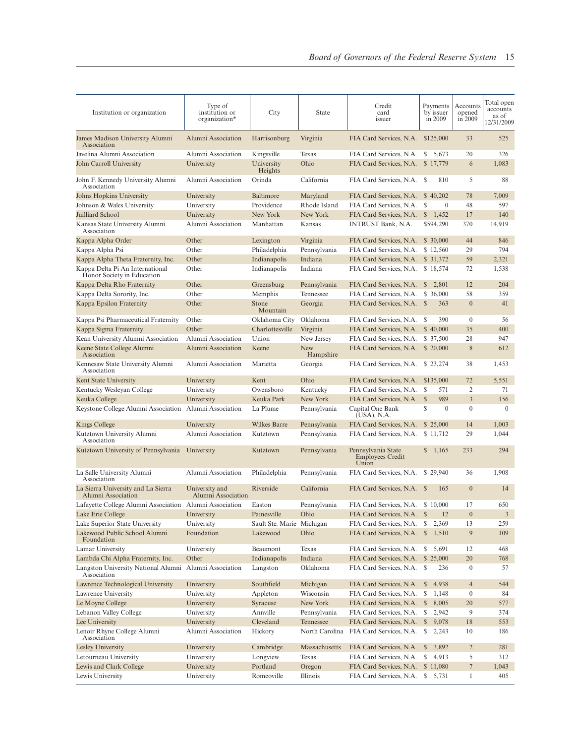| Institution or organization                                   | Type of<br>institution or<br>organization* | City                      | State                   | Credit<br>card<br>issuer                               | Payments<br>by issuer<br>in 2009 | Accounts<br>opened<br>in 2009 | Total open<br>accounts<br>as of<br>12/31/2009 |
|---------------------------------------------------------------|--------------------------------------------|---------------------------|-------------------------|--------------------------------------------------------|----------------------------------|-------------------------------|-----------------------------------------------|
| James Madison University Alumni<br>Association                | Alumni Association                         | Harrisonburg              | Virginia                | FIA Card Services, N.A.                                | \$125,000                        | 33                            | 525                                           |
| Javelina Alumni Association                                   | Alumni Association                         | Kingsville                | Texas                   | FIA Card Services, N.A.                                | \$ 5,673                         | 20                            | 326                                           |
| John Carroll University                                       | University                                 | University<br>Heights     | Ohio                    | FIA Card Services, N.A.                                | \$17,779                         | 6                             | 1,083                                         |
| John F. Kennedy University Alumni<br>Association              | Alumni Association                         | Orinda                    | California              | FIA Card Services, N.A. \$                             | 810                              | 5                             | 88                                            |
| Johns Hopkins University                                      | University                                 | Baltimore                 | Maryland                | FIA Card Services, N.A.                                | \$40,202                         | 78                            | 7,009                                         |
| Johnson & Wales University                                    | University                                 | Providence                | Rhode Island            | FIA Card Services, N.A.                                | S<br>$\mathbf{0}$                | 48                            | 597                                           |
| Juilliard School                                              | University                                 | New York                  | New York                | FIA Card Services, N.A.                                | $\mathbb{S}$<br>1,452            | 17                            | 140                                           |
| Kansas State University Alumni<br>Association                 | Alumni Association                         | Manhattan                 | Kansas                  | <b>INTRUST Bank, N.A.</b>                              | \$594,290                        | 370                           | 14,919                                        |
| Kappa Alpha Order                                             | Other                                      | Lexington                 | Virginia                | FIA Card Services, N.A.                                | \$ 30,000                        | 44                            | 846                                           |
| Kappa Alpha Psi                                               | Other                                      | Philadelphia              | Pennsylvania            | FIA Card Services, N.A.                                | \$12,560                         | 29                            | 794                                           |
| Kappa Alpha Theta Fraternity, Inc.                            | Other                                      | Indianapolis              | Indiana                 | FIA Card Services, N.A.                                | \$ 31,372                        | 59                            | 2,321                                         |
| Kappa Delta Pi An International<br>Honor Society in Education | Other                                      | Indianapolis              | Indiana                 | FIA Card Services, N.A.                                | \$18,574                         | 72                            | 1,538                                         |
| Kappa Delta Rho Fraternity                                    | Other                                      | Greensburg                | Pennsylvania            | FIA Card Services, N.A.                                | $\mathbb{S}$<br>2,801            | 12                            | 204                                           |
| Kappa Delta Sorority, Inc.                                    | Other                                      | Memphis                   | Tennessee               | FIA Card Services, N.A.                                | \$ 36,000                        | 58                            | 359                                           |
| Kappa Epsilon Fraternity                                      | Other                                      | Stone<br>Mountain         | Georgia                 | FIA Card Services, N.A. \$                             | 363                              | $\overline{0}$                | 41                                            |
| Kappa Psi Pharmaceutical Fraternity                           | Other                                      | Oklahoma City             | Oklahoma                | FIA Card Services, N.A.                                | 390<br>S                         | $\mathbf{0}$                  | 56                                            |
| Kappa Sigma Fraternity                                        | Other                                      | Charlottesville           | Virginia                | FIA Card Services, N.A.                                | \$40,000                         | 35                            | 400                                           |
| Kean University Alumni Association                            | Alumni Association                         | Union                     | New Jersey              | FIA Card Services, N.A.                                | \$ 37,500                        | 28                            | 947                                           |
| Keene State College Alumni<br>Association                     | Alumni Association                         | Keene                     | <b>New</b><br>Hampshire | FIA Card Services, N.A.                                | \$ 20,000                        | $\,$ 8 $\,$                   | 612                                           |
| Kennesaw State University Alumni<br>Association               | Alumni Association                         | Marietta                  | Georgia                 | FIA Card Services, N.A.                                | \$23,274                         | 38                            | 1,453                                         |
| Kent State University                                         | University                                 | Kent                      | Ohio                    | FIA Card Services, N.A.                                | \$135,000                        | 72                            | 5,551                                         |
| Kentucky Wesleyan College                                     | University                                 | Owensboro                 | Kentucky                | FIA Card Services, N.A.                                | S<br>571                         | 2                             | 71                                            |
| Keuka College                                                 | University                                 | Keuka Park                | New York                | FIA Card Services, N.A.                                | 989<br>$\mathbb{S}$              | 3                             | 156                                           |
| Keystone College Alumni Association                           | Alumni Association                         | La Plume                  | Pennsylvania            | Capital One Bank<br>(USA), N.A.                        | $\mathbb{S}$<br>$\mathbf{0}$     | $\mathbf{0}$                  | $\mathbf{0}$                                  |
| Kings College                                                 | University                                 | Wilkes Barre              | Pennsylvania            | FIA Card Services, N.A.                                | \$ 25,000                        | 14                            | 1,003                                         |
| Kutztown University Alumni<br>Association                     | Alumni Association                         | Kutztown                  | Pennsylvania            | FIA Card Services, N.A.                                | \$11,712                         | 29                            | 1,044                                         |
| Kutztown University of Pennsylvania                           | University                                 | Kutztown                  | Pennsylvania            | Pennsylvania State<br><b>Employees Credit</b><br>Union | \$1,165                          | 233                           | 294                                           |
| La Salle University Alumni<br>Association                     | Alumni Association                         | Philadelphia              | Pennsylvania            | FIA Card Services, N.A.                                | \$29,940                         | 36                            | 1,908                                         |
| La Sierra University and La Sierra<br>Alumni Association      | University and<br>Alumni Association       | Riverside                 | California              | FIA Card Services, N.A.                                | 165<br><sup>\$</sup>             | $\overline{0}$                | 14                                            |
| Lafayette College Alumni Association Alumni Association       |                                            | Easton                    | Pennsylvania            | FIA Card Services, N.A. \$10,000                       |                                  | 17                            | 650                                           |
| Lake Erie College                                             | University                                 | Painesville               | Ohio                    | FIA Card Services, N.A. \$                             | 12                               | $\boldsymbol{0}$              | $\mathfrak{Z}$                                |
| Lake Superior State University                                | University                                 | Sault Ste. Marie Michigan |                         | FIA Card Services, N.A.                                | S<br>2,369                       | 13                            | 259                                           |
| Lakewood Public School Alumni<br>Foundation                   | Foundation                                 | Lakewood                  | Ohio                    | FIA Card Services, N.A.                                | $\mathbb{S}$<br>1,510            | 9                             | 109                                           |
| Lamar University                                              | University                                 | Beaumont                  | Texas                   | FIA Card Services, N.A.                                | S<br>5,691                       | 12                            | 468                                           |
| Lambda Chi Alpha Fraternity, Inc.                             | Other                                      | Indianapolis              | Indiana                 | FIA Card Services, N.A.                                | \$25,000                         | 20                            | 768                                           |
| Langston University National Alumni<br>Association            | Alumni Association                         | Langston                  | Oklahoma                | FIA Card Services, N.A. \$                             | 236                              | $\boldsymbol{0}$              | 57                                            |
| Lawrence Technological University                             | University                                 | Southfield                | Michigan                | FIA Card Services, N.A.                                | 4,938<br>$\mathbb{S}$            | $\overline{4}$                | 544                                           |
| Lawrence University                                           | University                                 | Appleton                  | Wisconsin               | FIA Card Services, N.A.                                | \$<br>1,148                      | $\boldsymbol{0}$              | 84                                            |
| Le Moyne College                                              | University                                 | Syracuse                  | New York                | FIA Card Services, N.A. \$                             | 8,005                            | 20                            | 577                                           |
| Lebanon Valley College                                        | University                                 | Annville                  | Pennsylvania            | FIA Card Services, N.A.                                | \$<br>2,942                      | 9                             | 374                                           |
| Lee University                                                | University                                 | Cleveland                 | Tennessee               | FIA Card Services, N.A.                                | $\mathbb{S}$<br>9,078            | 18                            | 553                                           |
| Lenoir Rhyne College Alumni<br>Association                    | Alumni Association                         | Hickory                   |                         | North Carolina FIA Card Services, N.A. \$              | 2,243                            | 10                            | 186                                           |
| Lesley University                                             | University                                 | Cambridge                 | Massachusetts           | FIA Card Services, N.A.                                | $\mathbb{S}$<br>3,892            | $\overline{c}$                | 281                                           |
| Letourneau University                                         | University                                 | Longview                  | Texas                   | FIA Card Services, N.A.                                | S<br>4,913                       | 5                             | 312                                           |
| Lewis and Clark College                                       | University                                 | Portland                  | Oregon                  | FIA Card Services, N.A.                                | \$11,080                         | 7                             | 1,043                                         |
| Lewis University                                              | University                                 | Romeoville                | Illinois                | FIA Card Services, N.A. \$ 5,731                       |                                  | $\mathbf{1}$                  | 405                                           |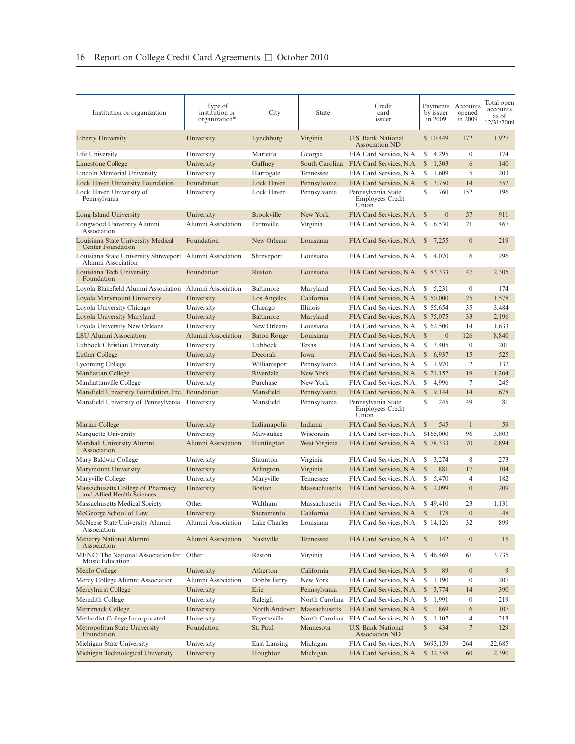| Institution or organization                                                    | Type of<br>institution or<br>organization* | City               | State          | Credit<br>card<br>issuer                               | Payments<br>by issuer<br>in 2009 | Accounts<br>opened<br>in 2009 | Total open<br>accounts<br>as of<br>12/31/2009 |
|--------------------------------------------------------------------------------|--------------------------------------------|--------------------|----------------|--------------------------------------------------------|----------------------------------|-------------------------------|-----------------------------------------------|
| Liberty University                                                             | University                                 | Lynchburg          | Virginia       | U.S. Bank National<br>Association ND                   | \$10,449                         | 172                           | 1,927                                         |
| Life University                                                                | University                                 | Marietta           | Georgia        | FIA Card Services, N.A.                                | S<br>4,295                       | $\mathbf{0}$                  | 174                                           |
| Limestone College                                                              | University                                 | Gaffney            | South Carolina | FIA Card Services, N.A.                                | S<br>1,303                       | 6                             | 140                                           |
| Lincoln Memorial University                                                    | University                                 | Harrogate          | Tennessee      | FIA Card Services, N.A. \$                             | 1,609                            | 5                             | 203                                           |
| Lock Haven University Foundation                                               | Foundation                                 | Lock Haven         | Pennsylvania   | FIA Card Services, N.A.                                | $\mathbb{S}$<br>3,750            | 14                            | 352                                           |
| Lock Haven University of<br>Pennsylvania                                       | University                                 | Lock Haven         | Pennsylvania   | Pennsylvania State<br><b>Employees Credit</b><br>Union | S<br>760                         | 152                           | 196                                           |
| Long Island University                                                         | University                                 | <b>Brookville</b>  | New York       | FIA Card Services, N.A. \$                             | $\mathbf{0}$                     | 57                            | 911                                           |
| Longwood University Alumni<br>Association                                      | Alumni Association                         | Farmville          | Virginia       | FIA Card Services, N.A.                                | \$<br>6,530                      | 21                            | 467                                           |
| Louisiana State University Medical<br>Center Foundation                        | Foundation                                 | New Orleans        | Louisiana      | FIA Card Services, N.A. \$7,255                        |                                  | $\mathbf{0}$                  | 219                                           |
| Louisiana State University Shreveport Alumni Association<br>Alumni Association |                                            | Shreveport         | Louisiana      | FIA Card Services, N.A. \$                             | 4,070                            | 6                             | 296                                           |
| Louisiana Tech University<br>Foundation                                        | Foundation                                 | Ruston             | Louisiana      | FIA Card Services, N.A. \$ 83,333                      |                                  | 47                            | 2,305                                         |
| Loyola Blakefield Alumni Association                                           | Alumni Association                         | Baltimore          | Maryland       | FIA Card Services, N.A.                                | S<br>5,231                       | $\mathbf{0}$                  | 174                                           |
| Loyola Marymount University                                                    | University                                 | Los Angeles        | California     | FIA Card Services, N.A.                                | \$ 50,000                        | 25                            | 1,578                                         |
| Loyola University Chicago                                                      | University                                 | Chicago            | Illinois       | FIA Card Services, N.A.                                | \$ 55,654                        | 35                            | 3,484                                         |
| Loyola University Maryland                                                     | University                                 | Baltimore          | Maryland       | FIA Card Services, N.A.                                | \$75,075                         | 33                            | 2,196                                         |
| Loyola University New Orleans                                                  | University                                 | New Orleans        | Louisiana      | FIA Card Services, N.A.                                | \$62,500                         | 14                            | 1,633                                         |
| LSU Alumni Association                                                         | Alumni Association                         | <b>Baton Rouge</b> | Louisiana      | FIA Card Services, N.A.                                | $\overline{0}$<br>$\mathbb{S}$   | 126                           | 8,840                                         |
| Lubbock Christian University                                                   | University                                 | Lubbock            | Texas          | FIA Card Services, N.A.                                | S<br>3,405                       | $\mathbf{0}$                  | 201                                           |
| Luther College                                                                 | University                                 | Decorah            | Iowa           | FIA Card Services, N.A.                                | $\mathbb{S}$<br>6,937            | 15                            | 525                                           |
| Lycoming College                                                               | University                                 | Williamsport       | Pennsylvania   | FIA Card Services, N.A.                                | S<br>1,970                       | 2                             | 132                                           |
| Manhattan College                                                              | University                                 | Riverdale          | New York       | FIA Card Services, N.A.                                | \$ 21,152                        | 19                            | 1,204                                         |
| Manhattanville College                                                         | University                                 | Purchase           | New York       | FIA Card Services, N.A.                                | 4,996<br>S                       | 7                             | 245                                           |
| Mansfield University Foundation, Inc. Foundation                               |                                            | Mansfield          | Pennsylvania   | FIA Card Services, N.A.                                | <sup>S</sup><br>9.144            | 14                            | 678                                           |
| Mansfield University of Pennsylvania                                           | University                                 | Mansfield          | Pennsylvania   | Pennsylvania State<br><b>Employees Credit</b><br>Union | S<br>245                         | 49                            | 81                                            |
| Marian College                                                                 | University                                 | Indianapolis       | Indiana        | FIA Card Services, N.A.                                | <sup>\$</sup><br>545             | $\mathbf{1}$                  | 59                                            |
| Marquette University                                                           | University                                 | Milwaukee          | Wisconsin      | FIA Card Services, N.A.                                | \$165,000                        | 96                            | 3,803                                         |
| Marshall University Alumni<br>Association                                      | Alumni Association                         | Huntington         | West Virginia  | FIA Card Services, N.A. \$78,333                       |                                  | 70                            | 2,894                                         |
| Mary Baldwin College                                                           | University                                 | Staunton           | Virginia       | FIA Card Services, N.A.                                | 3,274<br>S.                      | 8                             | 273                                           |
| Marymount University                                                           | University                                 | Arlington          | Virginia       | FIA Card Services, N.A.                                | $\mathbb{S}$<br>881              | 17                            | 104                                           |
| Maryville College                                                              | University                                 | Maryville          | Tennessee      | FIA Card Services, N.A.                                | 5,470<br>\$                      | $\overline{4}$                | 182                                           |
| Massachusetts College of Pharmacy<br>and Allied Health Sciences                | University                                 | <b>Boston</b>      | Massachusetts  | FIA Card Services, N.A.                                | $\mathbb{S}$<br>2,099            | $\overline{0}$                | 209                                           |
| Massachusetts Medical Society                                                  | Other                                      | Waltham            | Massachusetts  | FIA Card Services, N.A. \$49,410                       |                                  | 23                            | 1,131                                         |
| McGeorge School of Law                                                         | University                                 | Sacramento         | California     | FIA Card Services, N.A. \$178                          |                                  | $\boldsymbol{0}$              | 48                                            |
| McNeese State University Alumni<br>Association                                 | Alumni Association                         | Lake Charles       | Louisiana      | FIA Card Services, N.A. \$14,126                       |                                  | 32                            | 899                                           |
| Meharry National Alumni<br>Association                                         | Alumni Association                         | Nashville          | Tennessee      | FIA Card Services, N.A. \$                             | 142                              | $\boldsymbol{0}$              | 15                                            |
| MENC: The National Association for Other<br>Music Education                    |                                            | Reston             | Virginia       | FIA Card Services, N.A. \$46,469                       |                                  | 61                            | 3,735                                         |
| Menlo College                                                                  | University                                 | Atherton           | California     | FIA Card Services, N.A. \$                             | 89                               | $\boldsymbol{0}$              | 9                                             |
| Mercy College Alumni Association                                               | Alumni Association                         | Dobbs Ferry        | New York       | FIA Card Services, N.A.                                | \$<br>1,190                      | $\boldsymbol{0}$              | 207                                           |
| Mercyhurst College                                                             | University                                 | Erie               | Pennsylvania   | FIA Card Services, N.A.                                | $\mathbb{S}$<br>3,774            | 14                            | 390                                           |
| Meredith College                                                               | University                                 | Raleigh            | North Carolina | FIA Card Services, N.A. \$                             | 1,991                            | $\boldsymbol{0}$              | 219                                           |
| Merrimack College                                                              | University                                 | North Andover      | Massachusetts  | FIA Card Services, N.A. \$                             | 869                              | 6                             | 107                                           |
| Methodist College Incorporated                                                 | University                                 | Fayetteville       | North Carolina | FIA Card Services, N.A.                                | S<br>1,107                       | $\overline{4}$                | 213                                           |
| Metropolitan State University<br>Foundation                                    | Foundation                                 | St. Paul           | Minnesota      | U.S. Bank National<br><b>Association ND</b>            | $\mathbb{S}$<br>434              | $\overline{7}$                | 129                                           |
| Michigan State University                                                      | University                                 | East Lansing       | Michigan       | FIA Card Services, N.A.                                | \$693,159                        | 264                           | 22,685                                        |
| Michigan Technological University                                              | University                                 | Houghton           | Michigan       | FIA Card Services, N.A.                                | \$32,358                         | 60                            | 2,390                                         |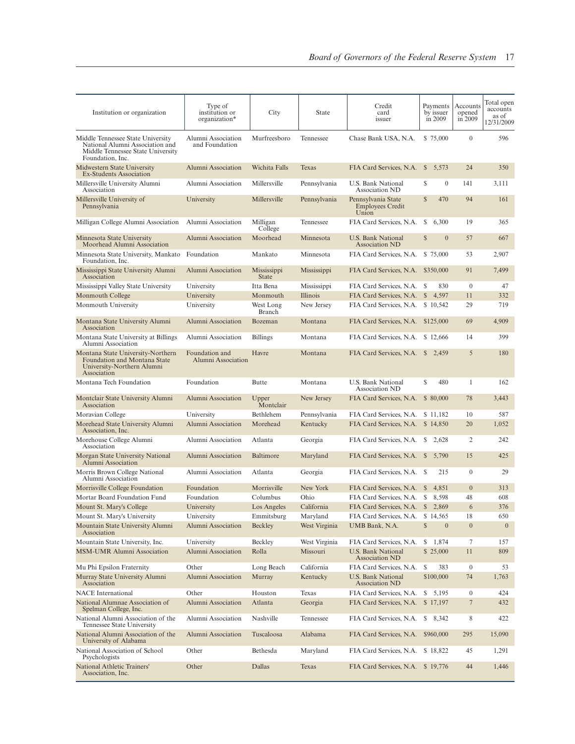| Institution or organization                                                                                                   | Type of<br>institution or<br>organization* | City                        | State         | Credit<br>card<br>issuer                               | Payments<br>by issuer<br>in 2009 | Accounts<br>opened<br>in 2009 | Total open<br>accounts<br>as of<br>12/31/2009 |
|-------------------------------------------------------------------------------------------------------------------------------|--------------------------------------------|-----------------------------|---------------|--------------------------------------------------------|----------------------------------|-------------------------------|-----------------------------------------------|
| Middle Tennessee State University<br>National Alumni Association and<br>Middle Tennessee State University<br>Foundation, Inc. | Alumni Association<br>and Foundation       | Murfreesboro                | Tennessee     | Chase Bank USA, N.A.                                   | \$75,000                         | $\mathbf{0}$                  | 596                                           |
| Midwestern State University<br>Ex-Students Association                                                                        | Alumni Association                         | Wichita Falls               | <b>Texas</b>  | FIA Card Services, N.A. \$ 5,573                       |                                  | 24                            | 350                                           |
| Millersville University Alumni<br>Association                                                                                 | Alumni Association                         | Millersville                | Pennsylvania  | U.S. Bank National<br>Association ND                   | \$<br>$\mathbf{0}$               | 141                           | 3,111                                         |
| Millersville University of<br>Pennsylvania                                                                                    | University                                 | Millersville                | Pennsylvania  | Pennsylvania State<br><b>Employees Credit</b><br>Union | $\mathbb{S}$<br>470              | 94                            | 161                                           |
| Milligan College Alumni Association                                                                                           | Alumni Association                         | Milligan<br>College         | Tennessee     | FIA Card Services, N.A.                                | S<br>6,300                       | 19                            | 365                                           |
| Minnesota State University<br>Moorhead Alumni Association                                                                     | Alumni Association                         | Moorhead                    | Minnesota     | U.S. Bank National<br>Association ND                   | $\mathbb{S}$<br>$\mathbf{0}$     | 57                            | 667                                           |
| Minnesota State University, Mankato<br>Foundation, Inc.                                                                       | Foundation                                 | Mankato                     | Minnesota     | FIA Card Services, N.A.                                | \$75,000                         | 53                            | 2,907                                         |
| Mississippi State University Alumni<br>Association                                                                            | Alumni Association                         | Mississippi<br><b>State</b> | Mississippi   | FIA Card Services, N.A. \$350,000                      |                                  | 91                            | 7,499                                         |
| Mississippi Valley State University                                                                                           | University                                 | Itta Bena                   | Mississippi   | FIA Card Services, N.A. \$                             | 830                              | $\overline{0}$                | 47                                            |
| Monmouth College                                                                                                              | University                                 | Monmouth                    | Illinois      | FIA Card Services, N.A.                                | $\mathbb{S}$<br>4,597            | 11                            | 332                                           |
| Monmouth University                                                                                                           | University                                 | West Long<br>Branch         | New Jersey    | FIA Card Services, N.A. \$10,542                       |                                  | 29                            | 719                                           |
| Montana State University Alumni<br>Association                                                                                | Alumni Association                         | Bozeman                     | Montana       | FIA Card Services, N.A. \$125,000                      |                                  | 69                            | 4,909                                         |
| Montana State University at Billings<br>Alumni Association                                                                    | Alumni Association                         | <b>Billings</b>             | Montana       | FIA Card Services, N.A. \$12,666                       |                                  | 14                            | 399                                           |
| Montana State University-Northern<br>Foundation and Montana State<br>University-Northern Alumni<br>Association                | Foundation and<br>Alumni Association       | Havre                       | Montana       | FIA Card Services, N.A. \$ 2,459                       |                                  | 5                             | 180                                           |
| Montana Tech Foundation                                                                                                       | Foundation                                 | <b>Butte</b>                | Montana       | U.S. Bank National<br>Association ND                   | S<br>480                         | $\mathbf{1}$                  | 162                                           |
| Montclair State University Alumni<br>Association                                                                              | Alumni Association                         | Upper<br>Montclair          | New Jersey    | FIA Card Services, N.A.                                | \$ 80,000                        | 78                            | 3,443                                         |
| Moravian College                                                                                                              | University                                 | Bethlehem                   | Pennsylvania  | FIA Card Services, N.A.                                | \$11,182                         | 10                            | 587                                           |
| Morehead State University Alumni<br>Association, Inc.                                                                         | Alumni Association                         | Morehead                    | Kentucky      | FIA Card Services, N.A. \$14,850                       |                                  | 20                            | 1,052                                         |
| Morehouse College Alumni<br>Association                                                                                       | Alumni Association                         | Atlanta                     | Georgia       | FIA Card Services, N.A. \$ 2,628                       |                                  | 2                             | 242                                           |
| Morgan State University National<br>Alumni Association                                                                        | Alumni Association                         | Baltimore                   | Maryland      | FIA Card Services, N.A. \$                             | 5,790                            | 15                            | 425                                           |
| Morris Brown College National<br>Alumni Association                                                                           | Alumni Association                         | Atlanta                     | Georgia       | FIA Card Services, N.A. \$                             | 215                              | $\overline{0}$                | 29                                            |
| Morrisville College Foundation                                                                                                | Foundation                                 | Morrisville                 | New York      | FIA Card Services, N.A.                                | 4,851<br><sup>S</sup>            | $\overline{0}$                | 313                                           |
| Mortar Board Foundation Fund                                                                                                  | Foundation                                 | Columbus                    | Ohio          | FIA Card Services, N.A. \$                             | 8,598                            | 48                            | 608                                           |
| Mount St. Mary's College                                                                                                      | University                                 | Los Angeles                 | California    | FIA Card Services, N.A. \$                             | 2,869                            | 6                             | 376                                           |
| Mount St. Mary's University                                                                                                   | University                                 | Emmitsburg                  | Maryland      | FIA Card Services, N.A.                                | \$14,565                         | 18                            | 650                                           |
| Mountain State University Alumni<br>Association                                                                               | Alumni Association                         | <b>Beckley</b>              | West Virginia | UMB Bank, N.A.                                         | $\mathbb{S}$<br>$\mathbf{0}$     | $\boldsymbol{0}$              | $\boldsymbol{0}$                              |
| Mountain State University, Inc.                                                                                               | University                                 | Beckley                     | West Virginia | FIA Card Services, N.A.                                | \$1,874                          | 7                             | 157                                           |
| MSM-UMR Alumni Association                                                                                                    | Alumni Association                         | Rolla                       | Missouri      | U.S. Bank National<br><b>Association ND</b>            | \$25,000                         | 11                            | 809                                           |
| Mu Phi Epsilon Fraternity                                                                                                     | Other                                      | Long Beach                  | California    | FIA Card Services, N.A.                                | \$<br>383                        | $\boldsymbol{0}$              | 53                                            |
| Murray State University Alumni<br>Association                                                                                 | Alumni Association                         | Murray                      | Kentucky      | U.S. Bank National<br><b>Association ND</b>            | \$100,000                        | 74                            | 1,763                                         |
| <b>NACE</b> International                                                                                                     | Other                                      | Houston                     | Texas         | FIA Card Services, N.A.                                | \$5,195                          | $\boldsymbol{0}$              | 424                                           |
| National Alumnae Association of<br>Spelman College, Inc.                                                                      | Alumni Association                         | Atlanta                     | Georgia       | FIA Card Services, N.A.                                | \$17,197                         | $\overline{7}$                | 432                                           |
| National Alumni Association of the<br>Tennessee State University                                                              | Alumni Association                         | Nashville                   | Tennessee     | FIA Card Services, N.A.                                | S<br>8,342                       | 8                             | 422                                           |
| National Alumni Association of the<br>University of Alabama                                                                   | Alumni Association                         | Tuscaloosa                  | Alabama       | FIA Card Services, N.A.                                | \$960,000                        | 295                           | 15,090                                        |
| National Association of School<br>Psychologists                                                                               | Other                                      | Bethesda                    | Maryland      | FIA Card Services, N.A.                                | \$18,822                         | 45                            | 1,291                                         |
| National Athletic Trainers'<br>Association, Inc.                                                                              | Other                                      | Dallas                      | Texas         | FIA Card Services, N.A. \$19,776                       |                                  | 44                            | 1,446                                         |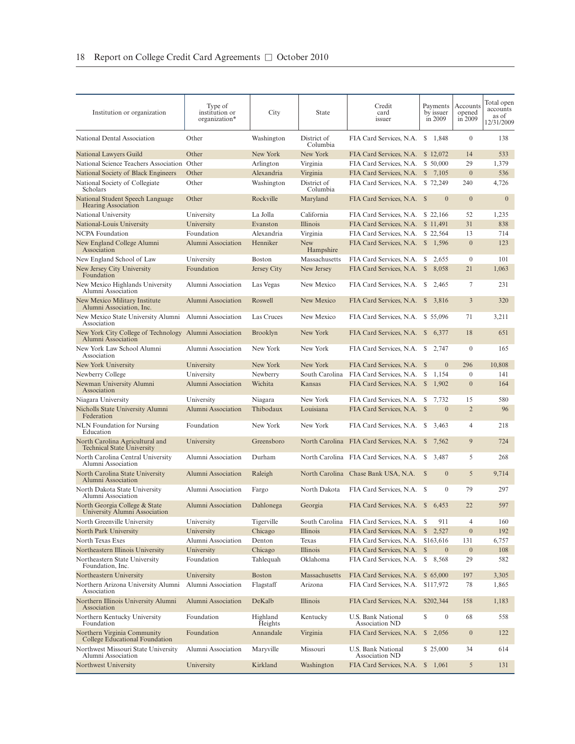| Institution or organization                                          | Type of<br>institution or<br>organization* | City                | State                   | Credit<br>card<br>issuer                    | Payments<br>by issuer<br>in 2009 | Accounts<br>opened<br>in 2009 | Total open<br>accounts<br>as of<br>12/31/2009 |
|----------------------------------------------------------------------|--------------------------------------------|---------------------|-------------------------|---------------------------------------------|----------------------------------|-------------------------------|-----------------------------------------------|
| National Dental Association                                          | Other                                      | Washington          | District of<br>Columbia | FIA Card Services, N.A.                     | \$1,848                          | $\mathbf{0}$                  | 138                                           |
| National Lawyers Guild                                               | Other                                      | New York            | New York                | FIA Card Services, N.A.                     | \$12,072                         | 14                            | 533                                           |
| National Science Teachers Association Other                          |                                            | Arlington           | Virginia                | FIA Card Services, N.A.                     | \$ 50,000                        | 29                            | 1,379                                         |
| National Society of Black Engineers                                  | Other                                      | Alexandria          | Virginia                | FIA Card Services, N.A.                     | $\mathbb{S}$<br>7,105            | $\boldsymbol{0}$              | 536                                           |
| National Society of Collegiate<br>Scholars                           | Other                                      | Washington          | District of<br>Columbia | FIA Card Services, N.A. \$72,249            |                                  | 240                           | 4,726                                         |
| National Student Speech Language<br><b>Hearing Association</b>       | Other                                      | Rockville           | Maryland                | FIA Card Services, N.A. \$                  | $\overline{0}$                   | $\mathbf{0}$                  | $\mathbf{0}$                                  |
| National University                                                  | University                                 | La Jolla            | California              | FIA Card Services, N.A.                     | \$ 22,166                        | 52                            | 1,235                                         |
| National-Louis University                                            | University                                 | Evanston            | Illinois                | FIA Card Services, N.A.                     | \$11,491                         | 31                            | 838                                           |
| NCPA Foundation                                                      | Foundation                                 | Alexandria          | Virginia                | FIA Card Services, N.A.                     | \$22,564                         | 13                            | 714                                           |
| New England College Alumni<br>Association                            | Alumni Association                         | Henniker            | <b>New</b><br>Hampshire | FIA Card Services, N.A. \$1,596             |                                  | $\mathbf{0}$                  | 123                                           |
| New England School of Law                                            | University                                 | <b>Boston</b>       | Massachusetts           | FIA Card Services, N.A.                     | S<br>2,655                       | $\boldsymbol{0}$              | 101                                           |
| New Jersey City University<br>Foundation                             | Foundation                                 | Jersey City         | New Jersey              | FIA Card Services, N.A.                     | <sup>\$</sup><br>8,058           | 21                            | 1,063                                         |
| New Mexico Highlands University<br>Alumni Association                | Alumni Association                         | Las Vegas           | New Mexico              | FIA Card Services, N.A.                     | S<br>2,465                       | 7                             | 231                                           |
| New Mexico Military Institute<br>Alumni Association, Inc.            | Alumni Association                         | Roswell             | New Mexico              | FIA Card Services, N.A. \$ 3,816            |                                  | 3                             | 320                                           |
| New Mexico State University Alumni<br>Association                    | Alumni Association                         | Las Cruces          | New Mexico              | FIA Card Services, N.A. \$55,096            |                                  | 71                            | 3,211                                         |
| New York City College of Technology<br>Alumni Association            | Alumni Association                         | <b>Brooklyn</b>     | New York                | FIA Card Services, N.A. \$                  | 6,377                            | 18                            | 651                                           |
| New York Law School Alumni<br>Association                            | Alumni Association                         | New York            | New York                | FIA Card Services, N.A.                     | \$ 2,747                         | $\mathbf{0}$                  | 165                                           |
| New York University                                                  | University                                 | New York            | New York                | FIA Card Services, N.A.                     | $\overline{0}$<br><sup>\$</sup>  | 296                           | 10,808                                        |
| Newberry College                                                     | University                                 | Newberry            | South Carolina          | FIA Card Services, N.A.                     | \$<br>1,154                      | $\mathbf{0}$                  | 141                                           |
| Newman University Alumni<br>Association                              | Alumni Association                         | Wichita             | Kansas                  | FIA Card Services, N.A.                     | $\mathbb{S}$<br>1,902            | $\mathbf{0}$                  | 164                                           |
| Niagara University                                                   | University                                 | Niagara             | New York                | FIA Card Services, N.A.                     | 7,732<br>S.                      | 15                            | 580                                           |
| Nicholls State University Alumni<br>Federation                       | Alumni Association                         | Thibodaux           | Louisiana               | FIA Card Services, N.A.                     | $\mathbb{S}$<br>$\mathbf{0}$     | $\overline{2}$                | 96                                            |
| <b>NLN</b> Foundation for Nursing<br>Education                       | Foundation                                 | New York            | New York                | FIA Card Services, N.A.                     | S<br>3,463                       | 4                             | 218                                           |
| North Carolina Agricultural and<br><b>Technical State University</b> | University                                 | Greensboro          |                         | North Carolina FIA Card Services, N.A. \$   | 7,562                            | 9                             | 724                                           |
| North Carolina Central University<br>Alumni Association              | Alumni Association                         | Durham              |                         | North Carolina FIA Card Services, N.A. \$   | 3,487                            | 5                             | 268                                           |
| North Carolina State University<br>Alumni Association                | Alumni Association                         | Raleigh             |                         | North Carolina Chase Bank USA, N.A.         | $\mathbf{0}$<br>$\mathbb{S}$     | 5                             | 9,714                                         |
| North Dakota State University<br>Alumni Association                  | Alumni Association                         | Fargo               | North Dakota            | FIA Card Services, N.A.                     | $\mathbf{0}$<br>-S               | 79                            | 297                                           |
| North Georgia College & State<br>University Alumni Association       | Alumni Association                         | Dahlonega           | Georgia                 | FIA Card Services, N.A. \$ 6,453            |                                  | 22                            | 597                                           |
| North Greenville University                                          | University                                 | Tigerville          | South Carolina          | FIA Card Services, N.A.                     | S<br>911                         | 4                             | 160                                           |
| North Park University                                                | University                                 | Chicago             | Illinois                | FIA Card Services, N.A.                     | $\mathbb{S}$<br>2,527            | $\boldsymbol{0}$              | 192                                           |
| North Texas Exes                                                     | Alumni Association                         | Denton              | Texas                   | FIA Card Services, N.A.                     | \$163,616                        | 131                           | 6,757                                         |
| Northeastern Illinois University                                     | University                                 | Chicago             | Illinois                | FIA Card Services, N.A.                     | $\mathbb{S}$<br>$\boldsymbol{0}$ | $\boldsymbol{0}$              | 108                                           |
| Northeastern State University<br>Foundation, Inc.                    | Foundation                                 | Tahlequah           | Oklahoma                | FIA Card Services, N.A.                     | \$8,568                          | 29                            | 582                                           |
| Northeastern University                                              | University                                 | <b>Boston</b>       | Massachusetts           | FIA Card Services, N.A.                     | \$65,000                         | 197                           | 3,305                                         |
| Northern Arizona University Alumni<br>Association                    | Alumni Association                         | Flagstaff           | Arizona                 | FIA Card Services, N.A.                     | \$117,972                        | 78                            | 1,865                                         |
| Northern Illinois University Alumni<br>Association                   | Alumni Association                         | DeKalb              | Illinois                | FIA Card Services, N.A.                     | \$202,344                        | 158                           | 1,183                                         |
| Northern Kentucky University<br>Foundation                           | Foundation                                 | Highland<br>Heights | Kentucky                | U.S. Bank National<br><b>Association ND</b> | \$<br>$\boldsymbol{0}$           | 68                            | 558                                           |
| Northern Virginia Community<br>College Educational Foundation        | Foundation                                 | Annandale           | Virginia                | FIA Card Services, N.A.                     | \$2,056                          | $\boldsymbol{0}$              | 122                                           |
| Northwest Missouri State University<br>Alumni Association            | Alumni Association                         | Maryville           | Missouri                | U.S. Bank National<br>Association ND        | \$25,000                         | 34                            | 614                                           |
| Northwest University                                                 | University                                 | Kirkland            | Washington              | FIA Card Services, N.A.                     | \$1,061                          | 5                             | 131                                           |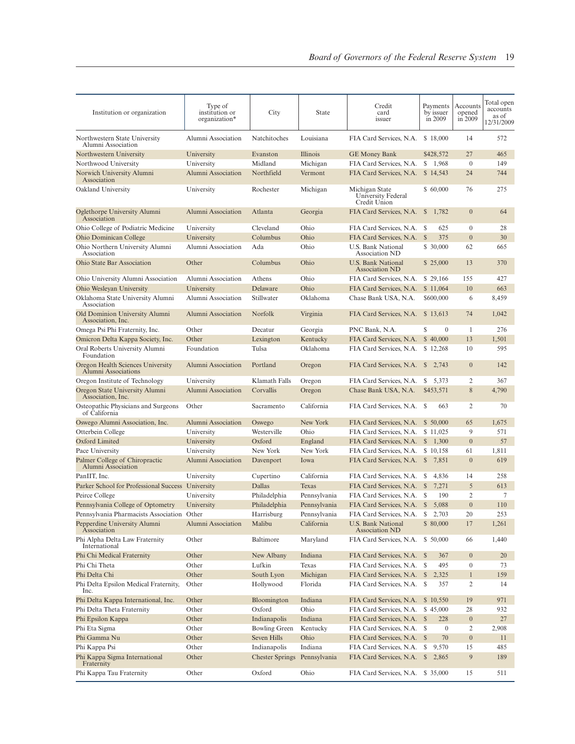| Institution or organization                                     | Type of<br>institution or<br>organization* | City                         | State                        | Credit<br>card<br>issuer                                        | Payments<br>by issuer<br>in 2009 | Accounts<br>opened<br>in 2009 | Total open<br>accounts<br>as of<br>12/31/2009 |
|-----------------------------------------------------------------|--------------------------------------------|------------------------------|------------------------------|-----------------------------------------------------------------|----------------------------------|-------------------------------|-----------------------------------------------|
| Northwestern State University<br>Alumni Association             | Alumni Association                         | Natchitoches                 | Louisiana                    | FIA Card Services, N.A.                                         | \$18,000                         | 14                            | 572                                           |
| Northwestern University                                         | University                                 | Evanston                     | Illinois                     | <b>GE Money Bank</b>                                            | \$428,572                        | 27                            | 465                                           |
| Northwood University                                            | University                                 | Midland                      | Michigan                     | FIA Card Services, N.A.                                         | \$1,968                          | $\mathbf{0}$                  | 149                                           |
| Norwich University Alumni<br>Association                        | Alumni Association                         | Northfield                   | Vermont                      | FIA Card Services, N.A.                                         | \$14,543                         | 24                            | 744                                           |
| Oakland University                                              | University                                 | Rochester                    | Michigan                     | Michigan State<br>University Federal<br>Credit Union            | \$60,000                         | 76                            | 275                                           |
| Oglethorpe University Alumni<br>Association                     | Alumni Association                         | Atlanta                      | Georgia                      | FIA Card Services, N.A.                                         | 1,782<br>$\mathbb{S}$            | $\mathbf{0}$                  | 64                                            |
| Ohio College of Podiatric Medicine                              | University                                 | Cleveland                    | Ohio                         | FIA Card Services, N.A.                                         | S<br>625                         | $\mathbf{0}$                  | 28                                            |
| Ohio Dominican College                                          | University                                 | Columbus                     | Ohio                         | FIA Card Services, N.A.                                         | 375<br>$\mathbb{S}$              | $\mathbf{0}$                  | 30                                            |
| Ohio Northern University Alumni<br>Association                  | Alumni Association                         | Ada                          | Ohio                         | U.S. Bank National<br>Association ND                            | \$ 30,000                        | 62                            | 665                                           |
| Ohio State Bar Association                                      | Other                                      | Columbus                     | Ohio                         | U.S. Bank National<br><b>Association ND</b>                     | \$ 25,000                        | 13                            | 370                                           |
| Ohio University Alumni Association                              | Alumni Association                         | Athens                       | Ohio                         | FIA Card Services, N.A.                                         | \$ 29,166                        | 155                           | 427                                           |
| Ohio Wesleyan University                                        | University                                 | Delaware                     | Ohio                         | FIA Card Services, N.A.                                         | \$11,064                         | 10                            | 663                                           |
| Oklahoma State University Alumni<br>Association                 | Alumni Association                         | Stillwater                   | Oklahoma                     | Chase Bank USA, N.A.                                            | \$600,000                        | 6                             | 8,459                                         |
| Old Dominion University Alumni<br>Association, Inc.             | Alumni Association                         | Norfolk                      | Virginia                     | FIA Card Services, N.A.                                         | \$13,613                         | 74                            | 1,042                                         |
| Omega Psi Phi Fraternity, Inc.                                  | Other                                      | Decatur                      | Georgia                      | PNC Bank, N.A.                                                  | S<br>$\mathbf{0}$                | -1                            | 276                                           |
| Omicron Delta Kappa Society, Inc.                               | Other                                      | Lexington                    | Kentucky                     | FIA Card Services, N.A.                                         | \$40,000                         | 13                            | 1,501                                         |
| Oral Roberts University Alumni<br>Foundation                    | Foundation                                 | Tulsa                        | Oklahoma                     | FIA Card Services, N.A.                                         | \$12,268                         | 10                            | 595                                           |
| Oregon Health Sciences University<br><b>Alumni Associations</b> | Alumni Association                         | Portland                     | Oregon                       | FIA Card Services, N.A.                                         | <sup>\$</sup><br>2,743           | $\overline{0}$                | 142                                           |
| Oregon Institute of Technology                                  | University                                 | Klamath Falls                | Oregon                       | FIA Card Services, N.A.                                         | S<br>5,373                       | 2                             | 367                                           |
| Oregon State University Alumni<br>Association, Inc.             | Alumni Association                         | Corvallis                    | Oregon                       | Chase Bank USA, N.A.                                            | \$453,571                        | 8                             | 4,790                                         |
| Osteopathic Physicians and Surgeons<br>of California            | Other                                      | Sacramento                   | California                   | FIA Card Services, N.A. \$                                      | 663                              | 2                             | 70                                            |
| Oswego Alumni Association, Inc.<br>Otterbein College            | Alumni Association<br>University           | Oswego<br>Westerville        | New York<br>Ohio             | FIA Card Services, N.A.<br>FIA Card Services, N.A.              | \$ 50,000<br>\$11,025            | 65<br>9                       | 1,675<br>571                                  |
| Oxford Limited                                                  | University                                 | Oxford                       | England                      | FIA Card Services, N.A.                                         | \$1,300                          | $\mathbf{0}$                  | 57                                            |
| Pace University                                                 | University                                 | New York                     | New York                     | FIA Card Services, N.A.                                         | \$10,158                         | 61                            | 1,811                                         |
| Palmer College of Chiropractic<br>Alumni Association            | Alumni Association                         | Davenport                    | Iowa                         | FIA Card Services, N.A.                                         | $\mathbb{S}$<br>7,851            | $\overline{0}$                | 619                                           |
| PanIIT, Inc.                                                    | University                                 | Cupertino                    | California                   | FIA Card Services, N.A.                                         | 4,836<br>S                       | 14                            | 258                                           |
| Parker School for Professional Success                          | University                                 | Dallas                       | Texas                        | FIA Card Services, N.A.                                         | 7,271<br>$\mathbb{S}$            | 5                             | 613                                           |
| Peirce College                                                  | University                                 | Philadelphia                 |                              | FIA Card Services, N.A.                                         | 190<br>S                         | 2                             | 7                                             |
| Pennsylvania College of Optometry                               | University                                 | Philadelphia                 | Pennsylvania<br>Pennsylvania | FIA Card Services, N.A.                                         | $\mathbb{S}$<br>5,088            | $\overline{0}$                | 110                                           |
| Pennsylvania Pharmacists Association Other                      |                                            |                              |                              |                                                                 | ${\mathbb S}$<br>2,703           | 20                            | 253                                           |
| Pepperdine University Alumni<br>Association                     | Alumni Association                         | Harrisburg<br>Malibu         | Pennsylvania<br>California   | FIA Card Services, N.A.<br>U.S. Bank National<br>Association ND | \$80,000                         | 17                            | 1,261                                         |
| Phi Alpha Delta Law Fraternity<br>International                 | Other                                      | Baltimore                    | Maryland                     | FIA Card Services, N.A.                                         | \$ 50,000                        | 66                            | 1,440                                         |
| Phi Chi Medical Fraternity                                      | Other                                      | New Albany                   | Indiana                      | FIA Card Services, N.A. \$                                      | 367                              | $\mathbf{0}$                  | 20                                            |
| Phi Chi Theta                                                   | Other                                      | Lufkin                       | Texas                        | FIA Card Services, N.A. \$                                      | 495                              | $\mathbf{0}$                  | 73                                            |
| Phi Delta Chi                                                   | Other                                      | South Lyon                   | Michigan                     | FIA Card Services, N.A. \$ 2,325                                |                                  | $\mathbf{1}$                  | 159                                           |
| Phi Delta Epsilon Medical Fraternity,<br>Inc.                   | Other                                      | Hollywood                    | Florida                      | FIA Card Services, N.A.                                         | S<br>357                         | 2                             | 14                                            |
| Phi Delta Kappa International, Inc.                             | Other                                      | Bloomington                  | Indiana                      | FIA Card Services, N.A.                                         | \$10,550                         | 19                            | 971                                           |
| Phi Delta Theta Fraternity                                      | Other                                      | Oxford                       | Ohio                         | FIA Card Services, N.A.                                         | \$45,000                         | 28                            | 932                                           |
| Phi Epsilon Kappa                                               | Other                                      | Indianapolis                 | Indiana                      | FIA Card Services, N.A. \$                                      | 228                              | $\overline{0}$                | 27                                            |
| Phi Eta Sigma                                                   | Other                                      | <b>Bowling Green</b>         | Kentucky                     | FIA Card Services, N.A. \$                                      | $\mathbf{0}$                     | 2                             | 2,908                                         |
| Phi Gamma Nu                                                    | Other                                      | Seven Hills                  | Ohio                         | FIA Card Services, N.A. \$                                      | 70                               | $\mathbf{0}$                  | 11                                            |
| Phi Kappa Psi                                                   | Other                                      | Indianapolis                 | Indiana                      | FIA Card Services, N.A.                                         | 9,570<br>\$                      | 15                            | 485                                           |
| Phi Kappa Sigma International<br>Fraternity                     | Other                                      | Chester Springs Pennsylvania |                              | FIA Card Services, N.A.                                         | $\mathbb{S}$<br>2,865            | 9                             | 189                                           |
| Phi Kappa Tau Fraternity                                        | Other                                      | Oxford                       | Ohio                         | FIA Card Services, N.A. \$ 35,000                               |                                  | 15                            | 511                                           |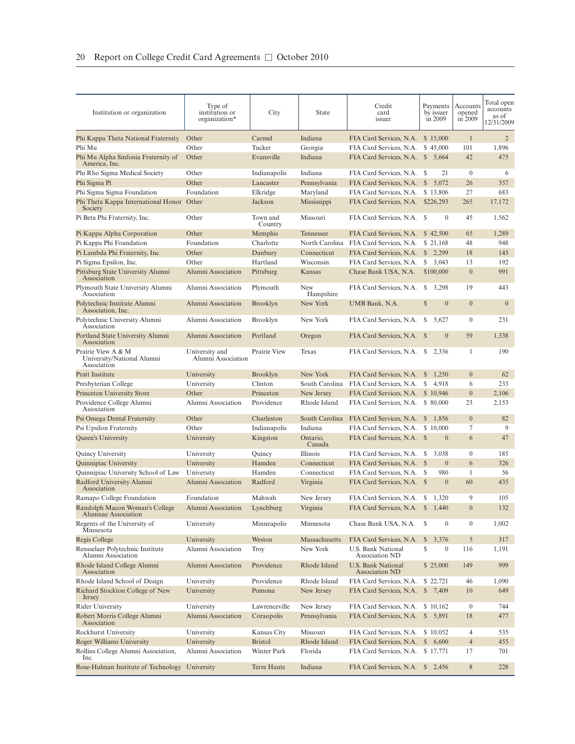| Institution or organization                                     | Type of<br>institution or<br>organization* | City                | State                   | Credit<br>card<br>issuer                    | Payments<br>by issuer<br>in 2009 | Accounts<br>opened<br>in 2009 | Total open<br>accounts<br>as of<br>12/31/2009 |
|-----------------------------------------------------------------|--------------------------------------------|---------------------|-------------------------|---------------------------------------------|----------------------------------|-------------------------------|-----------------------------------------------|
|                                                                 |                                            |                     |                         |                                             |                                  |                               |                                               |
| Phi Kappa Theta National Fraternity                             | Other                                      | Carmel              | Indiana                 | FIA Card Services, N.A.                     | \$15,000                         | $\mathbf{1}$                  | $\overline{2}$                                |
| Phi Mu                                                          | Other                                      | Tucker              | Georgia                 | FIA Card Services, N.A.                     | \$45,000                         | 101                           | 1,896                                         |
| Phi Mu Alpha Sinfonia Fraternity of<br>America, Inc.            | Other                                      | Evansville          | Indiana                 | FIA Card Services, N.A. \$ 5,664            |                                  | 42                            | 475                                           |
| Phi Rho Sigma Medical Society                                   | Other                                      | Indianapolis        | Indiana                 | FIA Card Services, N.A.                     | 21<br>S                          | $\boldsymbol{0}$              | 6                                             |
| Phi Sigma Pi                                                    | Other                                      | Lancaster           | Pennsylvania            | FIA Card Services, N.A.                     | $\mathbb{S}$<br>5,072            | 26                            | 357                                           |
| Phi Sigma Sigma Foundation                                      | Foundation                                 | Elkridge            | Maryland                | FIA Card Services, N.A.                     | \$13,806                         | 27                            | 683                                           |
| Phi Theta Kappa International Honor Other<br>Society            |                                            | Jackson             | Mississippi             | FIA Card Services, N.A.                     | \$226,293                        | 265                           | 17,172                                        |
| Pi Beta Phi Fraternity, Inc.                                    | Other                                      | Town and<br>Country | Missouri                | FIA Card Services, N.A.                     | $\mathbf{0}$<br>-S               | 45                            | 1,562                                         |
| Pi Kappa Alpha Corporation                                      | Other                                      | Memphis             | Tennessee               | FIA Card Services, N.A.                     | \$42,500                         | 65                            | 1,289                                         |
| Pi Kappa Phi Foundation                                         | Foundation                                 | Charlotte           | North Carolina          | FIA Card Services, N.A.                     | \$ 21,168                        | 48                            | 948                                           |
| Pi Lambda Phi Fraternity, Inc.                                  | Other                                      | Danbury             | Connecticut             | FIA Card Services, N.A.                     | $\mathbb{S}$<br>2,299            | 18                            | 145                                           |
| Pi Sigma Epsilon, Inc.                                          | Other                                      | Hartland            | Wisconsin               | FIA Card Services, N.A.                     | S<br>3,043                       | 13                            | 192                                           |
| Pittsburg State University Alumni<br>Association                | Alumni Association                         | Pittsburg           | Kansas                  | Chase Bank USA, N.A.                        | \$100,000                        | $\overline{0}$                | 991                                           |
| Plymouth State University Alumni<br>Association                 | Alumni Association                         | Plymouth            | <b>New</b><br>Hampshire | FIA Card Services, N.A.                     | S<br>3,298                       | 19                            | 443                                           |
| Polytechnic Institute Alumni<br>Association, Inc.               | Alumni Association                         | <b>Brooklyn</b>     | New York                | UMB Bank, N.A.                              | $\mathbb{S}$<br>$\mathbf{0}$     | $\overline{0}$                | $\mathbf{0}$                                  |
| Polytechnic University Alumni<br>Association                    | Alumni Association                         | Brooklyn            | New York                | FIA Card Services, N.A.                     | 5,627<br>S.                      | $\boldsymbol{0}$              | 231                                           |
| Portland State University Alumni<br>Association                 | Alumni Association                         | Portland            | Oregon                  | FIA Card Services, N.A. \$                  | $\mathbf{0}$                     | 59                            | 1,338                                         |
| Prairie View A & M<br>University/National Alumni<br>Association | University and<br>Alumni Association       | Prairie View        | Texas                   | FIA Card Services, N.A. \$ 2,336            |                                  | 1                             | 190                                           |
| <b>Pratt Institute</b>                                          | University                                 | <b>Brooklyn</b>     | New York                | FIA Card Services, N.A.                     | 1,250<br>\$                      | $\mathbf{0}$                  | 62                                            |
| Presbyterian College                                            | University                                 | Clinton             | South Carolina          | FIA Card Services, N.A.                     | 4,918<br>S                       | 6                             | 233                                           |
| Princeton University Store                                      | Other                                      | Princeton           | New Jersey              | FIA Card Services, N.A.                     | \$10,946                         | $\boldsymbol{0}$              | 2,106                                         |
| Providence College Alumni<br>Association                        | Alumni Association                         | Providence          | Rhode Island            | FIA Card Services, N.A.                     | \$ 80,000                        | 23                            | 2,153                                         |
| Psi Omega Dental Fraternity                                     | Other                                      | Charleston          | South Carolina          | FIA Card Services, N.A.                     | 1,856<br>\$                      | $\overline{0}$                | 82                                            |
| Psi Upsilon Fraternity                                          | Other                                      | Indianapolis        | Indiana                 | FIA Card Services, N.A.                     | \$10,000                         | 7                             | 9                                             |
| Queen's University                                              | University                                 | Kingston            | Ontario,<br>Canada      | FIA Card Services, N.A. \$                  | $\mathbf{0}$                     | 6                             | 47                                            |
| Quincy University                                               | University                                 | Quincy              | Illinois                | FIA Card Services, N.A.                     | 3,038<br>S                       | $\mathbf{0}$                  | 185                                           |
| Quinnipiac University                                           | University                                 | Hamden              | Connecticut             | FIA Card Services, N.A.                     | <sup>\$</sup><br>$\mathbf{0}$    | 6                             | 326                                           |
| Quinnipiac University School of Law                             | University                                 | Hamden              | Connecticut             | FIA Card Services, N.A.                     | 980<br>S,                        | $\mathbf{1}$                  | 56                                            |
| Radford University Alumni<br>Association                        | Alumni Association                         | Radford             | Virginia                | FIA Card Services, N.A. \$                  | $\boldsymbol{0}$                 | 60                            | 435                                           |
| Ramapo College Foundation                                       | Foundation                                 | Mahwah              | New Jersey              | FIA Card Services, N.A.                     | 1,320<br>S                       | 9                             | 105                                           |
| Randolph Macon Woman's College<br>Alumnae Association           | Alumni Association                         | Lynchburg           | Virginia                | FIA Card Services, N.A. \$                  | 1,440                            | $\overline{0}$                | 132                                           |
| Regents of the University of<br>Minnesota                       | University                                 | Minneapolis         | Minnesota               | Chase Bank USA, N.A.                        | \$<br>$\boldsymbol{0}$           | $\boldsymbol{0}$              | 1,002                                         |
| Regis College                                                   | University                                 | Weston              | Massachusetts           | FIA Card Services, N.A.                     | $\mathbb{S}$<br>3,376            | 5                             | 317                                           |
| Rensselaer Polytechnic Institute<br>Alumni Association          | Alumni Association                         | Troy                | New York                | U.S. Bank National<br>Association ND        | \$<br>$\boldsymbol{0}$           | 116                           | 1,191                                         |
| Rhode Island College Alumni<br>Association                      | Alumni Association                         | Providence          | Rhode Island            | <b>U.S. Bank National</b><br>Association ND | \$25,000                         | 149                           | 999                                           |
| Rhode Island School of Design                                   | University                                 | Providence          | Rhode Island            | FIA Card Services, N.A.                     | \$ 22,721                        | 46                            | 1,090                                         |
| Richard Stockton College of New<br>Jersey                       | University                                 | Pomona              | New Jersey              | FIA Card Services, N.A.                     | \$7,409                          | 10                            | 649                                           |
| Rider University                                                | University                                 | Lawrenceville       | New Jersey              | FIA Card Services, N.A.                     | \$10,162                         | $\boldsymbol{0}$              | 744                                           |
| Robert Morris College Alumni<br>Association                     | Alumni Association                         | Coraopolis          | Pennsylvania            | FIA Card Services, N.A.                     | \$5,891                          | 18                            | 477                                           |
| Rockhurst University                                            | University                                 | Kansas City         | Missouri                | FIA Card Services, N.A.                     | \$10,052                         | 4                             | 535                                           |
| Roger Williams University                                       | University                                 | <b>Bristol</b>      | Rhode Island            | FIA Card Services, N.A.                     | $\mathbb{S}$<br>6,600            | $\overline{4}$                | 455                                           |
| Rollins College Alumni Association,<br>Inc.                     | Alumni Association                         | Winter Park         | Florida                 | FIA Card Services, N.A.                     | \$17,771                         | 17                            | 701                                           |
| Rose-Hulman Institute of Technology                             | University                                 | Terre Haute         | Indiana                 | FIA Card Services, N.A. \$2,456             |                                  | 8                             | 228                                           |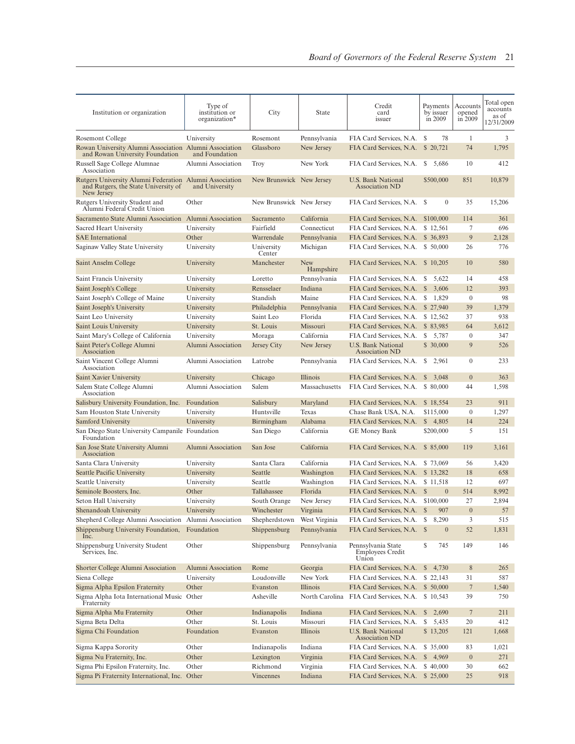| Institution or organization                                                                                   | Type of<br>institution or<br>organization* | City                     | <b>State</b>            | Credit<br>card<br>issuer                               | Payments<br>by issuer<br>in 2009 | Accounts<br>opened<br>in 2009 | Total open<br>accounts<br>as of<br>12/31/2009 |
|---------------------------------------------------------------------------------------------------------------|--------------------------------------------|--------------------------|-------------------------|--------------------------------------------------------|----------------------------------|-------------------------------|-----------------------------------------------|
| Rosemont College                                                                                              | University                                 | Rosemont                 | Pennsylvania            | FIA Card Services, N.A.                                | 78<br>\$                         | 1                             | 3                                             |
| Rowan University Alumni Association Alumni Association<br>and Rowan University Foundation                     | and Foundation                             | Glassboro                | New Jersey              | FIA Card Services, N.A. \$20,721                       |                                  | 74                            | 1,795                                         |
| Russell Sage College Alumnae<br>Association                                                                   | Alumni Association                         | <b>Troy</b>              | New York                | FIA Card Services, N.A. \$ 5,686                       |                                  | 10                            | 412                                           |
| Rutgers University Alumni Federation Alumni Association<br>and Rutgers, the State University of<br>New Jersey | and University                             | New Brunswick New Jersey |                         | U.S. Bank National<br>Association ND                   | \$500,000                        | 851                           | 10,879                                        |
| Rutgers University Student and<br>Alumni Federal Credit Union                                                 | Other                                      | New Brunswick New Jersey |                         | FIA Card Services, N.A. \$                             | $\mathbf{0}$                     | 35                            | 15,206                                        |
| Sacramento State Alumni Association                                                                           | Alumni Association                         | Sacramento               | California              | FIA Card Services, N.A.                                | \$100,000                        | 114                           | 361                                           |
| Sacred Heart University                                                                                       | University                                 | Fairfield                | Connecticut             | FIA Card Services, N.A.                                | \$12,561                         | 7                             | 696                                           |
| <b>SAE</b> International                                                                                      | Other                                      | Warrendale               | Pennsylvania            | FIA Card Services, N.A.                                | \$ 36,893                        | 9                             | 2,128                                         |
| Saginaw Valley State University                                                                               | University                                 | University<br>Center     | Michigan                | FIA Card Services, N.A. \$50,000                       |                                  | 26                            | 776                                           |
| Saint Anselm College                                                                                          | University                                 | Manchester               | <b>New</b><br>Hampshire | FIA Card Services, N.A.                                | \$10,205                         | 10                            | 580                                           |
| Saint Francis University                                                                                      | University                                 | Loretto                  | Pennsylvania            | FIA Card Services, N.A.                                | 5,622<br>S                       | 14                            | 458                                           |
| Saint Joseph's College                                                                                        | University                                 | Rensselaer               | Indiana                 | FIA Card Services, N.A.                                | $\mathbb{S}$<br>3,606            | 12                            | 393                                           |
| Saint Joseph's College of Maine                                                                               | University                                 | Standish                 | Maine                   | FIA Card Services, N.A.                                | S<br>1,829                       | $\mathbf{0}$                  | 98                                            |
| Saint Joseph's University                                                                                     | University                                 | Philadelphia             | Pennsylvania            | FIA Card Services, N.A.                                | \$27,940                         | 39                            | 1,379                                         |
| Saint Leo University                                                                                          | University                                 | Saint Leo                | Florida                 | FIA Card Services, N.A.                                | \$12,562                         | 37                            | 938                                           |
| Saint Louis University                                                                                        | University                                 | St. Louis                | Missouri                | FIA Card Services, N.A.                                | \$ 83,985                        | 64                            | 3,612                                         |
| Saint Mary's College of California                                                                            | University                                 | Moraga                   | California              | FIA Card Services, N.A.                                | S<br>5,787                       | $\mathbf{0}$                  | 347                                           |
| Saint Peter's College Alumni                                                                                  | Alumni Association                         | Jersey City              | New Jersey              | <b>U.S. Bank National</b>                              | \$30,000                         | 9                             | 526                                           |
| Association<br>Saint Vincent College Alumni<br>Association                                                    | Alumni Association                         | Latrobe                  | Pennsylvania            | Association ND<br>FIA Card Services, N.A. \$2,961      |                                  | $\mathbf{0}$                  | 233                                           |
| Saint Xavier University                                                                                       | University                                 | Chicago                  | Illinois                | FIA Card Services, N.A.                                | \$3,048                          | $\overline{0}$                | 363                                           |
| Salem State College Alumni<br>Association                                                                     | Alumni Association                         | Salem                    | Massachusetts           | FIA Card Services, N.A.                                | \$ 80,000                        | 44                            | 1,598                                         |
| Salisbury University Foundation, Inc.                                                                         | Foundation                                 | Salisbury                | Maryland                | FIA Card Services, N.A.                                | \$18,554                         | 23                            | 911                                           |
| Sam Houston State University                                                                                  | University                                 | Huntsville               | Texas                   | Chase Bank USA, N.A.                                   | \$115,000                        | $\overline{0}$                | 1,297                                         |
| Samford University                                                                                            | University                                 | Birmingham               | Alabama                 | FIA Card Services, N.A.                                | \$4,805                          | 14                            | 224                                           |
| San Diego State University Campanile Foundation<br>Foundation                                                 |                                            | San Diego                | California              | <b>GE Money Bank</b>                                   | \$200,000                        | 5                             | 151                                           |
| San Jose State University Alumni<br>Association                                                               | Alumni Association                         | San Jose                 | California              | FIA Card Services, N.A. \$ 85,000                      |                                  | 119                           | 3,161                                         |
| Santa Clara University                                                                                        | University                                 | Santa Clara              | California              | FIA Card Services, N.A. \$73,069                       |                                  | 56                            | 3,420                                         |
| Seattle Pacific University                                                                                    | University                                 | Seattle                  | Washington              | FIA Card Services, N.A. \$13,282                       |                                  | 18                            | 658                                           |
| Seattle University                                                                                            | University                                 | Seattle                  | Washington              | FIA Card Services, N.A. \$11,518                       |                                  | 12                            | 697                                           |
| Seminole Boosters, Inc.                                                                                       | Other                                      | Tallahassee              | Florida                 | FIA Card Services, N.A.                                | $\Omega$<br><sup>S</sup>         | 514                           | 8,992                                         |
| Seton Hall University                                                                                         | University                                 | South Orange             | New Jersey              | FIA Card Services, N.A. \$100,000                      |                                  | 27                            | 2,894                                         |
| Shenandoah University                                                                                         | University                                 | Winchester               | Virginia                | FIA Card Services, N.A. \$ 907                         |                                  | $\mathbf{0}$                  | 57                                            |
| Shepherd College Alumni Association                                                                           | Alumni Association                         | Shepherdstown            | West Virginia           | FIA Card Services, N.A. \$                             | 8,290                            | 3                             | 515                                           |
| Shippensburg University Foundation,<br>Inc.                                                                   | Foundation                                 | Shippensburg             | Pennsylvania            | FIA Card Services, N.A.                                | $\mathbf{0}$<br><sup>\$</sup>    | 52                            | 1,831                                         |
| Shippensburg University Student<br>Services, Inc.                                                             | Other                                      | Shippensburg             | Pennsylvania            | Pennsylvania State<br><b>Employees Credit</b><br>Union | 745<br>S                         | 149                           | 146                                           |
| Shorter College Alumni Association                                                                            | Alumni Association                         | Rome                     | Georgia                 | FIA Card Services, N.A.                                | \$4,730                          | 8                             | 265                                           |
| Siena College                                                                                                 | University                                 | Loudonville              | New York                | FIA Card Services, N.A.                                | \$22,143                         | 31                            | 587                                           |
| Sigma Alpha Epsilon Fraternity                                                                                | Other                                      | Evanston                 | Illinois                | FIA Card Services, N.A.                                | \$ 50,000                        | 7                             | 1,540                                         |
| Sigma Alpha Iota International Music Other<br>Fraternity                                                      |                                            | Asheville                |                         | North Carolina FIA Card Services, N.A. \$10,543        |                                  | 39                            | 750                                           |
| Sigma Alpha Mu Fraternity                                                                                     | Other                                      | Indianapolis             | Indiana                 | FIA Card Services, N.A.                                | \$2,690                          | 7                             | 211                                           |
| Sigma Beta Delta                                                                                              | Other                                      | St. Louis                | Missouri                | FIA Card Services, N.A.                                | \$5,435                          | 20                            | 412                                           |
| Sigma Chi Foundation                                                                                          | Foundation                                 | Evanston                 | Illinois                | U.S. Bank National<br><b>Association ND</b>            | \$13,205                         | 121                           | 1,668                                         |
| Sigma Kappa Sorority                                                                                          | Other                                      | Indianapolis             | Indiana                 | FIA Card Services, N.A.                                | \$ 35,000                        | 83                            | 1,021                                         |
| Sigma Nu Fraternity, Inc.                                                                                     | Other                                      | Lexington                | Virginia                | FIA Card Services, N.A.                                | \$4,969                          | $\boldsymbol{0}$              | 271                                           |
| Sigma Phi Epsilon Fraternity, Inc.                                                                            | Other                                      | Richmond                 | Virginia                | FIA Card Services, N.A.                                | \$40,000                         | 30                            | 662                                           |
| Sigma Pi Fraternity International, Inc. Other                                                                 |                                            | Vincennes                | Indiana                 | FIA Card Services, N.A. \$ 25,000                      |                                  | 25                            | 918                                           |
|                                                                                                               |                                            |                          |                         |                                                        |                                  |                               |                                               |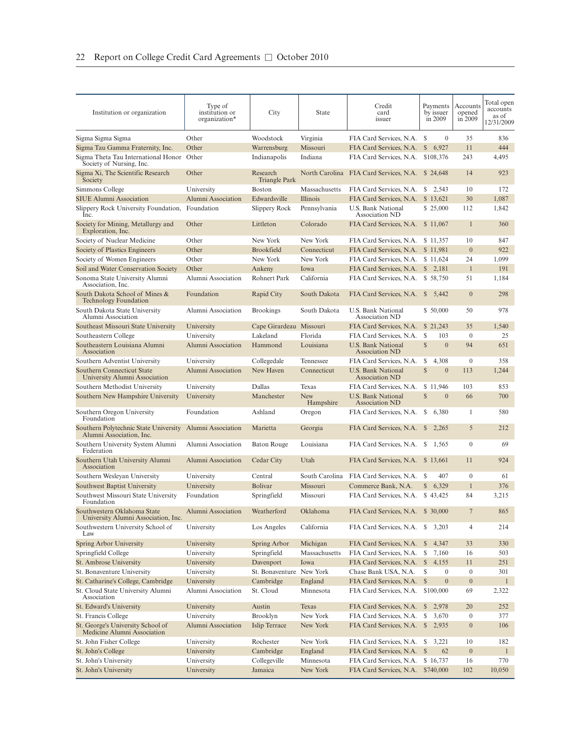| Institution or organization                                           | Type of<br>institution or<br>organization* | City                      | State                    | Credit<br>card<br>issuer                             | Payments<br>by issuer<br>in 2009            | Accounts<br>opened<br>in 2009 | Total open<br>accounts<br>as of<br>12/31/2009 |
|-----------------------------------------------------------------------|--------------------------------------------|---------------------------|--------------------------|------------------------------------------------------|---------------------------------------------|-------------------------------|-----------------------------------------------|
| Sigma Sigma Sigma                                                     | Other                                      | Woodstock                 | Virginia                 | FIA Card Services, N.A.                              | $\boldsymbol{0}$<br>\$                      | 35                            | 836                                           |
| Sigma Tau Gamma Fraternity, Inc.                                      | Other                                      | Warrensburg               | Missouri                 | FIA Card Services, N.A.                              | $\mathbb{S}$<br>6,927                       | 11                            | 444                                           |
| Sigma Theta Tau International Honor Other<br>Society of Nursing, Inc. |                                            | Indianapolis              | Indiana                  | FIA Card Services, N.A.                              | \$108,376                                   | 243                           | 4,495                                         |
| Sigma Xi, The Scientific Research<br>Society                          | Other                                      | Research<br>Triangle Park |                          | North Carolina FIA Card Services, N.A.               | \$24,648                                    | 14                            | 923                                           |
| Simmons College                                                       | University                                 | Boston                    | Massachusetts            | FIA Card Services, N.A.                              | S.<br>2.543                                 | 10                            | 172                                           |
| <b>SIUE Alumni Association</b>                                        | Alumni Association                         | Edwardsville              | Illinois                 | FIA Card Services, N.A.                              | \$13,621                                    | 30                            | 1,087                                         |
| Slippery Rock University Foundation,<br>Inc.                          | Foundation                                 | Slippery Rock             | Pennsylvania             | U.S. Bank National<br>Association ND                 | \$25,000                                    | 112                           | 1,842                                         |
| Society for Mining, Metallurgy and<br>Exploration, Inc.               | Other                                      | Littleton                 | Colorado                 | FIA Card Services, N.A.                              | \$11,067                                    | $\mathbf{1}$                  | 360                                           |
| Society of Nuclear Medicine                                           | Other                                      | New York                  | New York                 | FIA Card Services, N.A.                              | \$11,357                                    | 10                            | 847                                           |
| Society of Plastics Engineers                                         | Other                                      | <b>Brookfield</b>         | Connecticut              | FIA Card Services, N.A.                              | \$11,981                                    | $\overline{0}$                | 922                                           |
| Society of Women Engineers                                            | Other                                      | New York                  | New York                 | FIA Card Services, N.A.                              | \$11,624                                    | 24                            | 1,099                                         |
| Soil and Water Conservation Society                                   | Other                                      | Ankeny                    | Iowa                     | FIA Card Services, N.A.                              | \$2,181                                     | $\mathbf{1}$                  | 191                                           |
| Sonoma State University Alumni<br>Association, Inc.                   | Alumni Association                         | Rohnert Park              | California               | FIA Card Services, N.A. \$58,750                     |                                             | 51                            | 1,184                                         |
| South Dakota School of Mines &<br><b>Technology Foundation</b>        | Foundation                                 | Rapid City                | South Dakota             | FIA Card Services, N.A.                              | \$5,442                                     | $\overline{0}$                | 298                                           |
| South Dakota State University<br>Alumni Association                   | Alumni Association                         | <b>Brookings</b>          | South Dakota             | U.S. Bank National<br>Association ND                 | \$ 50,000                                   | 50                            | 978                                           |
| Southeast Missouri State University                                   | University                                 | Cape Girardeau Missouri   |                          | FIA Card Services, N.A.                              | \$21,243                                    | 35                            | 1,540                                         |
| Southeastern College<br>Southeastern Louisiana Alumni                 | University<br>Alumni Association           | Lakeland<br>Hammond       | Florida<br>Louisiana     | FIA Card Services, N.A.<br><b>U.S. Bank National</b> | S<br>103<br>$\mathbb{S}$<br>$\overline{0}$  | $\mathbf{0}$<br>94            | 25<br>651                                     |
| Association                                                           |                                            |                           |                          | <b>Association ND</b>                                |                                             |                               |                                               |
| Southern Adventist University<br>Southern Connecticut State           | University<br>Alumni Association           | Collegedale<br>New Haven  | Tennessee<br>Connecticut | FIA Card Services, N.A.<br>U.S. Bank National        | \$<br>4,308<br>$\mathbb{S}$<br>$\mathbf{0}$ | $\mathbf{0}$<br>113           | 358<br>1,244                                  |
| University Alumni Association<br>Southern Methodist University        | University                                 | Dallas                    | Texas                    | Association ND<br>FIA Card Services, N.A.            | \$11,946                                    | 103                           | 853                                           |
| Southern New Hampshire University                                     | University                                 | Manchester                | <b>New</b><br>Hampshire  | U.S. Bank National<br><b>Association ND</b>          | $\mathbb{S}$<br>$\mathbf{0}$                | 66                            | 700                                           |
| Southern Oregon University<br>Foundation                              | Foundation                                 | Ashland                   | Oregon                   | FIA Card Services, N.A.                              | \$<br>6,380                                 | 1                             | 580                                           |
| Southern Polytechnic State University<br>Alumni Association, Inc.     | Alumni Association                         | Marietta                  | Georgia                  | FIA Card Services, N.A.                              | <sup>\$</sup><br>2,265                      | 5                             | 212                                           |
| Southern University System Alumni<br>Federation                       | Alumni Association                         | Baton Rouge               | Louisiana                | FIA Card Services, N.A.                              | <sup>S</sup><br>1,565                       | $\mathbf{0}$                  | 69                                            |
| Southern Utah University Alumni<br>Association                        | Alumni Association                         | Cedar City                | Utah                     | FIA Card Services, N.A. \$13,661                     |                                             | 11                            | 924                                           |
| Southern Wesleyan University                                          | University                                 | Central                   | South Carolina           | FIA Card Services, N.A.                              | 407<br>S                                    | $\mathbf{0}$                  | 61                                            |
| Southwest Baptist University                                          | University                                 | <b>Bolivar</b>            | Missouri                 | Commerce Bank, N.A.                                  | $\mathbb{S}$<br>6,329                       | $\mathbf{1}$                  | 376                                           |
| Southwest Missouri State University<br>Foundation                     | Foundation                                 | Springfield               | Missouri                 | FIA Card Services, N.A.                              | \$43,425                                    | 84                            | 3,215                                         |
| Southwestern Oklahoma State<br>University Alumni Association, Inc.    | Alumni Association                         | Weatherford               | Oklahoma                 | FIA Card Services, N.A. \$ 30,000                    |                                             | $\overline{7}$                | 865                                           |
| Southwestern University School of<br>Law                              | University                                 | Los Angeles               | California               | FIA Card Services, N.A. \$                           | 3,203                                       | 4                             | 214                                           |
| Spring Arbor University                                               | University                                 | Spring Arbor              | Michigan                 | FIA Card Services, N.A. \$                           | 4,347                                       | 33                            | 330                                           |
| Springfield College                                                   | University                                 | Springfield               | Massachusetts            | FIA Card Services, N.A.                              | \$<br>7,160                                 | 16                            | 503                                           |
| St. Ambrose University                                                | University                                 | Davenport                 | Iowa                     | FIA Card Services, N.A.                              | $\mathbb{S}$<br>4,155                       | 11                            | 251                                           |
| St. Bonaventure University                                            | University                                 | St. Bonaventure           | New York                 | Chase Bank USA, N.A.                                 | S<br>$\boldsymbol{0}$                       | $\boldsymbol{0}$              | 301                                           |
| St. Catharine's College, Cambridge                                    | University                                 | Cambridge                 | England                  | FIA Card Services, N.A. \$                           | $\mathbf{0}$                                | $\boldsymbol{0}$              | $\mathbf{1}$                                  |
| St. Cloud State University Alumni<br>Association                      | Alumni Association                         | St. Cloud                 | Minnesota                | FIA Card Services, N.A.                              | \$100,000                                   | 69                            | 2,322                                         |
| St. Edward's University                                               | University                                 | Austin                    | Texas                    | FIA Card Services, N.A.                              | $\mathbb{S}$<br>2,978                       | 20                            | 252                                           |
| St. Francis College                                                   | University                                 | Brooklyn                  | New York                 | FIA Card Services, N.A.                              | \$<br>3.670<br>2,935                        | $\boldsymbol{0}$              | 377                                           |
| St. George's University School of<br>Medicine Alumni Association      | Alumni Association                         | Islip Terrace             | New York                 | FIA Card Services, N.A.                              | $\mathbb{S}$                                | $\boldsymbol{0}$              | 106                                           |
| St. John Fisher College                                               | University                                 | Rochester                 | New York                 | FIA Card Services, N.A.                              | 3,221<br>S                                  | 10                            | 182                                           |
| St. John's College                                                    | University                                 | Cambridge                 | England                  | FIA Card Services, N.A.                              | ${\mathbb S}$<br>62                         | $\boldsymbol{0}$              | $\mathbf{1}$                                  |
| St. John's University                                                 | University                                 | Collegeville              | Minnesota                | FIA Card Services, N.A.                              | \$16,737                                    | 16                            | 770                                           |
| St. John's University                                                 | University                                 | Jamaica                   | New York                 | FIA Card Services, N.A. \$740,000                    |                                             | 102                           | 10,050                                        |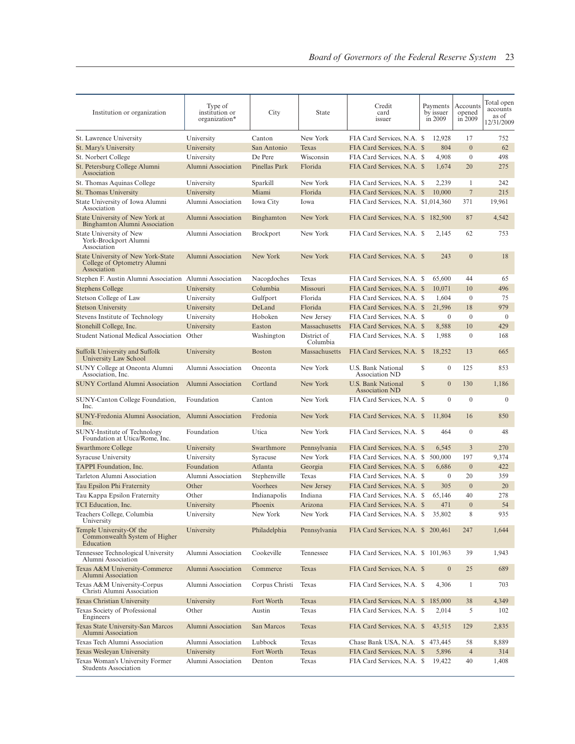| Institution or organization                                                          | Type of<br>institution or<br>organization* | City                | <b>State</b>            | Credit<br>card<br>issuer                                 |   | Payments<br>by issuer<br>in 2009 | Accounts<br>opened<br>in 2009 | Total open<br>accounts<br>as of<br>12/31/2009 |
|--------------------------------------------------------------------------------------|--------------------------------------------|---------------------|-------------------------|----------------------------------------------------------|---|----------------------------------|-------------------------------|-----------------------------------------------|
| St. Lawrence University                                                              | University                                 | Canton              | New York                | FIA Card Services, N.A. \$                               |   | 12,928                           | 17                            | 752                                           |
| St. Mary's University                                                                | University                                 | San Antonio         | Texas                   | FIA Card Services, N.A. \$                               |   | 804                              | $\overline{0}$                | 62                                            |
| St. Norbert College                                                                  | University                                 | De Pere             | Wisconsin               | FIA Card Services, N.A. \$                               |   | 4,908                            | $\mathbf{0}$                  | 498                                           |
| St. Petersburg College Alumni<br>Association                                         | Alumni Association                         | Pinellas Park       | Florida                 | FIA Card Services, N.A. \$                               |   | 1,674                            | 20                            | 275                                           |
| St. Thomas Aquinas College                                                           | University                                 | Sparkill            | New York                | FIA Card Services, N.A. \$                               |   | 2,239                            | 1                             | 242                                           |
| St. Thomas University                                                                | University                                 | Miami               | Florida                 | FIA Card Services, N.A. \$                               |   | 10,000                           | $\overline{7}$                | 215                                           |
| State University of Iowa Alumni<br>Association                                       | Alumni Association                         | Iowa City           | Iowa                    | FIA Card Services, N.A. \$1,014,360                      |   |                                  | 371                           | 19,961                                        |
| State University of New York at<br>Binghamton Alumni Association                     | Alumni Association                         | Binghamton          | New York                | FIA Card Services, N.A. \$ 182,500                       |   |                                  | 87                            | 4,542                                         |
| State University of New<br>York-Brockport Alumni<br>Association                      | Alumni Association                         | <b>Brockport</b>    | New York                | FIA Card Services, N.A. \$                               |   | 2,145                            | 62                            | 753                                           |
| State University of New York-State<br>College of Optometry Alumni<br>Association     | Alumni Association                         | New York            | New York                | FIA Card Services, N.A. \$                               |   | 243                              | $\overline{0}$                | 18                                            |
| Stephen F. Austin Alumni Association                                                 | Alumni Association                         | Nacogdoches         | Texas                   | FIA Card Services, N.A. \$                               |   | 65,600                           | 44                            | 65                                            |
| <b>Stephens College</b>                                                              | University                                 | Columbia            | Missouri                | FIA Card Services, N.A. \$                               |   | 10,071                           | 10                            | 496                                           |
| Stetson College of Law                                                               | University                                 | Gulfport            | Florida                 | FIA Card Services, N.A. \$                               |   | 1,604                            | $\mathbf{0}$                  | 75                                            |
| <b>Stetson University</b>                                                            | University                                 | DeLand              | Florida                 | FIA Card Services, N.A. \$                               |   | 21,596                           | 18                            | 979                                           |
| Stevens Institute of Technology                                                      | University                                 | Hoboken             | New Jersey              | FIA Card Services, N.A. \$                               |   | $\mathbf{0}$                     | $\overline{0}$                | $\mathbf{0}$                                  |
| Stonehill College, Inc.                                                              | University                                 | Easton              | Massachusetts           | FIA Card Services, N.A. \$                               |   | 8,588                            | 10                            | 429                                           |
| <b>Student National Medical Association</b>                                          | Other                                      | Washington          | District of<br>Columbia | FIA Card Services, N.A. \$                               |   | 1,988                            | $\mathbf{0}$                  | 168                                           |
| Suffolk University and Suffolk<br>University Law School                              | University                                 | <b>Boston</b>       | Massachusetts           | FIA Card Services, N.A. \$                               |   | 18.252                           | 13                            | 665                                           |
| SUNY College at Oneonta Alumni<br>Association, Inc.                                  | Alumni Association                         | Oneonta             | New York                | U.S. Bank National<br>Association ND                     | S | $\mathbf{0}$                     | 125                           | 853                                           |
| <b>SUNY Cortland Alumni Association</b>                                              | Alumni Association                         | Cortland            | New York                | U.S. Bank National<br>Association ND                     | S | $\mathbf{0}$                     | 130                           | 1,186                                         |
| SUNY-Canton College Foundation,<br>Inc.                                              | Foundation                                 | Canton              | New York                | FIA Card Services, N.A. \$                               |   | $\mathbf{0}$                     | $\mathbf{0}$                  | $\mathbf{0}$                                  |
| SUNY-Fredonia Alumni Association,<br>Inc.                                            | Alumni Association                         | Fredonia            | New York                | FIA Card Services, N.A. \$                               |   | 11,804                           | 16                            | 850                                           |
| <b>SUNY-Institute of Technology</b><br>Foundation at Utica/Rome, Inc.                | Foundation                                 | Utica               | New York                | FIA Card Services, N.A. \$                               |   | 464                              | $\mathbf{0}$<br>3             | 48                                            |
| <b>Swarthmore College</b>                                                            | University                                 | Swarthmore          | Pennsylvania            | FIA Card Services, N.A. \$                               |   | 6,545<br>500,000                 |                               | 270                                           |
| <b>Syracuse University</b>                                                           | University                                 | Syracuse            | New York                | FIA Card Services, N.A. \$                               |   |                                  | 197                           | 9,374                                         |
| <b>TAPPI</b> Foundation, Inc.                                                        | Foundation                                 | Atlanta             | Georgia                 | FIA Card Services, N.A. \$                               |   | 6,686                            | $\overline{0}$                | 422                                           |
| Tarleton Alumni Association                                                          | Alumni Association                         | Stephenville        | Texas                   | FIA Card Services, N.A. \$                               |   | $\boldsymbol{0}$                 | 20                            | 359                                           |
| Tau Epsilon Phi Fraternity                                                           | Other                                      | Voorhees            | New Jersey              | FIA Card Services, N.A. \$                               |   | 305                              | $\overline{0}$                | 20                                            |
| Tau Kappa Epsilon Fraternity                                                         | Other                                      | Indianapolis        | Indiana                 | FIA Card Services, N.A. \$                               |   | 65.146                           | 40                            | 278                                           |
| TCI Education, Inc.<br>Teachers College, Columbia                                    | University<br>University                   | Phoenix<br>New York | Arizona<br>New York     | FIA Card Services, N.A. \$<br>FIA Card Services, N.A. \$ |   | 471<br>35,802                    | $\overline{0}$<br>8           | 54<br>935                                     |
| University<br>Temple University-Of the<br>Commonwealth System of Higher<br>Education | University                                 | Philadelphia        | Pennsylvania            | FIA Card Services, N.A. \$ 200,461                       |   |                                  | 247                           | 1,644                                         |
| Tennessee Technological University<br>Alumni Association                             | Alumni Association                         | Cookeville          | Tennessee               | FIA Card Services, N.A. \$ 101,963                       |   |                                  | 39                            | 1,943                                         |
| Texas A&M University-Commerce<br>Alumni Association                                  | Alumni Association                         | Commerce            | Texas                   | FIA Card Services, N.A. \$                               |   | $\mathbf{0}$                     | 25                            | 689                                           |
| Texas A&M University-Corpus<br>Christi Alumni Association                            | Alumni Association                         | Corpus Christi      | Texas                   | FIA Card Services, N.A. \$                               |   | 4,306                            | 1                             | 703                                           |
| Texas Christian University                                                           | University                                 | Fort Worth          | Texas                   | FIA Card Services, N.A. \$                               |   | 185,000                          | 38                            | 4,349                                         |
| Texas Society of Professional<br>Engineers                                           | Other                                      | Austin              | Texas                   | FIA Card Services, N.A. \$                               |   | 2,014                            | 5                             | 102                                           |
| Texas State University-San Marcos<br>Alumni Association                              | Alumni Association                         | San Marcos          | Texas                   | FIA Card Services, N.A. \$                               |   | 43,515                           | 129                           | 2,835                                         |
| Texas Tech Alumni Association                                                        | Alumni Association                         | Lubbock             | Texas                   | Chase Bank USA, N.A. \$473,445                           |   |                                  | 58                            | 8,889                                         |
| Texas Wesleyan University                                                            | University                                 | Fort Worth          | Texas                   | FIA Card Services, N.A. \$                               |   | 5,896                            | $\overline{4}$                | 314                                           |
| Texas Woman's University Former<br><b>Students Association</b>                       | Alumni Association                         | Denton              | Texas                   | FIA Card Services, N.A. \$                               |   | 19,422                           | 40                            | 1,408                                         |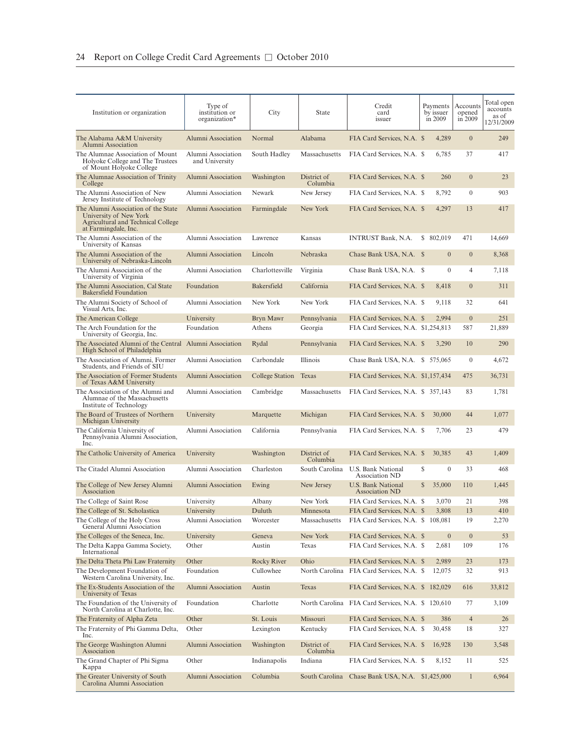| Institution or organization                                                                                                 | Type of<br>institution or<br>organization* | City                   | State                   | Credit<br>card<br>issuer                                 | Payments<br>by issuer<br>in 2009 | Accounts<br>opened<br>in 2009 | Total open<br>accounts<br>as of<br>12/31/2009 |
|-----------------------------------------------------------------------------------------------------------------------------|--------------------------------------------|------------------------|-------------------------|----------------------------------------------------------|----------------------------------|-------------------------------|-----------------------------------------------|
| The Alabama A&M University<br>Alumni Association                                                                            | Alumni Association                         | Normal                 | Alabama                 | FIA Card Services, N.A. \$                               | 4,289                            | $\boldsymbol{0}$              | 249                                           |
| The Alumnae Association of Mount<br>Holyoke College and The Trustees<br>of Mount Holyoke College                            | Alumni Association<br>and University       | South Hadley           | Massachusetts           | FIA Card Services, N.A. \$                               | 6,785                            | 37                            | 417                                           |
| The Alumnae Association of Trinity<br>College                                                                               | Alumni Association                         | Washington             | District of<br>Columbia | FIA Card Services, N.A. \$                               | 260                              | $\overline{0}$                | 23                                            |
| The Alumni Association of New<br>Jersey Institute of Technology                                                             | Alumni Association                         | Newark                 | New Jersey              | FIA Card Services, N.A. \$                               | 8,792                            | $\mathbf{0}$                  | 903                                           |
| The Alumni Association of the State<br>University of New York<br>Agricultural and Technical College<br>at Farmingdale, Inc. | Alumni Association                         | Farmingdale            | New York                | FIA Card Services, N.A. \$                               | 4,297                            | 13                            | 417                                           |
| The Alumni Association of the<br>University of Kansas                                                                       | Alumni Association                         | Lawrence               | Kansas                  | INTRUST Bank, N.A.                                       | \$ 802,019                       | 471                           | 14,669                                        |
| The Alumni Association of the<br>University of Nebraska-Lincoln                                                             | Alumni Association                         | Lincoln                | Nebraska                | Chase Bank USA, N.A. \$                                  | $\mathbf{0}$                     | $\boldsymbol{0}$              | 8,368                                         |
| The Alumni Association of the<br>University of Virginia                                                                     | Alumni Association                         | Charlottesville        | Virginia                | Chase Bank USA, N.A. \$                                  | $\mathbf{0}$                     | $\overline{4}$                | 7,118                                         |
| The Alumni Association, Cal State<br><b>Bakersfield Foundation</b>                                                          | Foundation                                 | Bakersfield            | California              | FIA Card Services, N.A. \$                               | 8,418                            | $\overline{0}$                | 311                                           |
| The Alumni Society of School of<br>Visual Arts, Inc.                                                                        | Alumni Association                         | New York               | New York                | FIA Card Services, N.A. \$                               | 9,118                            | 32                            | 641                                           |
| The American College                                                                                                        | University                                 | Bryn Mawr              | Pennsylvania            | FIA Card Services, N.A. \$                               | 2,994                            | $\mathbf{0}$                  | 251                                           |
| The Arch Foundation for the<br>University of Georgia, Inc.                                                                  | Foundation                                 | Athens                 | Georgia                 | FIA Card Services, N.A. \$1,254,813                      |                                  | 587                           | 21,889                                        |
| The Associated Alumni of the Central<br>High School of Philadelphia                                                         | Alumni Association                         | Rydal                  | Pennsylvania            | FIA Card Services, N.A. \$                               | 3,290                            | 10                            | 290                                           |
| The Association of Alumni, Former<br>Students, and Friends of SIU                                                           | Alumni Association                         | Carbondale             | Illinois                | Chase Bank USA, N.A. \$ 575,065                          |                                  | $\mathbf{0}$                  | 4,672                                         |
| The Association of Former Students<br>of Texas A&M University                                                               | Alumni Association                         | College Station        | Texas                   | FIA Card Services, N.A. \$1,157,434                      |                                  | 475                           | 36,731                                        |
| The Association of the Alumni and<br>Alumnae of the Massachusetts<br>Institute of Technology                                | Alumni Association                         | Cambridge              | Massachusetts           | FIA Card Services, N.A. \$ 357,143                       |                                  | 83                            | 1,781                                         |
| The Board of Trustees of Northern<br>Michigan University                                                                    | University                                 | Marquette              | Michigan                | FIA Card Services, N.A. \$                               | 30,000                           | 44                            | 1,077                                         |
| The California University of<br>Pennsylvania Alumni Association,<br>Inc.                                                    | Alumni Association                         | California             | Pennsylvania            | FIA Card Services, N.A. \$                               | 7,706                            | 23                            | 479                                           |
| The Catholic University of America                                                                                          | University                                 | Washington             | District of<br>Columbia | FIA Card Services, N.A. \$                               | 30,385                           | 43                            | 1,409                                         |
| The Citadel Alumni Association                                                                                              | Alumni Association                         | Charleston             | South Carolina          | U.S. Bank National<br><b>Association ND</b>              | S<br>$\mathbf{0}$                | 33                            | 468                                           |
| The College of New Jersey Alumni<br>Association                                                                             | Alumni Association                         | Ewing                  | New Jersey              | U.S. Bank National<br><b>Association ND</b>              | $\mathbb{S}$<br>35,000           | 110                           | 1,445                                         |
| The College of Saint Rose                                                                                                   | University                                 | Albany                 | New York                | FIA Card Services, N.A. \$                               | 3,070                            | 21                            | 398                                           |
| The College of St. Scholastica                                                                                              | University                                 | Duluth                 | Minnesota               | FIA Card Services, N.A. \$                               | 3,808                            | 13                            | 410                                           |
| The College of the Holy Cross<br>General Alumni Association                                                                 | Alumni Association                         | Worcester              | Massachusetts           | FIA Card Services, N.A. \$ 108,081                       |                                  | 19                            | 2,270                                         |
| The Colleges of the Seneca, Inc.                                                                                            | University                                 | Geneva                 | New York                | FIA Card Services, N.A. \$                               | $\boldsymbol{0}$                 | $\boldsymbol{0}$              | 53                                            |
| The Delta Kappa Gamma Society,<br>International                                                                             | Other                                      | Austin                 | Texas                   | FIA Card Services, N.A. \$                               | 2,681                            | 109                           | 176                                           |
| The Delta Theta Phi Law Fraternity                                                                                          | Other                                      | <b>Rocky River</b>     | Ohio                    | FIA Card Services, N.A. \$                               | 2,989                            | 23                            | 173                                           |
| The Development Foundation of<br>Western Carolina University, Inc.                                                          | Foundation                                 | Cullowhee              | North Carolina          | FIA Card Services, N.A. \$                               | 12,075                           | 32                            | 913                                           |
| The Ex-Students Association of the                                                                                          | Alumni Association                         | Austin                 | Texas                   | FIA Card Services, N.A. \$                               | 182,029                          | 616                           | 33,812                                        |
| University of Texas<br>The Foundation of the University of<br>North Carolina at Charlotte, Inc.                             | Foundation                                 | Charlotte              | North Carolina          | FIA Card Services, N.A. \$ 120,610                       |                                  | 77                            | 3,109                                         |
|                                                                                                                             | Other                                      |                        |                         |                                                          |                                  |                               |                                               |
| The Fraternity of Alpha Zeta<br>The Fraternity of Phi Gamma Delta,                                                          | Other                                      | St. Louis<br>Lexington | Missouri<br>Kentucky    | FIA Card Services, N.A. \$<br>FIA Card Services, N.A. \$ | 386<br>30,458                    | $\overline{4}$<br>18          | 26<br>327                                     |
| Inc.<br>The George Washington Alumni<br>Association                                                                         | Alumni Association                         | Washington             | District of<br>Columbia | FIA Card Services, N.A. \$                               | 16,928                           | 130                           | 3,548                                         |
| The Grand Chapter of Phi Sigma<br>Kappa                                                                                     | Other                                      | Indianapolis           | Indiana                 | FIA Card Services, N.A. \$                               | 8,152                            | 11                            | 525                                           |
| The Greater University of South<br>Carolina Alumni Association                                                              | Alumni Association                         | Columbia               | South Carolina          | Chase Bank USA, N.A. \$1,425,000                         |                                  | $\mathbf{1}$                  | 6,964                                         |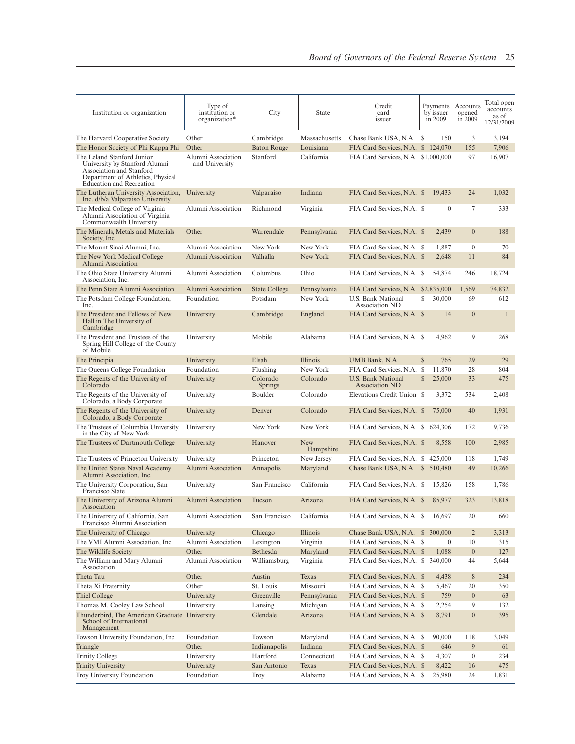| Institution or organization                                                                                                                                     | Type of<br>institution or<br>organization* | City                       | State                   | Credit<br>card<br>issuer                           | Payments<br>by issuer<br>in 2009 | Accounts<br>opened<br>in 2009 | Total open<br>accounts<br>as of<br>12/31/2009 |
|-----------------------------------------------------------------------------------------------------------------------------------------------------------------|--------------------------------------------|----------------------------|-------------------------|----------------------------------------------------|----------------------------------|-------------------------------|-----------------------------------------------|
| The Harvard Cooperative Society                                                                                                                                 | Other                                      | Cambridge                  | Massachusetts           | Chase Bank USA, N.A. \$                            | 150                              | 3                             | 3,194                                         |
| The Honor Society of Phi Kappa Phi                                                                                                                              | Other                                      | <b>Baton Rouge</b>         | Louisiana               | FIA Card Services, N.A. \$ 124,070                 |                                  | 155                           | 7,906                                         |
| The Leland Stanford Junior<br>University by Stanford Alumni<br>Association and Stanford<br>Department of Athletics, Physical<br><b>Education and Recreation</b> | Alumni Association<br>and University       | Stanford                   | California              | FIA Card Services, N.A. \$1,000,000                |                                  | 97                            | 16,907                                        |
| The Lutheran University Association,<br>Inc. d/b/a Valparaiso University                                                                                        | University                                 | Valparaiso                 | Indiana                 | FIA Card Services, N.A. \$                         | 19.433                           | 24                            | 1,032                                         |
| The Medical College of Virginia<br>Alumni Association of Virginia<br>Commonwealth University                                                                    | Alumni Association                         | Richmond                   | Virginia                | FIA Card Services, N.A. \$                         | $\mathbf{0}$                     | 7                             | 333                                           |
| The Minerals, Metals and Materials<br>Society, Inc.                                                                                                             | Other                                      | Warrendale                 | Pennsylvania            | FIA Card Services, N.A. \$                         | 2,439                            | $\overline{0}$                | 188                                           |
| The Mount Sinai Alumni, Inc.                                                                                                                                    | Alumni Association                         | New York                   | New York                | FIA Card Services, N.A. \$                         | 1,887                            | $\mathbf{0}$                  | 70                                            |
| The New York Medical College<br>Alumni Association                                                                                                              | Alumni Association                         | Valhalla                   | New York                | FIA Card Services, N.A. \$                         | 2,648                            | 11                            | 84                                            |
| The Ohio State University Alumni<br>Association, Inc.                                                                                                           | Alumni Association                         | Columbus                   | Ohio                    | FIA Card Services, N.A. \$                         | 54,874                           | 246                           | 18,724                                        |
| The Penn State Alumni Association                                                                                                                               | Alumni Association                         | <b>State College</b>       | Pennsylvania            | FIA Card Services, N.A. \$2,835,000                |                                  | 1,569                         | 74.832                                        |
| The Potsdam College Foundation,<br>Inc.                                                                                                                         | Foundation                                 | Potsdam                    | New York                | U.S. Bank National<br><b>Association ND</b>        | S<br>30,000                      | 69                            | 612                                           |
| The President and Fellows of New<br>Hall in The University of<br>Cambridge                                                                                      | University                                 | Cambridge                  | England                 | FIA Card Services, N.A. \$                         | 14                               | $\Omega$                      | $\mathbf{1}$                                  |
| The President and Trustees of the<br>Spring Hill College of the County<br>of Mobile                                                                             | University                                 | Mobile                     | Alabama                 | FIA Card Services, N.A. \$                         | 4,962                            | 9                             | 268                                           |
| The Principia                                                                                                                                                   | University                                 | Elsah                      | <i>Illinois</i>         | UMB Bank, N.A.                                     | S<br>765                         | 29                            | 29                                            |
| The Queens College Foundation                                                                                                                                   | Foundation                                 | Flushing                   | New York                | FIA Card Services, N.A. \$                         | 11,870                           | 28                            | 804                                           |
| The Regents of the University of<br>Colorado                                                                                                                    | University                                 | Colorado<br><b>Springs</b> | Colorado                | <b>U.S. Bank National</b><br><b>Association ND</b> | $\mathbb{S}$<br>25,000           | 33                            | 475                                           |
| The Regents of the University of<br>Colorado, a Body Corporate                                                                                                  | University                                 | Boulder                    | Colorado                | Elevations Credit Union \$                         | 3,372                            | 534                           | 2,408                                         |
| The Regents of the University of<br>Colorado, a Body Corporate                                                                                                  | University                                 | Denver                     | Colorado                | FIA Card Services, N.A. \$                         | 75,000                           | 40                            | 1,931                                         |
| The Trustees of Columbia University<br>in the City of New York                                                                                                  | University                                 | New York                   | New York                | FIA Card Services, N.A. \$ 624,306                 |                                  | 172                           | 9,736                                         |
| The Trustees of Dartmouth College                                                                                                                               | University                                 | Hanover                    | <b>New</b><br>Hampshire | FIA Card Services, N.A. \$                         | 8,558                            | 100                           | 2,985                                         |
| The Trustees of Princeton University                                                                                                                            | University                                 | Princeton                  | New Jersey              | FIA Card Services, N.A. \$                         | 425,000                          | 118                           | 1,749                                         |
| The United States Naval Academy<br>Alumni Association, Inc.                                                                                                     | Alumni Association                         | Annapolis                  | Maryland                | Chase Bank USA, N.A. \$ 510,480                    |                                  | 49                            | 10,266                                        |
| The University Corporation, San<br>Francisco State                                                                                                              | University                                 | San Francisco              | California              | FIA Card Services, N.A. \$                         | 15,826                           | 158                           | 1,786                                         |
| The University of Arizona Alumni<br>Association                                                                                                                 | Alumni Association                         | Tucson                     | Arizona                 | FIA Card Services, N.A. \$                         | 85,977                           | 323                           | 13,818                                        |
| The University of California, San<br>Francisco Alumni Association                                                                                               | Alumni Association                         | San Francisco              | California              | FIA Card Services, N.A. \$                         | 16,697                           | 20                            | 660                                           |
| The University of Chicago                                                                                                                                       | University                                 | Chicago                    | Illinois                | Chase Bank USA, N.A. \$ 300,000                    |                                  | $\overline{2}$                | 3,313                                         |
| The VMI Alumni Association, Inc.                                                                                                                                | Alumni Association                         | Lexington                  | Virginia                | FIA Card Services, N.A. \$                         | $\mathbf{0}$                     | 10                            | 315                                           |
| The Wildlife Society                                                                                                                                            | Other                                      | Bethesda                   | Maryland                | FIA Card Services, N.A. \$                         | 1,088                            | $\mathbf{0}$                  | 127                                           |
| The William and Mary Alumni<br>Association                                                                                                                      | Alumni Association                         | Williamsburg               | Virginia                | FIA Card Services, N.A. \$ 340,000                 |                                  | 44                            | 5,644                                         |
| Theta Tau                                                                                                                                                       | Other                                      | Austin                     | Texas                   | FIA Card Services, N.A. \$                         | 4,438                            | $8\,$                         | 234                                           |
| Theta Xi Fraternity                                                                                                                                             | Other                                      | St. Louis                  | Missouri                | FIA Card Services, N.A. \$                         | 5,467                            | 20                            | 350                                           |
| Thiel College                                                                                                                                                   | University                                 | Greenville                 | Pennsylvania            | FIA Card Services, N.A. \$                         | 759                              | $\boldsymbol{0}$              | 63                                            |
| Thomas M. Cooley Law School                                                                                                                                     | University                                 | Lansing                    | Michigan                | FIA Card Services, N.A. \$                         | 2,254                            | 9                             | 132                                           |
| Thunderbird, The American Graduate University<br>School of International<br>Management                                                                          |                                            | Glendale                   | Arizona                 | FIA Card Services, N.A. \$                         | 8,791                            | $\mathbf{0}$                  | 395                                           |
| Towson University Foundation, Inc.                                                                                                                              | Foundation                                 | Towson                     | Maryland                | FIA Card Services, N.A. \$                         | 90,000                           | 118                           | 3,049                                         |
| Triangle                                                                                                                                                        | Other                                      | Indianapolis               | Indiana                 | FIA Card Services, N.A. \$                         | 646                              | 9                             | 61                                            |
| <b>Trinity College</b>                                                                                                                                          | University                                 | Hartford                   | Connecticut             | FIA Card Services, N.A. \$                         | 4,307                            | $\overline{0}$                | 234                                           |
| <b>Trinity University</b>                                                                                                                                       | University                                 | San Antonio                | Texas                   | FIA Card Services, N.A. \$                         | 8,422                            | 16                            | 475                                           |
| Troy University Foundation                                                                                                                                      | Foundation                                 | <b>Troy</b>                | Alabama                 | FIA Card Services, N.A. \$                         | 25,980                           | 24                            | 1,831                                         |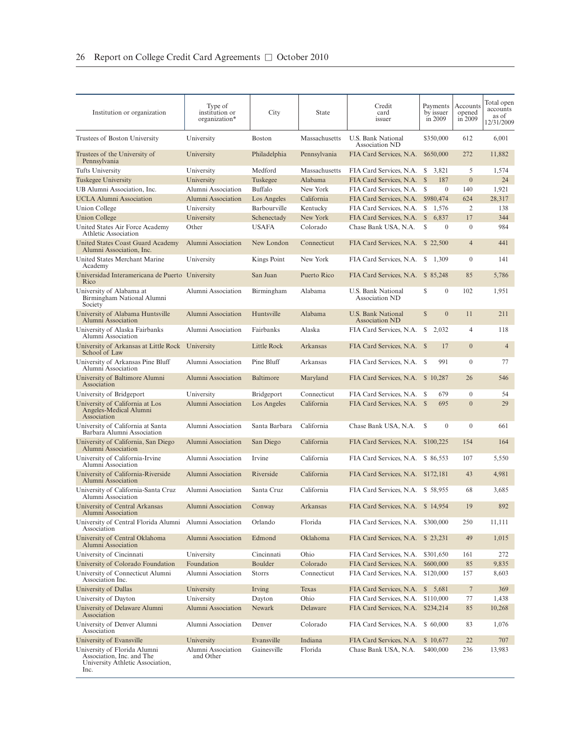| Institution or organization                                                                           | Type of<br>institution or<br>organization* | City           | State         | Credit<br>card<br>issuer                    | Payments<br>by issuer<br>in 2009 | Accounts<br>opened<br>in 2009 | Total open<br>accounts<br>as of<br>12/31/2009 |
|-------------------------------------------------------------------------------------------------------|--------------------------------------------|----------------|---------------|---------------------------------------------|----------------------------------|-------------------------------|-----------------------------------------------|
| Trustees of Boston University                                                                         | University                                 | <b>Boston</b>  | Massachusetts | U.S. Bank National<br>Association ND        | \$350,000                        | 612                           | 6,001                                         |
| Trustees of the University of<br>Pennsylvania                                                         | University                                 | Philadelphia   | Pennsylvania  | FIA Card Services, N.A.                     | \$650,000                        | 272                           | 11,882                                        |
| Tufts University                                                                                      | University                                 | Medford        | Massachusetts | FIA Card Services, N.A.                     | S<br>3,821                       | 5                             | 1,574                                         |
| Tuskegee University                                                                                   | University                                 | Tuskegee       | Alabama       | FIA Card Services, N.A. \$                  | 187                              | $\overline{0}$                | 24                                            |
| UB Alumni Association, Inc.                                                                           | Alumni Association                         | <b>Buffalo</b> | New York      | FIA Card Services, N.A.                     | $\mathbf{0}$<br>- S              | 140                           | 1,921                                         |
| <b>UCLA Alumni Association</b>                                                                        | Alumni Association                         | Los Angeles    | California    | FIA Card Services, N.A.                     | \$980,474                        | 624                           | 28,317                                        |
| <b>Union College</b>                                                                                  | University                                 | Barbourville   | Kentucky      | FIA Card Services, N.A.                     | S<br>1,576                       | 2                             | 138                                           |
| Union College                                                                                         | University                                 | Schenectady    | New York      | FIA Card Services, N.A.                     | $\mathbb{S}$<br>6,837            | 17                            | 344                                           |
| United States Air Force Academy<br>Athletic Association                                               | Other                                      | <b>USAFA</b>   | Colorado      | Chase Bank USA, N.A.                        | \$<br>$\overline{0}$             | $\mathbf{0}$                  | 984                                           |
| United States Coast Guard Academy<br>Alumni Association, Inc.                                         | Alumni Association                         | New London     | Connecticut   | FIA Card Services, N.A. \$22,500            |                                  | $\overline{4}$                | 441                                           |
| United States Merchant Marine<br>Academy                                                              | University                                 | Kings Point    | New York      | FIA Card Services, N.A. \$1,309             |                                  | $\mathbf{0}$                  | 141                                           |
| Universidad Interamericana de Puerto University<br>Rico                                               |                                            | San Juan       | Puerto Rico   | FIA Card Services, N.A. \$ 85,248           |                                  | 85                            | 5,786                                         |
| University of Alabama at<br>Birmingham National Alumni<br>Society                                     | Alumni Association                         | Birmingham     | Alabama       | <b>U.S. Bank National</b><br>Association ND | S<br>$\mathbf{0}$                | 102                           | 1,951                                         |
| University of Alabama Huntsville<br>Alumni Association                                                | Alumni Association                         | Huntsville     | Alabama       | U.S. Bank National<br><b>Association ND</b> | $\mathbb{S}$<br>$\mathbf{0}$     | 11                            | 211                                           |
| University of Alaska Fairbanks<br>Alumni Association                                                  | Alumni Association                         | Fairbanks      | Alaska        | FIA Card Services, N.A.                     | S<br>2,032                       | $\overline{4}$                | 118                                           |
| University of Arkansas at Little Rock<br>School of Law                                                | University                                 | Little Rock    | Arkansas      | FIA Card Services, N.A. \$                  | 17                               | $\overline{0}$                | $\overline{4}$                                |
| University of Arkansas Pine Bluff<br>Alumni Association                                               | Alumni Association                         | Pine Bluff     | Arkansas      | FIA Card Services, N.A. \$                  | 991                              | $\mathbf{0}$                  | 77                                            |
| University of Baltimore Alumni<br>Association                                                         | Alumni Association                         | Baltimore      | Maryland      | FIA Card Services, N.A. \$10,287            |                                  | 26                            | 546                                           |
| University of Bridgeport                                                                              | University                                 | Bridgeport     | Connecticut   | FIA Card Services, N.A. \$                  | 679                              | $\mathbf{0}$                  | 54                                            |
| University of California at Los<br>Angeles-Medical Alumni<br>Association                              | Alumni Association                         | Los Angeles    | California    | FIA Card Services, N.A. \$                  | 695                              | $\overline{0}$                | 29                                            |
| University of California at Santa<br>Barbara Alumni Association                                       | Alumni Association                         | Santa Barbara  | California    | Chase Bank USA, N.A.                        | S<br>$\mathbf{0}$                | $\mathbf{0}$                  | 661                                           |
| University of California, San Diego<br>Alumni Association                                             | Alumni Association                         | San Diego      | California    | FIA Card Services, N.A.                     | \$100,225                        | 154                           | 164                                           |
| University of California-Irvine<br>Alumni Association                                                 | Alumni Association                         | Irvine         | California    | FIA Card Services, N.A.                     | \$ 86,553                        | 107                           | 5,550                                         |
| University of California-Riverside<br>Alumni Association                                              | Alumni Association                         | Riverside      | California    | FIA Card Services, N.A. \$172,181           |                                  | 43                            | 4,981                                         |
| University of California-Santa Cruz<br>Alumni Association                                             | Alumni Association                         | Santa Cruz     | California    | FIA Card Services, N.A. \$58,955            |                                  | 68                            | 3,685                                         |
| University of Central Arkansas<br>Alumni Association                                                  | Alumni Association                         | Conway         | Arkansas      | FIA Card Services, N.A. \$14,954            |                                  | 19                            | 892                                           |
| University of Central Florida Alumni Alumni Association<br>Association                                |                                            | Orlando        | Florida       | FIA Card Services, N.A. \$300,000           |                                  | 250                           | 11,111                                        |
| University of Central Oklahoma<br>Alumni Association                                                  | Alumni Association                         | Edmond         | Oklahoma      | FIA Card Services, N.A.                     | \$23,231                         | 49                            | 1,015                                         |
| University of Cincinnati                                                                              | University                                 | Cincinnati     | Ohio          | FIA Card Services, N.A.                     | \$301,650                        | 161                           | 272                                           |
| University of Colorado Foundation                                                                     | Foundation                                 | Boulder        | Colorado      | FIA Card Services, N.A.                     | \$600,000                        | 85                            | 9,835                                         |
| University of Connecticut Alumni<br>Association Inc.                                                  | Alumni Association                         | <b>Storrs</b>  | Connecticut   | FIA Card Services, N.A.                     | \$120,000                        | 157                           | 8,603                                         |
| University of Dallas                                                                                  | University                                 | Irving         | Texas         | FIA Card Services, N.A.                     | \$5,681                          | $7\phantom{.0}$               | 369                                           |
| University of Dayton                                                                                  | University                                 | Dayton         | Ohio          | FIA Card Services, N.A.                     | \$110,000                        | 77                            | 1,438                                         |
| University of Delaware Alumni<br>Association                                                          | <b>Alumni Association</b>                  | Newark         | Delaware      | FIA Card Services, N.A.                     | \$234,214                        | 85                            | 10,268                                        |
| University of Denver Alumni<br>Association                                                            | Alumni Association                         | Denver         | Colorado      | FIA Card Services, N.A.                     | \$ 60,000                        | 83                            | 1,076                                         |
| University of Evansville                                                                              | University                                 | Evansville     | Indiana       | FIA Card Services, N.A.                     | \$10,677                         | 22                            | 707                                           |
| University of Florida Alumni<br>Association, Inc. and The<br>University Athletic Association,<br>Inc. | Alumni Association<br>and Other            | Gainesville    | Florida       | Chase Bank USA, N.A.                        | \$400,000                        | 236                           | 13,983                                        |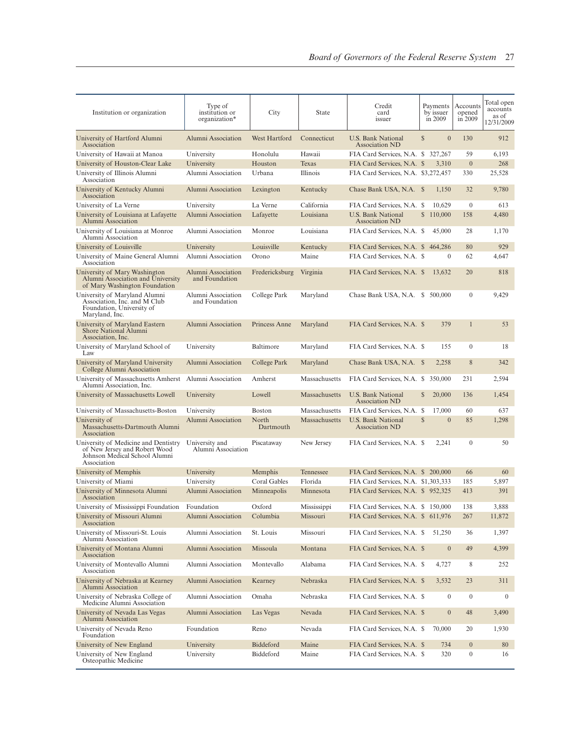| Institution or organization                                                                                           | Type of<br>institution or<br>organization* | City               | State         | Credit<br>card<br>issuer                    |              | Payments<br>by issuer<br>in 2009 | Accounts<br>opened<br>in 2009 | Total open<br>accounts<br>as of<br>12/31/2009 |
|-----------------------------------------------------------------------------------------------------------------------|--------------------------------------------|--------------------|---------------|---------------------------------------------|--------------|----------------------------------|-------------------------------|-----------------------------------------------|
| University of Hartford Alumni<br>Association                                                                          | Alumni Association                         | West Hartford      | Connecticut   | U.S. Bank National<br><b>Association ND</b> | S            | $\overline{0}$                   | 130                           | 912                                           |
| University of Hawaii at Manoa                                                                                         | University                                 | Honolulu           | Hawaii        | FIA Card Services, N.A. \$ 327,267          |              |                                  | 59                            | 6,193                                         |
| University of Houston-Clear Lake                                                                                      | University                                 | Houston            | Texas         | FIA Card Services, N.A. \$                  |              | 3,310                            | $\boldsymbol{0}$              | 268                                           |
| University of Illinois Alumni<br>Association                                                                          | Alumni Association                         | Urbana             | Illinois      | FIA Card Services, N.A. \$3,272,457         |              |                                  | 330                           | 25,528                                        |
| University of Kentucky Alumni<br>Association                                                                          | Alumni Association                         | Lexington          | Kentucky      | Chase Bank USA, N.A. \$                     |              | 1,150                            | 32                            | 9,780                                         |
| University of La Verne                                                                                                | University                                 | La Verne           | California    | FIA Card Services, N.A. \$                  |              | 10,629                           | $\mathbf{0}$                  | 613                                           |
| University of Louisiana at Lafayette<br>Alumni Association                                                            | Alumni Association                         | Lafayette          | Louisiana     | U.S. Bank National<br><b>Association ND</b> |              | \$110,000                        | 158                           | 4,480                                         |
| University of Louisiana at Monroe<br>Alumni Association                                                               | Alumni Association                         | Monroe             | Louisiana     | FIA Card Services, N.A. \$                  |              | 45,000                           | 28                            | 1,170                                         |
| University of Louisville                                                                                              | University                                 | Louisville         | Kentucky      | FIA Card Services, N.A. \$                  |              | 464,286                          | 80                            | 929                                           |
| University of Maine General Alumni<br>Association                                                                     | Alumni Association                         | Orono              | Maine         | FIA Card Services, N.A. \$                  |              | $\mathbf{0}$                     | 62                            | 4,647                                         |
| University of Mary Washington<br>Alumni Association and University<br>of Mary Washington Foundation                   | Alumni Association<br>and Foundation       | Fredericksburg     | Virginia      | FIA Card Services, N.A. \$                  |              | 13,632                           | 20                            | 818                                           |
| University of Maryland Alumni<br>Association, Inc. and M Club<br>Foundation, University of<br>Maryland, Inc.          | Alumni Association<br>and Foundation       | College Park       | Maryland      | Chase Bank USA, N.A. \$ 500,000             |              |                                  | $\mathbf{0}$                  | 9,429                                         |
| University of Maryland Eastern<br>Shore National Alumni<br>Association, Inc.                                          | Alumni Association                         | Princess Anne      | Maryland      | FIA Card Services, N.A. \$                  |              | 379                              | $\mathbf{1}$                  | 53                                            |
| University of Maryland School of<br>Law                                                                               | University                                 | Baltimore          | Maryland      | FIA Card Services, N.A. \$                  |              | 155                              | $\mathbf{0}$                  | 18                                            |
| University of Maryland University<br>College Alumni Association                                                       | Alumni Association                         | College Park       | Maryland      | Chase Bank USA, N.A. \$                     |              | 2,258                            | 8                             | 342                                           |
| University of Massachusetts Amherst<br>Alumni Association, Inc.                                                       | Alumni Association                         | Amherst            | Massachusetts | FIA Card Services, N.A. \$                  |              | 350,000                          | 231                           | 2,594                                         |
| University of Massachusetts Lowell                                                                                    | University                                 | Lowell             | Massachusetts | U.S. Bank National<br><b>Association ND</b> | $\mathbb{S}$ | 20,000                           | 136                           | 1,454                                         |
| University of Massachusetts-Boston                                                                                    | University                                 | <b>Boston</b>      | Massachusetts | FIA Card Services, N.A. \$                  |              | 17,000                           | 60                            | 637                                           |
| University of<br>Massachusetts-Dartmouth Alumni<br>Association                                                        | Alumni Association                         | North<br>Dartmouth | Massachusetts | U.S. Bank National<br>Association ND        | S            | $\overline{0}$                   | 85                            | 1,298                                         |
| University of Medicine and Dentistry<br>of New Jersey and Robert Wood<br>Johnson Medical School Alumni<br>Association | University and<br>Alumni Association       | Piscataway         | New Jersey    | FIA Card Services, N.A. \$                  |              | 2,241                            | $\mathbf{0}$                  | 50                                            |
| University of Memphis                                                                                                 | University                                 | Memphis            | Tennessee     | FIA Card Services, N.A. \$ 200,000          |              |                                  | 66                            | 60                                            |
| University of Miami                                                                                                   | University                                 | Coral Gables       | Florida       | FIA Card Services, N.A. \$1,303,333         |              |                                  | 185                           | 5,897                                         |
| University of Minnesota Alumni<br>Association                                                                         | Alumni Association                         | Minneapolis        | Minnesota     | FIA Card Services, N.A. \$952,325           |              |                                  | 413                           | 391                                           |
| University of Mississippi Foundation                                                                                  | Foundation                                 | Oxford             | Mississippi   | FIA Card Services, N.A. \$ 150,000          |              |                                  | 138                           | 3,888                                         |
| University of Missouri Alumni<br>Association                                                                          | Alumni Association                         | Columbia           | Missouri      | FIA Card Services, N.A. \$ 611,976          |              |                                  | 267                           | 11,872                                        |
| University of Missouri-St. Louis<br>Alumni Association                                                                | Alumni Association                         | St. Louis          | Missouri      | FIA Card Services, N.A. \$                  |              | 51,250                           | 36                            | 1,397                                         |
| University of Montana Alumni<br>Association                                                                           | Alumni Association                         | Missoula           | Montana       | FIA Card Services, N.A. \$                  |              | $\boldsymbol{0}$                 | 49                            | 4,399                                         |
| University of Montevallo Alumni<br>Association                                                                        | Alumni Association                         | Montevallo         | Alabama       | FIA Card Services, N.A. \$                  |              | 4,727                            | 8                             | 252                                           |
| University of Nebraska at Kearney<br>Alumni Association                                                               | Alumni Association                         | Kearney            | Nebraska      | FIA Card Services, N.A. \$                  |              | 3,532                            | 23                            | 311                                           |
| University of Nebraska College of<br>Medicine Alumni Association                                                      | Alumni Association                         | Omaha              | Nebraska      | FIA Card Services, N.A. \$                  |              | $\boldsymbol{0}$                 | $\boldsymbol{0}$              | $\overline{0}$                                |
| University of Nevada Las Vegas<br>Alumni Association                                                                  | Alumni Association                         | Las Vegas          | Nevada        | FIA Card Services, N.A. \$                  |              | $\boldsymbol{0}$                 | 48                            | 3,490                                         |
| University of Nevada Reno<br>Foundation                                                                               | Foundation                                 | Reno               | Nevada        | FIA Card Services, N.A. \$                  |              | 70,000                           | 20                            | 1,930                                         |
| University of New England                                                                                             | University                                 | Biddeford          | Maine         | FIA Card Services, N.A. \$                  |              | 734                              | $\boldsymbol{0}$              | 80                                            |
| University of New England<br>Osteopathic Medicine                                                                     | University                                 | Biddeford          | Maine         | FIA Card Services, N.A. \$                  |              | 320                              | $\boldsymbol{0}$              | 16                                            |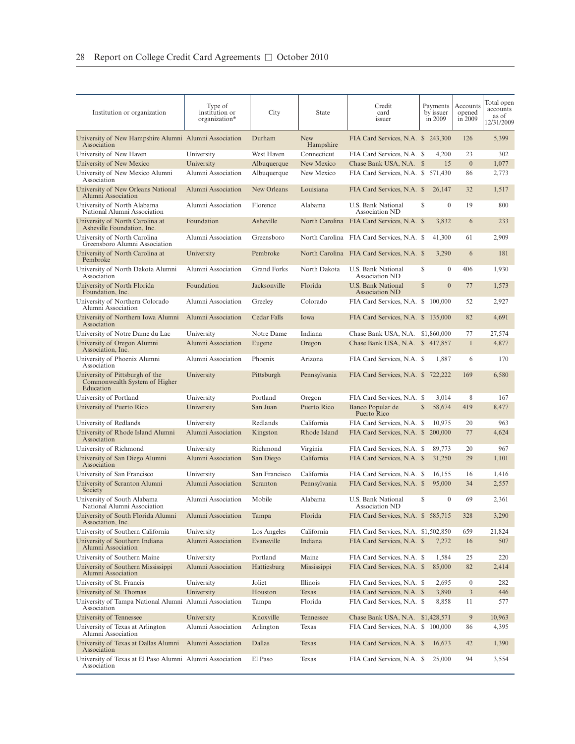| Institution or organization                                                   | Type of<br>institution or<br>organization* | City               | State                   | Credit<br>card<br>issuer                    | Payments<br>by issuer<br>in 2009 | Accounts<br>opened<br>in 2009 | Total open<br>accounts<br>as of<br>12/31/2009 |
|-------------------------------------------------------------------------------|--------------------------------------------|--------------------|-------------------------|---------------------------------------------|----------------------------------|-------------------------------|-----------------------------------------------|
| University of New Hampshire Alumni Alumni Association<br>Association          |                                            | Durham             | <b>New</b><br>Hampshire | FIA Card Services, N.A. \$ 243,300          |                                  | 126                           | 5,399                                         |
| University of New Haven                                                       | University                                 | West Haven         | Connecticut             | FIA Card Services, N.A. \$                  | 4,200                            | 23                            | 302                                           |
| University of New Mexico                                                      | University                                 | Albuquerque        | New Mexico              | Chase Bank USA, N.A. \$                     | 15                               | $\overline{0}$                | 1,077                                         |
| University of New Mexico Alumni<br>Association                                | Alumni Association                         | Albuquerque        | New Mexico              | FIA Card Services, N.A. \$ 571,430          |                                  | 86                            | 2,773                                         |
| University of New Orleans National<br>Alumni Association                      | Alumni Association                         | New Orleans        | Louisiana               | FIA Card Services, N.A. \$                  | 26,147                           | 32                            | 1,517                                         |
| University of North Alabama<br>National Alumni Association                    | Alumni Association                         | Florence           | Alabama                 | U.S. Bank National<br><b>Association ND</b> | S<br>$\mathbf{0}$                | 19                            | 800                                           |
| University of North Carolina at<br>Asheville Foundation, Inc.                 | Foundation                                 | Asheville          |                         | North Carolina FIA Card Services, N.A. \$   | 3,832                            | 6                             | 233                                           |
| University of North Carolina<br>Greensboro Alumni Association                 | Alumni Association                         | Greensboro         |                         | North Carolina FIA Card Services, N.A. \$   | 41,300                           | 61                            | 2,909                                         |
| University of North Carolina at<br>Pembroke                                   | University                                 | Pembroke           |                         | North Carolina FIA Card Services, N.A. \$   | 3,290                            | 6                             | 181                                           |
| University of North Dakota Alumni<br>Association                              | Alumni Association                         | <b>Grand Forks</b> | North Dakota            | U.S. Bank National<br>Association ND        | S<br>$\theta$                    | 406                           | 1,930                                         |
| University of North Florida<br>Foundation, Inc.                               | Foundation                                 | Jacksonville       | Florida                 | U.S. Bank National<br><b>Association ND</b> | $\mathbb{S}$<br>$\overline{0}$   | 77                            | 1,573                                         |
| University of Northern Colorado<br>Alumni Association                         | Alumni Association                         | Greeley            | Colorado                | FIA Card Services, N.A. \$ 100,000          |                                  | 52                            | 2,927                                         |
| University of Northern Iowa Alumni<br>Association                             | Alumni Association                         | Cedar Falls        | Iowa                    | FIA Card Services, N.A. \$ 135,000          |                                  | 82                            | 4,691                                         |
| University of Notre Dame du Lac                                               | University                                 | Notre Dame         | Indiana                 | Chase Bank USA, N.A. \$1,860,000            |                                  | 77                            | 27,574                                        |
| University of Oregon Alumni<br>Association, Inc.                              | Alumni Association                         | Eugene             | Oregon                  | Chase Bank USA, N.A. \$ 417,857             |                                  | $\mathbf{1}$                  | 4,877                                         |
| University of Phoenix Alumni<br>Association                                   | Alumni Association                         | Phoenix            | Arizona                 | FIA Card Services, N.A. \$                  | 1,887                            | 6                             | 170                                           |
| University of Pittsburgh of the<br>Commonwealth System of Higher<br>Education | University                                 | Pittsburgh         | Pennsylvania            | FIA Card Services, N.A. \$722,222           |                                  | 169                           | 6,580                                         |
| University of Portland                                                        | University                                 | Portland           | Oregon                  | FIA Card Services, N.A. \$                  | 3,014                            | 8                             | 167                                           |
| University of Puerto Rico                                                     | University                                 | San Juan           | Puerto Rico             | Banco Popular de<br>Puerto Rico             | $\mathbb{S}$<br>58,674           | 419                           | 8,477                                         |
| University of Redlands                                                        | University                                 | Redlands           | California              | FIA Card Services, N.A. \$                  | 10,975                           | 20                            | 963                                           |
| University of Rhode Island Alumni<br>Association                              | Alumni Association                         | Kingston           | Rhode Island            | FIA Card Services, N.A. \$                  | 200,000                          | 77                            | 4,624                                         |
| University of Richmond                                                        | University                                 | Richmond           | Virginia                | FIA Card Services, N.A. \$                  | 89,773                           | 20                            | 967                                           |
| University of San Diego Alumni<br>Association                                 | Alumni Association                         | San Diego          | California              | FIA Card Services, N.A. \$                  | 31,250                           | 29                            | 1,101                                         |
| University of San Francisco                                                   | University                                 | San Francisco      | California              | FIA Card Services, N.A. \$                  | 16,155                           | 16                            | 1,416                                         |
| University of Scranton Alumni<br>Society                                      | Alumni Association                         | Scranton           | Pennsylvania            | FIA Card Services, N.A. \$                  | 95,000                           | 34                            | 2,557                                         |
| University of South Alabama<br>National Alumni Association                    | Alumni Association                         | Mobile             | Alabama                 | U.S. Bank National<br>Association ND        | S<br>$\boldsymbol{0}$            | 69                            | 2,361                                         |
| University of South Florida Alumni<br>Association, Inc.                       | Alumni Association                         | Tampa              | Florida                 | FIA Card Services, N.A. \$585,715           |                                  | 328                           | 3,290                                         |
| University of Southern California                                             | University                                 | Los Angeles        | California              | FIA Card Services, N.A. \$1,502,850         |                                  | 659                           | 21,824                                        |
| University of Southern Indiana<br>Alumni Association                          | Alumni Association                         | Evansville         | Indiana                 | FIA Card Services, N.A. \$                  | 7,272                            | 16                            | 507                                           |
| University of Southern Maine                                                  | University                                 | Portland           | Maine                   | FIA Card Services, N.A. \$                  | 1,584                            | 25                            | 220                                           |
| University of Southern Mississippi<br>Alumni Association                      | Alumni Association                         | Hattiesburg        | Mississippi             | FIA Card Services, N.A. \$                  | 85,000                           | 82                            | 2,414                                         |
| University of St. Francis                                                     | University                                 | Joliet             | Illinois                | FIA Card Services, N.A. \$                  | 2,695                            | $\mathbf{0}$                  | 282                                           |
| University of St. Thomas                                                      | University                                 | Houston            | Texas                   | FIA Card Services, N.A. \$                  | 3,890                            | $\mathfrak{Z}$                | 446                                           |
| University of Tampa National Alumni Alumni Association<br>Association         |                                            | Tampa              | Florida                 | FIA Card Services, N.A. \$                  | 8,858                            | 11                            | 577                                           |
| University of Tennessee                                                       | University                                 | Knoxville          | Tennessee               | Chase Bank USA, N.A. \$1,428,571            |                                  | 9                             | 10,963                                        |
| University of Texas at Arlington<br>Alumni Association                        | Alumni Association                         | Arlington          | Texas                   | FIA Card Services, N.A. \$ 100,000          |                                  | 86                            | 4,395                                         |
| University of Texas at Dallas Alumni<br>Association                           | Alumni Association                         | Dallas             | Texas                   | FIA Card Services, N.A. \$                  | 16,673                           | 42                            | 1,390                                         |
| University of Texas at El Paso Alumni Alumni Association<br>Association       |                                            | El Paso            | Texas                   | FIA Card Services, N.A. \$                  | 25,000                           | 94                            | 3,554                                         |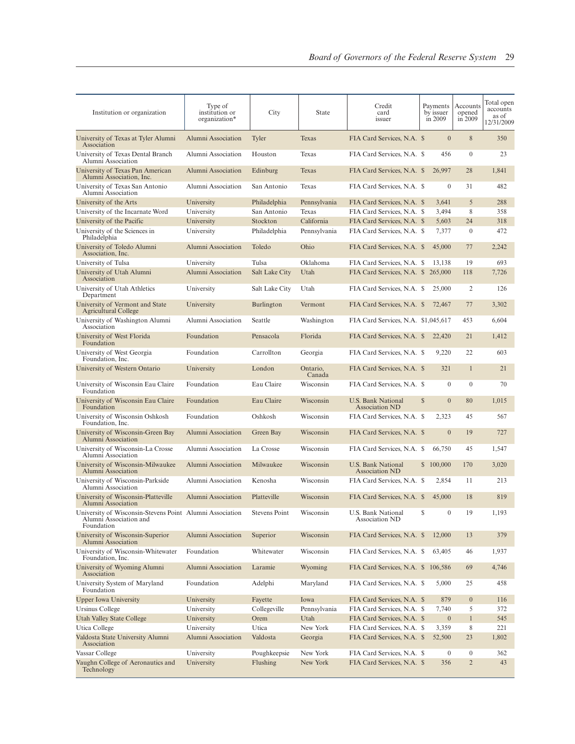| Institution or organization                                                                      | Type of<br>institution or<br>organization* | City           | State              | Credit<br>card<br>issuer                    | Payments<br>by issuer<br>in 2009 | Accounts<br>opened<br>in 2009 | Total open<br>accounts<br>as of<br>12/31/2009 |
|--------------------------------------------------------------------------------------------------|--------------------------------------------|----------------|--------------------|---------------------------------------------|----------------------------------|-------------------------------|-----------------------------------------------|
| University of Texas at Tyler Alumni<br>Association                                               | Alumni Association                         | Tyler          | Texas              | FIA Card Services, N.A. \$                  | $\overline{0}$                   | 8                             | 350                                           |
| University of Texas Dental Branch<br>Alumni Association                                          | Alumni Association                         | Houston        | Texas              | FIA Card Services, N.A. \$                  | 456                              | $\mathbf{0}$                  | 23                                            |
| University of Texas Pan American<br>Alumni Association, Inc.                                     | Alumni Association                         | Edinburg       | Texas              | FIA Card Services, N.A. \$                  | 26,997                           | 28                            | 1,841                                         |
| University of Texas San Antonio<br>Alumni Association                                            | Alumni Association                         | San Antonio    | Texas              | FIA Card Services, N.A. \$                  | $\mathbf{0}$                     | 31                            | 482                                           |
| University of the Arts                                                                           | University                                 | Philadelphia   | Pennsylvania       | FIA Card Services, N.A. \$                  | 3,641                            | 5                             | 288                                           |
| University of the Incarnate Word                                                                 | University                                 | San Antonio    | Texas              | FIA Card Services, N.A. \$                  | 3,494                            | 8                             | 358                                           |
| University of the Pacific                                                                        | University                                 | Stockton       | California         | FIA Card Services, N.A. \$                  | 5,603                            | 24                            | 318                                           |
| University of the Sciences in<br>Philadelphia                                                    | University                                 | Philadelphia   | Pennsylvania       | FIA Card Services, N.A. \$                  | 7,377                            | $\mathbf{0}$                  | 472                                           |
| University of Toledo Alumni<br>Association, Inc.                                                 | Alumni Association                         | Toledo         | Ohio               | FIA Card Services, N.A. \$                  | 45,000                           | 77                            | 2,242                                         |
| University of Tulsa                                                                              | University                                 | Tulsa          | Oklahoma           | FIA Card Services, N.A. \$                  | 13,138                           | 19                            | 693                                           |
| University of Utah Alumni<br>Association                                                         | Alumni Association                         | Salt Lake City | Utah               | FIA Card Services, N.A. \$                  | 265,000                          | 118                           | 7,726                                         |
| University of Utah Athletics<br>Department                                                       | University                                 | Salt Lake City | Utah               | FIA Card Services, N.A. \$                  | 25,000                           | 2                             | 126                                           |
| University of Vermont and State<br>Agricultural College                                          | University                                 | Burlington     | Vermont            | FIA Card Services, N.A. \$                  | 72,467                           | 77                            | 3,302                                         |
| University of Washington Alumni<br>Association                                                   | Alumni Association                         | Seattle        | Washington         | FIA Card Services, N.A. \$1,045,617         |                                  | 453                           | 6,604                                         |
| University of West Florida<br>Foundation                                                         | Foundation                                 | Pensacola      | Florida            | FIA Card Services, N.A. \$                  | 22,420                           | 21                            | 1,412                                         |
| University of West Georgia<br>Foundation, Inc.                                                   | Foundation                                 | Carrollton     | Georgia            | FIA Card Services, N.A. \$                  | 9,220                            | 22                            | 603                                           |
| University of Western Ontario                                                                    | University                                 | London         | Ontario,<br>Canada | FIA Card Services, N.A. \$                  | 321                              | $\mathbf{1}$                  | 21                                            |
| University of Wisconsin Eau Claire<br>Foundation                                                 | Foundation                                 | Eau Claire     | Wisconsin          | FIA Card Services, N.A. \$                  | $\theta$                         | $\Omega$                      | 70                                            |
| University of Wisconsin Eau Claire<br>Foundation                                                 | Foundation                                 | Eau Claire     | Wisconsin          | U.S. Bank National<br><b>Association ND</b> | $\mathbb{S}$<br>$\mathbf{0}$     | 80                            | 1,015                                         |
| University of Wisconsin Oshkosh<br>Foundation, Inc.                                              | Foundation                                 | Oshkosh        | Wisconsin          | FIA Card Services, N.A. \$                  | 2,323                            | 45                            | 567                                           |
| University of Wisconsin-Green Bay<br>Alumni Association                                          | Alumni Association                         | Green Bay      | Wisconsin          | FIA Card Services, N.A. \$                  | $\overline{0}$                   | 19                            | 727                                           |
| University of Wisconsin-La Crosse<br>Alumni Association                                          | Alumni Association                         | La Crosse      | Wisconsin          | FIA Card Services, N.A. \$                  | 66,750                           | 45                            | 1,547                                         |
| University of Wisconsin-Milwaukee<br>Alumni Association                                          | Alumni Association                         | Milwaukee      | Wisconsin          | <b>U.S. Bank National</b><br>Association ND | \$100,000                        | 170                           | 3,020                                         |
| University of Wisconsin-Parkside<br>Alumni Association                                           | Alumni Association                         | Kenosha        | Wisconsin          | FIA Card Services, N.A. \$                  | 2,854                            | 11                            | 213                                           |
| University of Wisconsin-Platteville<br>Alumni Association                                        | Alumni Association                         | Platteville    | Wisconsin          | FIA Card Services, N.A. \$                  | 45,000                           | 18                            | 819                                           |
| University of Wisconsin-Stevens Point Alumni Association<br>Alumni Association and<br>Foundation |                                            | Stevens Point  | Wisconsin          | U.S. Bank National<br>Association ND        | $\boldsymbol{0}$                 | 19                            | 1,193                                         |
| University of Wisconsin-Superior<br>Alumni Association                                           | Alumni Association                         | Superior       | Wisconsin          | FIA Card Services, N.A. \$                  | 12,000                           | 13                            | 379                                           |
| University of Wisconsin-Whitewater<br>Foundation, Inc.                                           | Foundation                                 | Whitewater     | Wisconsin          | FIA Card Services, N.A. \$                  | 63,405                           | 46                            | 1,937                                         |
| University of Wyoming Alumni<br>Association                                                      | Alumni Association                         | Laramie        | Wyoming            | FIA Card Services, N.A. \$ 106,586          |                                  | 69                            | 4,746                                         |
| University System of Maryland<br>Foundation                                                      | Foundation                                 | Adelphi        | Maryland           | FIA Card Services, N.A. \$                  | 5,000                            | 25                            | 458                                           |
| <b>Upper Iowa University</b>                                                                     | University                                 | Fayette        | Iowa               | FIA Card Services, N.A. \$                  | 879                              | $\mathbf{0}$                  | 116                                           |
| Ursinus College                                                                                  | University                                 | Collegeville   | Pennsylvania       | FIA Card Services, N.A. \$                  | 7,740                            | 5                             | 372                                           |
| <b>Utah Valley State College</b>                                                                 | University                                 | Orem           | Utah               | FIA Card Services, N.A. \$                  | $\mathbf{0}$                     | $\mathbf{1}$                  | 545                                           |
| Utica College                                                                                    | University                                 | Utica          | New York           | FIA Card Services, N.A. \$                  | 3,359                            | 8                             | 221                                           |
| Valdosta State University Alumni<br>Association                                                  | Alumni Association                         | Valdosta       | Georgia            | FIA Card Services, N.A. \$                  | 52,500                           | 23                            | 1,802                                         |
| Vassar College                                                                                   | University                                 | Poughkeepsie   | New York           | FIA Card Services, N.A. \$                  | $\boldsymbol{0}$                 | $\boldsymbol{0}$              | 362                                           |
| Vaughn College of Aeronautics and<br>Technology                                                  | University                                 | Flushing       | New York           | FIA Card Services, N.A. \$                  | 356                              | $\overline{2}$                | 43                                            |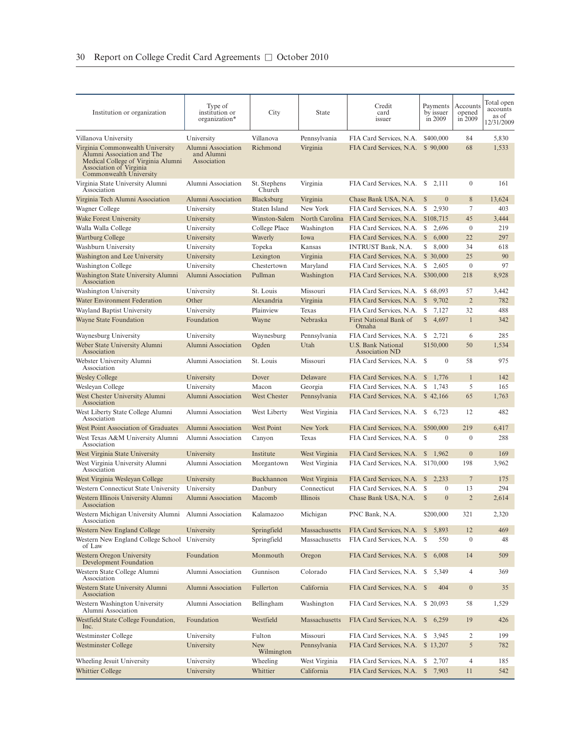| Institution or organization                                                                                                                                | Type of<br>institution or<br>organization*      | City                     | State                  | Credit<br>card<br>issuer                                             | Payments<br>by issuer<br>in 2009 | Accounts<br>opened<br>in 2009 | Total open<br>accounts<br>as of<br>12/31/2009 |
|------------------------------------------------------------------------------------------------------------------------------------------------------------|-------------------------------------------------|--------------------------|------------------------|----------------------------------------------------------------------|----------------------------------|-------------------------------|-----------------------------------------------|
| Villanova University                                                                                                                                       | University                                      | Villanova                | Pennsylvania           | FIA Card Services, N.A.                                              | \$400,000                        | 84                            | 5,830                                         |
| Virginia Commonwealth University<br>Alumni Association and The<br>Medical College of Virginia Alumni<br>Association of Virginia<br>Commonwealth University | Alumni Association<br>and Alumni<br>Association | Richmond                 | Virginia               | FIA Card Services, N.A.                                              | \$90,000                         | 68                            | 1,533                                         |
| Virginia State University Alumni<br>Association                                                                                                            | Alumni Association                              | St. Stephens<br>Church   | Virginia               | FIA Card Services, N.A. \$                                           | 2,111                            | $\mathbf{0}$                  | 161                                           |
| Virginia Tech Alumni Association                                                                                                                           | Alumni Association                              | Blacksburg               | Virginia               | Chase Bank USA, N.A.                                                 | <sup>S</sup><br>$\mathbf{0}$     | 8                             | 13,624                                        |
| Wagner College                                                                                                                                             | University                                      | Staten Island            | New York               | FIA Card Services, N.A.                                              | \$<br>2,930                      | $\overline{7}$                | 403                                           |
| Wake Forest University                                                                                                                                     | University                                      | Winston-Salem            | North Carolina         | FIA Card Services, N.A.                                              | \$108,715                        | 45                            | 3,444                                         |
| Walla Walla College                                                                                                                                        | University                                      | College Place            | Washington             | FIA Card Services, N.A.                                              | S<br>2,696                       | $\mathbf{0}$                  | 219                                           |
| <b>Wartburg College</b>                                                                                                                                    | University                                      | Waverly                  | Iowa                   | FIA Card Services, N.A.                                              | $\mathbb{S}$<br>6,000            | 22                            | 297                                           |
| Washburn University                                                                                                                                        | University                                      | Topeka                   | Kansas                 | <b>INTRUST Bank, N.A.</b>                                            | \$ 8,000                         | 34                            | 618                                           |
| Washington and Lee University                                                                                                                              | University                                      | Lexington                | Virginia               | FIA Card Services, N.A.                                              | \$ 30,000                        | 25<br>$\boldsymbol{0}$        | 90<br>97                                      |
| Washington College<br>Washington State University Alumni<br>Association                                                                                    | University<br>Alumni Association                | Chestertown<br>Pullman   | Maryland<br>Washington | FIA Card Services, N.A.<br>FIA Card Services, N.A.                   | 2,605<br>S<br>\$300,000          | 218                           | 8,928                                         |
| <b>Washington University</b>                                                                                                                               | University                                      | St. Louis                | Missouri               | FIA Card Services, N.A.                                              | \$68,093                         | 57                            | 3,442                                         |
| Water Environment Federation                                                                                                                               | Other                                           | Alexandria               | Virginia               | FIA Card Services, N.A.                                              | $\mathbb{S}$<br>9,702            | $\overline{2}$                | 782                                           |
| Wayland Baptist University                                                                                                                                 | University                                      | Plainview                | Texas                  | FIA Card Services, N.A.                                              | S<br>7,127                       | 32                            | 488                                           |
| Wayne State Foundation                                                                                                                                     | Foundation                                      | Wayne                    | Nebraska               | First National Bank of<br>Omaha                                      | \$4,697                          | $\mathbf{1}$                  | 342                                           |
| Waynesburg University                                                                                                                                      | University                                      | Waynesburg               | Pennsylvania           | FIA Card Services, N.A.                                              | \$2,721                          | 6                             | 285                                           |
| Weber State University Alumni<br>Association                                                                                                               | Alumni Association                              | Ogden                    | Utah                   | U.S. Bank National<br><b>Association ND</b>                          | \$150,000                        | 50                            | 1,534                                         |
| Webster University Alumni<br>Association                                                                                                                   | Alumni Association                              | St. Louis                | Missouri               | FIA Card Services, N.A. \$                                           | $\mathbf{0}$                     | 58                            | 975                                           |
| <b>Wesley College</b>                                                                                                                                      | University                                      | Dover                    | Delaware               | FIA Card Services, N.A.                                              | $\mathbb{S}$<br>1,776            | $\mathbf{1}$                  | 142                                           |
| Wesleyan College                                                                                                                                           | University                                      | Macon                    | Georgia                | FIA Card Services, N.A.                                              | S<br>1,743                       | 5                             | 165                                           |
| West Chester University Alumni<br>Association                                                                                                              | Alumni Association                              | West Chester             | Pennsylvania           | FIA Card Services, N.A. \$42,166                                     |                                  | 65                            | 1,763                                         |
| West Liberty State College Alumni<br>Association                                                                                                           | Alumni Association                              | West Liberty             | West Virginia          | FIA Card Services, N.A. \$ 6,723                                     |                                  | 12                            | 482                                           |
| West Point Association of Graduates<br>West Texas A&M University Alumni<br>Association                                                                     | Alumni Association<br>Alumni Association        | West Point<br>Canyon     | New York<br>Texas      | FIA Card Services, N.A.<br>FIA Card Services, N.A. \$                | \$500,000<br>$\mathbf{0}$        | 219<br>$\mathbf{0}$           | 6,417<br>288                                  |
| West Virginia State University                                                                                                                             | University                                      | Institute                | West Virginia          | FIA Card Services, N.A.                                              | $\mathbb{S}$<br>1,962            | $\overline{0}$                | 169                                           |
| West Virginia University Alumni<br>Association                                                                                                             | Alumni Association                              | Morgantown               | West Virginia          | FIA Card Services, N.A.                                              | \$170,000                        | 198                           | 3,962                                         |
| West Virginia Wesleyan College                                                                                                                             | University                                      | Buckhannon               | West Virginia          | FIA Card Services, N.A.                                              | $\frac{1}{2}$ , 2, 233           | $7\phantom{.0}$               | 175                                           |
| Western Connecticut State University                                                                                                                       | University                                      | Danbury                  | Connecticut            | FIA Card Services, N.A.                                              | $\mathbf{0}$<br>-S               | 13                            | 294                                           |
| Western Illinois University Alumni<br>Association                                                                                                          | Alumni Association                              | Macomb                   | Illinois               | Chase Bank USA, N.A.                                                 | S<br>$\mathbf{0}$                | $\overline{2}$                | 2,614                                         |
| Western Michigan University Alumni Alumni Association<br>Association                                                                                       |                                                 | Kalamazoo                | Michigan               | PNC Bank, N.A.                                                       | \$200,000                        | 321                           | 2,320                                         |
| Western New England College                                                                                                                                | University                                      | Springfield              | Massachusetts          | FIA Card Services, N.A.                                              | 5,893<br>$\mathbb{S}$            | 12                            | 469                                           |
| Western New England College School<br>of Law                                                                                                               | University                                      | Springfield              | Massachusetts          | FIA Card Services, N.A. \$                                           | 550                              | $\boldsymbol{0}$              | 48                                            |
| Western Oregon University<br><b>Development Foundation</b><br>Western State College Alumni                                                                 | Foundation<br>Alumni Association                | Monmouth<br>Gunnison     | Oregon<br>Colorado     | FIA Card Services, N.A. \$<br>FIA Card Services, N.A. \$             | 6,008<br>5,349                   | 14<br>4                       | 509<br>369                                    |
| Association                                                                                                                                                | Alumni Association                              | Fullerton                | California             |                                                                      | 404                              | $\boldsymbol{0}$              |                                               |
| Western State University Alumni<br>Association<br>Western Washington University                                                                            | Alumni Association                              | Bellingham               | Washington             | FIA Card Services, N.A. \$                                           |                                  |                               | 35                                            |
| Alumni Association<br>Westfield State College Foundation,                                                                                                  | Foundation                                      | Westfield                | Massachusetts          | FIA Card Services, N.A. \$20,093<br>FIA Card Services, N.A. \$ 6,259 |                                  | 58<br>19                      | 1,529<br>426                                  |
| Inc.<br>Westminster College                                                                                                                                | University                                      | Fulton                   | Missouri               | FIA Card Services, N.A. \$ 3,945                                     |                                  | 2                             | 199                                           |
| Westminster College                                                                                                                                        | University                                      | <b>New</b><br>Wilmington | Pennsylvania           | FIA Card Services, N.A. \$13,207                                     |                                  | $\sqrt{5}$                    | 782                                           |
| Wheeling Jesuit University                                                                                                                                 | University                                      | Wheeling                 | West Virginia          | FIA Card Services, N.A. \$                                           | 2,707                            | 4                             | 185                                           |
| <b>Whittier College</b>                                                                                                                                    | University                                      | Whittier                 | California             | FIA Card Services, N.A. \$7,903                                      |                                  | 11                            | 542                                           |